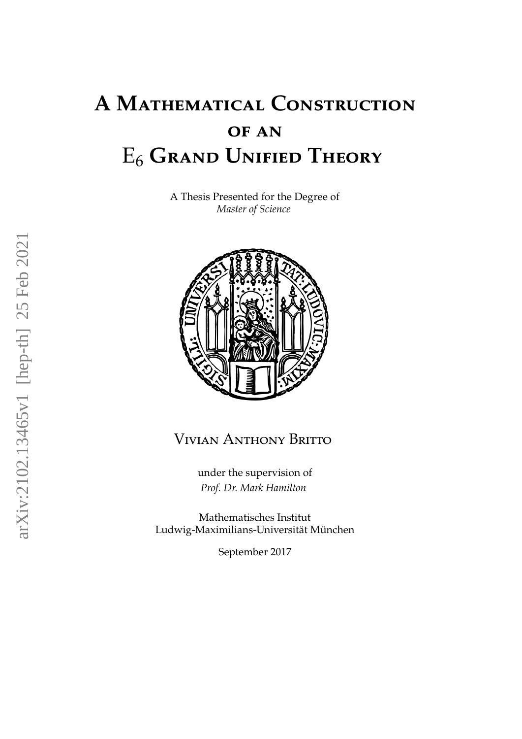# **A Mathematical Construction of an** E<sup>6</sup> **Grand Unified Theory**

A Thesis Presented for the Degree of *Master of Science*



### Vivian Anthony Britto

under the supervision of *Prof. Dr. Mark Hamilton*

Mathematisches Institut Ludwig-Maximilians-Universität München

September 2017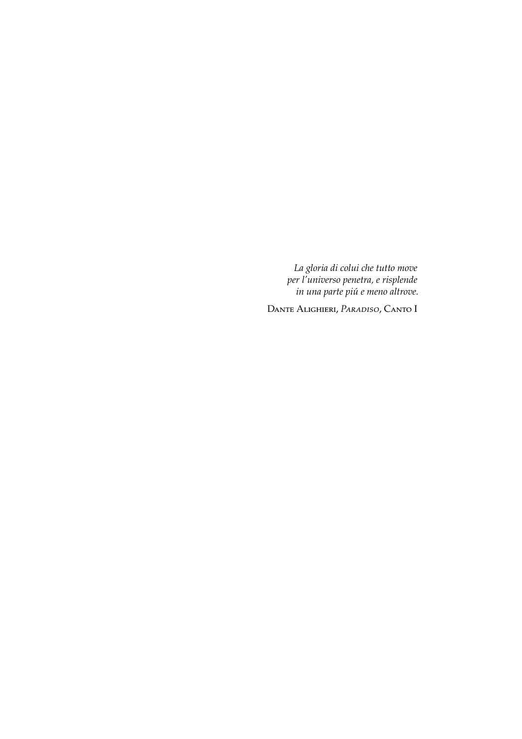*La gloria di colui che tutto move per l'universo penetra, e risplende in una parte piú e meno altrove.*

Dante Alighieri, *Paradiso*, Canto I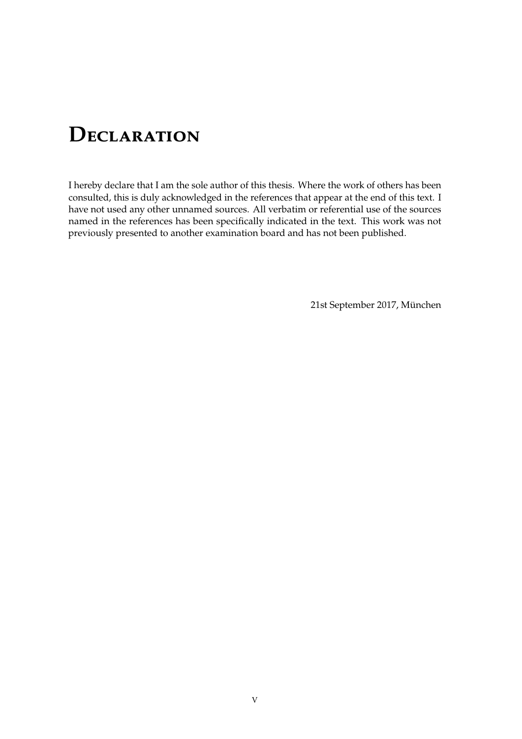# **Declaration**

I hereby declare that I am the sole author of this thesis. Where the work of others has been consulted, this is duly acknowledged in the references that appear at the end of this text. I have not used any other unnamed sources. All verbatim or referential use of the sources named in the references has been specifically indicated in the text. This work was not previously presented to another examination board and has not been published.

21st September 2017, München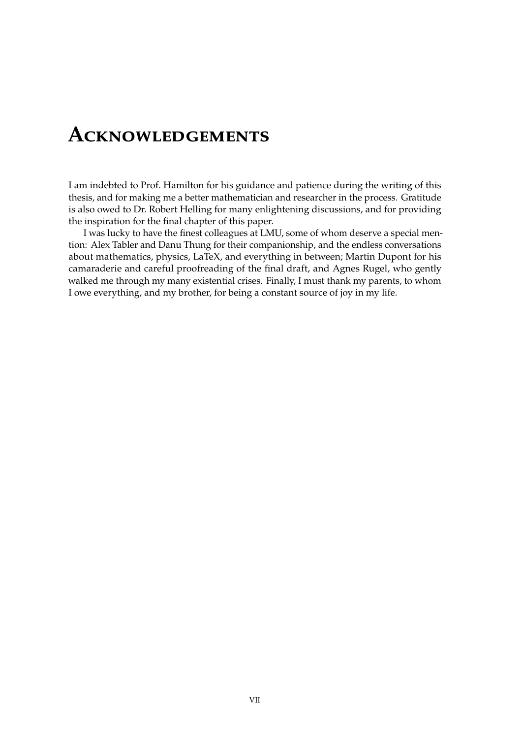## **Acknowledgements**

I am indebted to Prof. Hamilton for his guidance and patience during the writing of this thesis, and for making me a better mathematician and researcher in the process. Gratitude is also owed to Dr. Robert Helling for many enlightening discussions, and for providing the inspiration for the final chapter of this paper.

I was lucky to have the finest colleagues at LMU, some of whom deserve a special mention: Alex Tabler and Danu Thung for their companionship, and the endless conversations about mathematics, physics, LaTeX, and everything in between; Martin Dupont for his camaraderie and careful proofreading of the final draft, and Agnes Rugel, who gently walked me through my many existential crises. Finally, I must thank my parents, to whom I owe everything, and my brother, for being a constant source of joy in my life.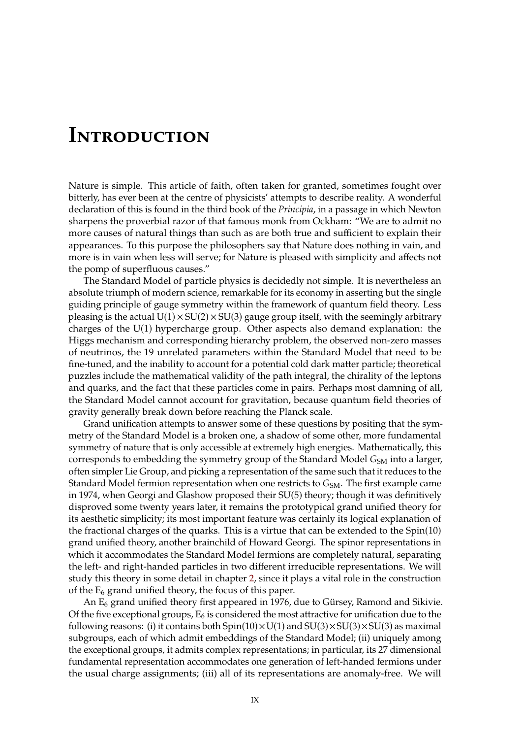## **Introduction**

Nature is simple. This article of faith, often taken for granted, sometimes fought over bitterly, has ever been at the centre of physicists' attempts to describe reality. A wonderful declaration of this is found in the third book of the *Principia*, in a passage in which Newton sharpens the proverbial razor of that famous monk from Ockham: "We are to admit no more causes of natural things than such as are both true and sufficient to explain their appearances. To this purpose the philosophers say that Nature does nothing in vain, and more is in vain when less will serve; for Nature is pleased with simplicity and affects not the pomp of superfluous causes."

The Standard Model of particle physics is decidedly not simple. It is nevertheless an absolute triumph of modern science, remarkable for its economy in asserting but the single guiding principle of gauge symmetry within the framework of quantum field theory. Less pleasing is the actual  $U(1) \times SU(2) \times SU(3)$  gauge group itself, with the seemingly arbitrary charges of the  $U(1)$  hypercharge group. Other aspects also demand explanation: the Higgs mechanism and corresponding hierarchy problem, the observed non-zero masses of neutrinos, the 19 unrelated parameters within the Standard Model that need to be fine-tuned, and the inability to account for a potential cold dark matter particle; theoretical puzzles include the mathematical validity of the path integral, the chirality of the leptons and quarks, and the fact that these particles come in pairs. Perhaps most damning of all, the Standard Model cannot account for gravitation, because quantum field theories of gravity generally break down before reaching the Planck scale.

Grand unification attempts to answer some of these questions by positing that the symmetry of the Standard Model is a broken one, a shadow of some other, more fundamental symmetry of nature that is only accessible at extremely high energies. Mathematically, this corresponds to embedding the symmetry group of the Standard Model  $G<sub>SM</sub>$  into a larger, often simpler Lie Group, and picking a representation of the same such that it reduces to the Standard Model fermion representation when one restricts to  $G<sub>SM</sub>$ . The first example came in 1974, when Georgi and Glashow proposed their SU(5) theory; though it was definitively disproved some twenty years later, it remains the prototypical grand unified theory for its aesthetic simplicity; its most important feature was certainly its logical explanation of the fractional charges of the quarks. This is a virtue that can be extended to the Spin(10) grand unified theory, another brainchild of Howard Georgi. The spinor representations in which it accommodates the Standard Model fermions are completely natural, separating the left- and right-handed particles in two different irreducible representations. We will study this theory in some detail in chapter [2,](#page-24-0) since it plays a vital role in the construction of the  $E_6$  grand unified theory, the focus of this paper.

An  $E_6$  grand unified theory first appeared in 1976, due to Gürsey, Ramond and Sikivie. Of the five exceptional groups,  $E_6$  is considered the most attractive for unification due to the following reasons: (i) it contains both  $Spin(10)\times U(1)$  and  $SU(3)\times SU(3)\times SU(3)$  as maximal subgroups, each of which admit embeddings of the Standard Model; (ii) uniquely among the exceptional groups, it admits complex representations; in particular, its 27 dimensional fundamental representation accommodates one generation of left-handed fermions under the usual charge assignments; (iii) all of its representations are anomaly-free. We will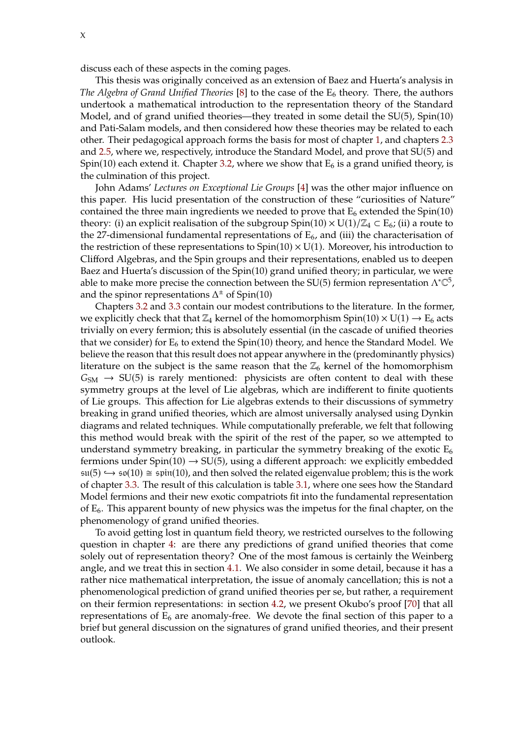discuss each of these aspects in the coming pages.

This thesis was originally conceived as an extension of Baez and Huerta's analysis in *The Algebra of Grand Unified Theories* [\[8\]](#page-76-0) to the case of the E<sup>6</sup> theory. There, the authors undertook a mathematical introduction to the representation theory of the Standard Model, and of grand unified theories—they treated in some detail the SU(5), Spin(10) and Pati-Salam models, and then considered how these theories may be related to each other. Their pedagogical approach forms the basis for most of chapter [1,](#page-12-0) and chapters [2.3](#page-33-0) and [2.5,](#page-41-0) where we, respectively, introduce the Standard Model, and prove that SU(5) and Spin(10) each extend it. Chapter [3.2,](#page-52-0) where we show that  $E_6$  is a grand unified theory, is the culmination of this project.

John Adams' *Lectures on Exceptional Lie Groups* [\[4\]](#page-76-1) was the other major influence on this paper. His lucid presentation of the construction of these "curiosities of Nature" contained the three main ingredients we needed to prove that  $E_6$  extended the Spin(10) theory: (i) an explicit realisation of the subgroup  $Spin(10) \times U(1)/\mathbb{Z}_4 \subset E_6$ ; (ii) a route to the 27-dimensional fundamental representations of  $E_6$ , and (iii) the characterisation of the restriction of these representations to  $Spin(10) \times U(1)$ . Moreover, his introduction to Clifford Algebras, and the Spin groups and their representations, enabled us to deepen Baez and Huerta's discussion of the Spin(10) grand unified theory; in particular, we were able to make more precise the connection between the SU(5) fermion representation  $\Lambda^* \mathbb{C}^5$ , and the spinor representations  $\Delta^{\pm}$  of Spin(10)

Chapters [3.2](#page-52-0) and [3.3](#page-54-0) contain our modest contributions to the literature. In the former, we explicitly check that that  $\mathbb{Z}_4$  kernel of the homomorphism Spin(10)  $\times$  U(1)  $\rightarrow$  E<sub>6</sub> acts trivially on every fermion; this is absolutely essential (in the cascade of unified theories that we consider) for  $E_6$  to extend the Spin(10) theory, and hence the Standard Model. We believe the reason that this result does not appear anywhere in the (predominantly physics) literature on the subject is the same reason that the  $\mathbb{Z}_6$  kernel of the homomorphism  $G<sub>SM</sub> \rightarrow SU(5)$  is rarely mentioned: physicists are often content to deal with these symmetry groups at the level of Lie algebras, which are indifferent to finite quotients of Lie groups. This affection for Lie algebras extends to their discussions of symmetry breaking in grand unified theories, which are almost universally analysed using Dynkin diagrams and related techniques. While computationally preferable, we felt that following this method would break with the spirit of the rest of the paper, so we attempted to understand symmetry breaking, in particular the symmetry breaking of the exotic  $E_6$ fermions under Spin(10)  $\rightarrow$  SU(5), using a different approach: we explicitly embedded  $\sin(5) \hookrightarrow \sin(10) \cong \sin(10)$ , and then solved the related eigenvalue problem; this is the work of chapter [3.3.](#page-54-0) The result of this calculation is table [3.1,](#page-58-0) where one sees how the Standard Model fermions and their new exotic compatriots fit into the fundamental representation of E6. This apparent bounty of new physics was the impetus for the final chapter, on the phenomenology of grand unified theories.

To avoid getting lost in quantum field theory, we restricted ourselves to the following question in chapter [4:](#page-60-0) are there any predictions of grand unified theories that come solely out of representation theory? One of the most famous is certainly the Weinberg angle, and we treat this in section [4.1.](#page-60-1) We also consider in some detail, because it has a rather nice mathematical interpretation, the issue of anomaly cancellation; this is not a phenomenological prediction of grand unified theories per se, but rather, a requirement on their fermion representations: in section [4.2,](#page-63-0) we present Okubo's proof [\[70\]](#page-79-0) that all representations of  $E_6$  are anomaly-free. We devote the final section of this paper to a brief but general discussion on the signatures of grand unified theories, and their present outlook.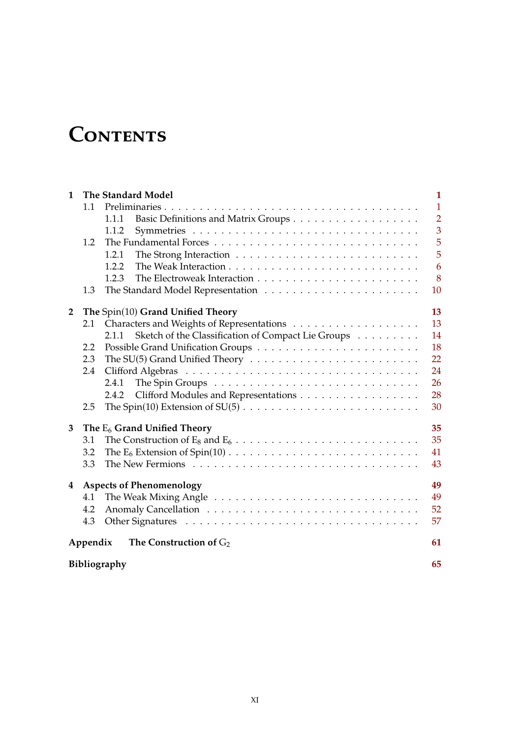# CONTENTS

| $\mathbf{1}$                         |          | <b>The Standard Model</b>                                                                 | $\mathbf{1}$   |  |  |  |
|--------------------------------------|----------|-------------------------------------------------------------------------------------------|----------------|--|--|--|
|                                      | 1.1      |                                                                                           | $\mathbf{1}$   |  |  |  |
|                                      |          | 1.1.1                                                                                     | $\overline{2}$ |  |  |  |
|                                      |          | 1.1.2                                                                                     | $\overline{3}$ |  |  |  |
|                                      | 1.2      |                                                                                           | 5              |  |  |  |
|                                      |          | 1.2.1                                                                                     | 5              |  |  |  |
|                                      |          | 1.2.2                                                                                     | 6              |  |  |  |
|                                      |          | 1.2.3                                                                                     | 8              |  |  |  |
|                                      | 1.3      |                                                                                           | 10             |  |  |  |
| $\overline{2}$                       |          | The Spin(10) Grand Unified Theory                                                         | 13             |  |  |  |
|                                      | 2.1      |                                                                                           | 13             |  |  |  |
|                                      |          | Sketch of the Classification of Compact Lie Groups<br>2.1.1                               | 14             |  |  |  |
|                                      | 2.2      |                                                                                           | 18             |  |  |  |
|                                      | 2.3      | The SU(5) Grand Unified Theory $\ldots \ldots \ldots \ldots \ldots \ldots \ldots \ldots$  | 22             |  |  |  |
|                                      | 2.4      |                                                                                           | 24             |  |  |  |
|                                      |          | 2.4.1                                                                                     | 26             |  |  |  |
|                                      |          | Clifford Modules and Representations<br>2.4.2                                             | 28             |  |  |  |
|                                      | 2.5      | The Spin(10) Extension of SU(5) $\ldots \ldots \ldots \ldots \ldots \ldots \ldots \ldots$ | 30             |  |  |  |
| 3                                    |          | The $E_6$ Grand Unified Theory                                                            | 35             |  |  |  |
|                                      | 3.1      |                                                                                           | 35             |  |  |  |
|                                      | 3.2      |                                                                                           | 41             |  |  |  |
|                                      | 3.3      |                                                                                           | 43             |  |  |  |
| <b>Aspects of Phenomenology</b><br>4 |          |                                                                                           |                |  |  |  |
|                                      | 4.1      |                                                                                           | 49             |  |  |  |
|                                      | 4.2      |                                                                                           | 52             |  |  |  |
|                                      | 4.3      |                                                                                           | 57             |  |  |  |
|                                      | Appendix | The Construction of $G_2$                                                                 | 61             |  |  |  |
|                                      |          | Bibliography                                                                              | 65             |  |  |  |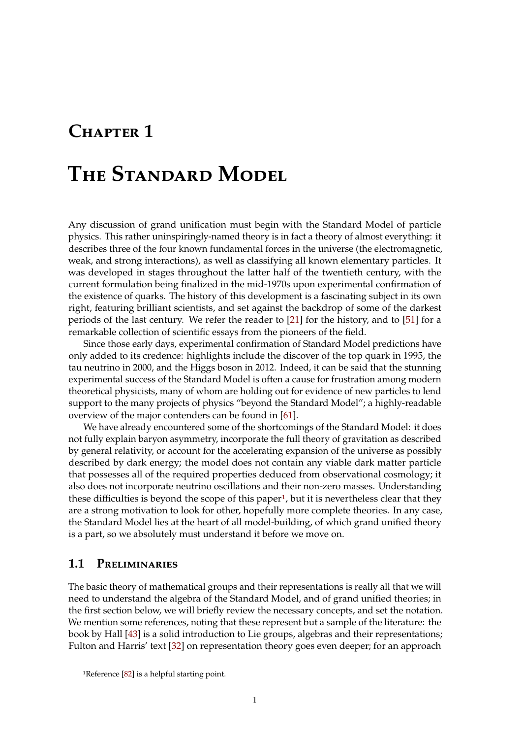### <span id="page-12-0"></span>CHAPTER 1

## **The Standard Model**

Any discussion of grand unification must begin with the Standard Model of particle physics. This rather uninspiringly-named theory is in fact a theory of almost everything: it describes three of the four known fundamental forces in the universe (the electromagnetic, weak, and strong interactions), as well as classifying all known elementary particles. It was developed in stages throughout the latter half of the twentieth century, with the current formulation being finalized in the mid-1970s upon experimental confirmation of the existence of quarks. The history of this development is a fascinating subject in its own right, featuring brilliant scientists, and set against the backdrop of some of the darkest periods of the last century. We refer the reader to [\[21\]](#page-77-0) for the history, and to [\[51\]](#page-78-0) for a remarkable collection of scientific essays from the pioneers of the field.

Since those early days, experimental confirmation of Standard Model predictions have only added to its credence: highlights include the discover of the top quark in 1995, the tau neutrino in 2000, and the Higgs boson in 2012. Indeed, it can be said that the stunning experimental success of the Standard Model is often a cause for frustration among modern theoretical physicists, many of whom are holding out for evidence of new particles to lend support to the many projects of physics "beyond the Standard Model"; a highly-readable overview of the major contenders can be found in [\[61\]](#page-79-1).

We have already encountered some of the shortcomings of the Standard Model: it does not fully explain baryon asymmetry, incorporate the full theory of gravitation as described by general relativity, or account for the accelerating expansion of the universe as possibly described by dark energy; the model does not contain any viable dark matter particle that possesses all of the required properties deduced from observational cosmology; it also does not incorporate neutrino oscillations and their non-zero masses. Understanding these difficulties is beyond the scope of this paper<sup>[1](#page-12-2)</sup>, but it is nevertheless clear that they are a strong motivation to look for other, hopefully more complete theories. In any case, the Standard Model lies at the heart of all model-building, of which grand unified theory is a part, so we absolutely must understand it before we move on.

#### <span id="page-12-1"></span>**1.1 Preliminaries**

The basic theory of mathematical groups and their representations is really all that we will need to understand the algebra of the Standard Model, and of grand unified theories; in the first section below, we will briefly review the necessary concepts, and set the notation. We mention some references, noting that these represent but a sample of the literature: the book by Hall [\[43\]](#page-78-1) is a solid introduction to Lie groups, algebras and their representations; Fulton and Harris' text [\[32\]](#page-77-1) on representation theory goes even deeper; for an approach

<span id="page-12-2"></span><sup>&</sup>lt;sup>1</sup>Reference [\[82\]](#page-80-0) is a helpful starting point.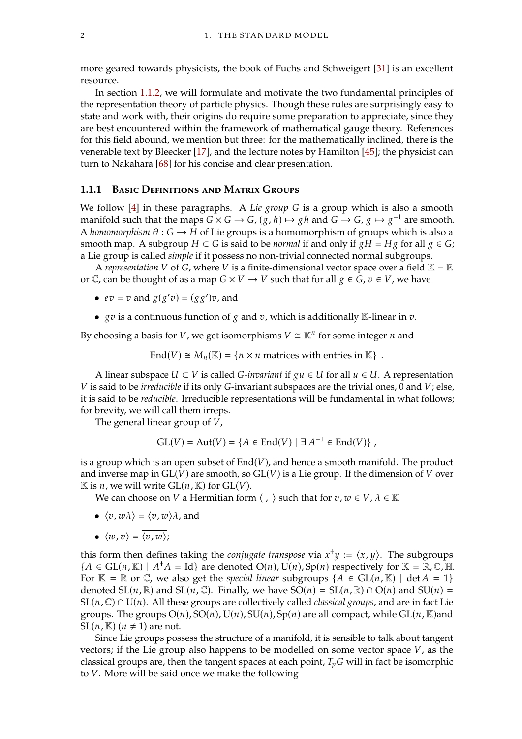more geared towards physicists, the book of Fuchs and Schweigert [\[31\]](#page-77-2) is an excellent resource.

In section [1.1.2,](#page-14-0) we will formulate and motivate the two fundamental principles of the representation theory of particle physics. Though these rules are surprisingly easy to state and work with, their origins do require some preparation to appreciate, since they are best encountered within the framework of mathematical gauge theory. References for this field abound, we mention but three: for the mathematically inclined, there is the venerable text by Bleecker [\[17\]](#page-77-3), and the lecture notes by Hamilton [\[45\]](#page-78-2); the physicist can turn to Nakahara [\[68\]](#page-79-2) for his concise and clear presentation.

#### <span id="page-13-0"></span>**1.1.1 Basic Definitions and Matrix Groups**

We follow [\[4\]](#page-76-1) in these paragraphs. A *Lie group* G is a group which is also a smooth manifold such that the maps  $G \times G \to G$ ,  $(g, h) \mapsto gh$  and  $G \to G$ ,  $g \mapsto g^{-1}$  are smooth.<br>A homomorphism  $A : G \to H$  of Lie groups is a homomorphism of groups which is also a A *homomorphism*  $\theta$  :  $G \rightarrow H$  of Lie groups is a homomorphism of groups which is also a smooth map. A subgroup  $H \subset G$  is said to be *normal* if and only if  $gH = Hg$  for all  $g \in G$ ; a Lie group is called *simple* if it possess no non-trivial connected normal subgroups.

A *representation* V of G, where V is a finite-dimensional vector space over a field  $K = \mathbb{R}$ or  $\mathbb C$ , can be thought of as a map  $G \times V \to V$  such that for all  $g \in G$ ,  $v \in V$ , we have

- $ev = v$  and  $g(g'v) = (gg')v$ , and
- $g\bar{v}$  is a continuous function of  $g$  and  $v$ , which is additionally K-linear in  $v$ .

By choosing a basis for *V*, we get isomorphisms  $V \cong \mathbb{K}^n$  for some integer *n* and

End(V)  $\cong M_n(\mathbb{K}) = \{n \times n \text{ matrices with entries in } \mathbb{K}\}\.$ 

A linear subspace  $U \subset V$  is called *G-invariant* if  $gu \in U$  for all  $u \in U$ . A representation *V* is said to be *irreducible* if its only *G*-invariant subspaces are the trivial ones, 0 and *V*; else, it is said to be *reducible*. Irreducible representations will be fundamental in what follows; for brevity, we will call them irreps.

The general linear group of  $V$ ,

$$
GL(V) = Aut(V) = \{ A \in End(V) \mid \exists A^{-1} \in End(V) \},
$$

is a group which is an open subset of  $End(V)$ , and hence a smooth manifold. The product and inverse map in  $GL(V)$  are smooth, so  $GL(V)$  is a Lie group. If the dimension of V over  $\mathbb K$  is *n*, we will write  $GL(n,\mathbb K)$  for  $GL(V)$ .

We can choose on V a Hermitian form  $\langle , \rangle$  such that for  $v, w \in V, \lambda \in \mathbb{K}$ 

- $\langle v, w \lambda \rangle = \langle v, w \rangle \lambda$ , and
- $\langle w, v \rangle = \overline{\langle v, w \rangle}$ ;

this form then defines taking the *conjugate transpose* via  $x^{\dagger}y := \langle x, y \rangle$ . The subgroups  $A \in CL(u, \mathbb{K}) + A^{\dagger}A = Id$  are denoted  $O(u)$ .  $U(u)$  Sp(n) respectively for  $\mathbb{K} = \mathbb{R} \subset \mathbb{H}$  ${A \in GL(n, \mathbb{K}) \mid A^{\dagger}A = \text{Id}}$  are denoted  $O(n)$ ,  $U(n)$ ,  $Sp(n)$  respectively for  $\mathbb{K} = \mathbb{R}, \mathbb{C}, \mathbb{H}$ .<br>For  $\mathbb{K} = \mathbb{R}$  or  $\mathbb{C}$ , we also got the special linear subgroups  ${A \in Cl(n, \mathbb{K}) \mid \det A = 1}$ . For  $\mathbb{K} = \mathbb{R}$  or  $\mathbb{C}$ , we also get the *special linear* subgroups  $\{A \in GL(n, \mathbb{K}) \mid \det A = 1\}$ denoted  $SL(n,\mathbb{R})$  and  $SL(n,\mathbb{C})$ . Finally, we have  $SO(n) = SL(n,\mathbb{R}) \cap O(n)$  and  $SU(n) =$  $SL(n, \mathbb{C}) \cap U(n)$ . All these groups are collectively called *classical groups*, and are in fact Lie groups. The groups  $O(n)$ ,  $SO(n)$ ,  $U(n)$ ,  $SU(n)$ ,  $Sp(n)$  are all compact, while  $GL(n, \mathbb{K})$ and  $SL(n, \mathbb{K})$   $(n \neq 1)$  are not.

Since Lie groups possess the structure of a manifold, it is sensible to talk about tangent vectors; if the Lie group also happens to be modelled on some vector space  $V$ , as the classical groups are, then the tangent spaces at each point,  $T_pG$  will in fact be isomorphic to  $V$ . More will be said once we make the following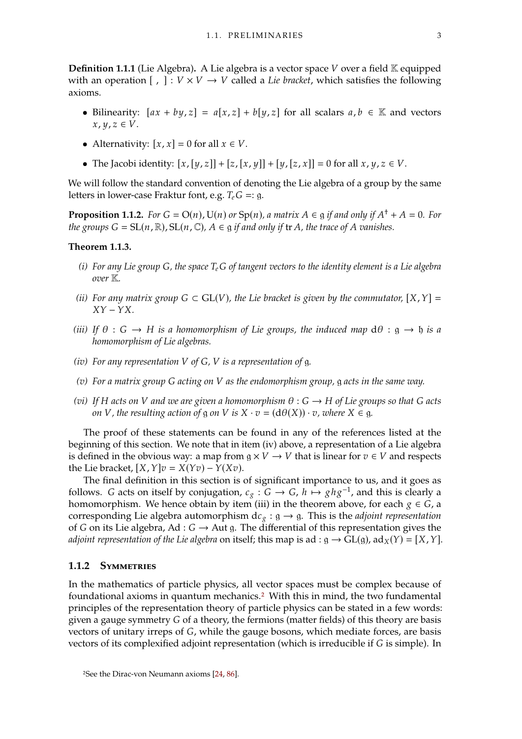**Definition 1.1.1** (Lie Algebra). A Lie algebra is a vector space V over a field  $\mathbb{K}$  equipped with an operation  $[ , ] : V \times V \rightarrow V$  called a *Lie bracket*, which satisfies the following axioms.

- Bilinearity:  $[a x + b y, z] = a[x, z] + b[y, z]$  for all scalars  $a, b \in \mathbb{K}$  and vectors  $x, y, z \in V$ .
- Alternativity:  $[x, x] = 0$  for all  $x \in V$ .
- The Jacobi identity:  $[x,[y,z]] + [z,[x,y]] + [y,[z,x]] = 0$  for all  $x, y, z \in V$ .

We will follow the standard convention of denoting the Lie algebra of a group by the same letters in lower-case Fraktur font, e.g.  $T_e G =: g$ .

**Proposition 1.1.2.** *For*  $G = O(n)$ ,  $U(n)$  *or*  $Sp(n)$ *, a matrix*  $A \in g$  *if and only if*  $A^{\dagger} + A = 0$ *. For* the proposition  $G - SI(n \infty)$   $S1(n \infty)$   $A \in g$  *if and only if*  $tr A$ , the trace of A gyanishes *the groups*  $G = SL(n, \mathbb{R})$ ,  $SL(n, \mathbb{C})$ ,  $A \in \mathfrak{g}$  *if and only if tr A, the trace of A vanishes.* 

#### <span id="page-14-2"></span>**Theorem 1.1.3.**

- *(i)* For any Lie group G, the space  $T_e$  G of tangent vectors to the identity element is a Lie algebra *over* K*.*
- *(ii)* For any matrix group  $G \subset GL(V)$ , the Lie bracket is given by the commutator,  $[X, Y] =$  $XY - YX$ .
- *(iii)* If  $\theta$  :  $G \rightarrow H$  *is a homomorphism of Lie groups, the induced map*  $d\theta$  :  $g \rightarrow f$  *is a homomorphism of Lie algebras.*
- *(iv)* For any representation V of G, V is a representation of g.
- *(v)* For a matrix group G acting on V as the endomorphism group, g acts in the same way.
- *(vi)* If H acts on V and we are given a homomorphism  $\theta$  :  $G \rightarrow H$  of Lie groups so that G acts *on V*, the resulting action of g on *V* is  $X \cdot v = (d\theta(X)) \cdot v$ , where  $X \in g$ .

The proof of these statements can be found in any of the references listed at the beginning of this section. We note that in item (iv) above, a representation of a Lie algebra is defined in the obvious way: a map from  $q \times V \rightarrow V$  that is linear for  $v \in V$  and respects the Lie bracket,  $[X, Y]v = X(Yv) - Y(Xv)$ .

The final definition in this section is of significant importance to us, and it goes as follows. *G* acts on itself by conjugation,  $c_g : G \to G$ ,  $h \mapsto ghg^{-1}$ , and this is clearly a<br>homomorphism. We hence obtain by item (iii) in the theorem above, for each  $g \in G$ homomorphism. We hence obtain by item (iii) in the theorem above, for each  $g \in G$ , a corresponding Lie algebra automorphism  $dc_g : g \rightarrow g$ . This is the *adjoint representation* of G on its Lie algebra, Ad :  $G \rightarrow$  Aut g. The differential of this representation gives the *adjoint representation of the Lie algebra* on itself; this map is ad :  $g \to GL(g)$ ,  $ad_X(Y) = [X, Y]$ .

#### <span id="page-14-0"></span>**1.1.2 Symmetries**

<span id="page-14-1"></span>In the mathematics of particle physics, all vector spaces must be complex because of foundational axioms in quantum mechanics.[2](#page-14-1) With this in mind, the two fundamental principles of the representation theory of particle physics can be stated in a few words: given a gauge symmetry  $G$  of a theory, the fermions (matter fields) of this theory are basis vectors of unitary irreps of G, while the gauge bosons, which mediate forces, are basis vectors of its complexified adjoint representation (which is irreducible if  $G$  is simple). In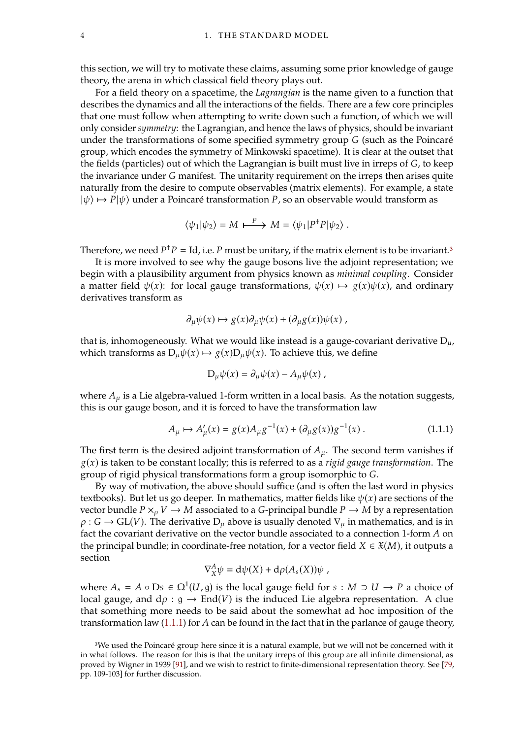this section, we will try to motivate these claims, assuming some prior knowledge of gauge theory, the arena in which classical field theory plays out.

For a field theory on a spacetime, the *Lagrangian* is the name given to a function that describes the dynamics and all the interactions of the fields. There are a few core principles that one must follow when attempting to write down such a function, of which we will only consider *symmetry*: the Lagrangian, and hence the laws of physics, should be invariant under the transformations of some specified symmetry group  $G$  (such as the Poincaré group, which encodes the symmetry of Minkowski spacetime). It is clear at the outset that the fields (particles) out of which the Lagrangian is built must live in irreps of  $G$ , to keep the invariance under G manifest. The unitarity requirement on the irreps then arises quite naturally from the desire to compute observables (matrix elements). For example, a state  $|\psi\rangle \mapsto P|\psi\rangle$  under a Poincaré transformation P, so an observable would transform as

$$
\langle \psi_1 | \psi_2 \rangle = M \longmapsto M = \langle \psi_1 | P^{\dagger} P | \psi_2 \rangle.
$$

Therefore, we need  $P^{\dagger}P = \text{Id}$ , i.e. P must be unitary, if the matrix element is to be invariant.<sup>[3](#page-15-0)</sup><br>It is more involved to see why the gauge bosons live the adjoint representation; we

It is more involved to see why the gauge bosons live the adjoint representation; we begin with a plausibility argument from physics known as *minimal coupling*. Consider a matter field  $\psi(x)$ : for local gauge transformations,  $\psi(x) \mapsto g(x)\psi(x)$ , and ordinary derivatives transform as

$$
\partial_{\mu}\psi(x)\mapsto g(x)\partial_{\mu}\psi(x)+(\partial_{\mu}g(x))\psi(x)\;,
$$

that is, inhomogeneously. What we would like instead is a gauge-covariant derivative  $D_{\mu}$ , which transforms as  $D_{\mu}\psi(x) \mapsto g(x)D_{\mu}\psi(x)$ . To achieve this, we define

$$
D_{\mu}\psi(x) = \partial_{\mu}\psi(x) - A_{\mu}\psi(x) ,
$$

where  $A_\mu$  is a Lie algebra-valued 1-form written in a local basis. As the notation suggests, this is our gauge boson, and it is forced to have the transformation law

<span id="page-15-1"></span>
$$
A_{\mu} \mapsto A'_{\mu}(x) = g(x)A_{\mu}g^{-1}(x) + (\partial_{\mu}g(x))g^{-1}(x) . \tag{1.1.1}
$$

The first term is the desired adjoint transformation of  $A_{\mu}$ . The second term vanishes if  $g(x)$  is taken to be constant locally; this is referred to as a *rigid gauge transformation*. The group of rigid physical transformations form a group isomorphic to G.

By way of motivation, the above should suffice (and is often the last word in physics textbooks). But let us go deeper. In mathematics, matter fields like  $\psi(x)$  are sections of the vector bundle  $P \times_{\rho} V \to M$  associated to a G-principal bundle  $P \to M$  by a representation  $\rho$  :  $G \to GL(V)$ . The derivative  $D_{\mu}$  above is usually denoted  $\nabla_{\mu}$  in mathematics, and is in fact the covariant derivative on the vector bundle associated to a connection 1-form  $A$  on the principal bundle; in coordinate-free notation, for a vector field  $X \in \mathfrak{X}(M)$ , it outputs a section

$$
\nabla_X^A \psi = \mathrm{d}\psi(X) + \mathrm{d}\rho(A_s(X))\psi,
$$

where  $A_s = A \circ Ds \in \Omega^1(U, \mathfrak{g})$  is the local gauge field for  $s : M \supset U \to P$  a choice of local gauge and  $d\Omega : \mathfrak{g} \to \text{End}(V)$  is the induced Lie algebra representation. A clue local gauge, and  $d\rho : g \to End(V)$  is the induced Lie algebra representation. A clue that something more needs to be said about the somewhat ad hoc imposition of the transformation law  $(1.1.1)$  for A can be found in the fact that in the parlance of gauge theory,

<span id="page-15-0"></span><sup>&</sup>lt;sup>3</sup>We used the Poincaré group here since it is a natural example, but we will not be concerned with it in what follows. The reason for this is that the unitary irreps of this group are all infinite dimensional, as proved by Wigner in 1939 [\[91\]](#page-80-2), and we wish to restrict to finite-dimensional representation theory. See [\[79,](#page-80-3) pp. 109-103] for further discussion.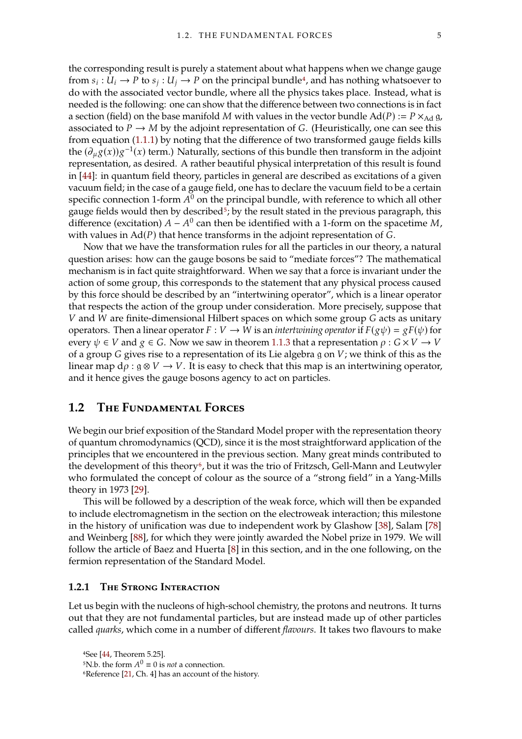the corresponding result is purely a statement about what happens when we change gauge from  $s_i : \bar{U}_i \to P$  to  $s_j : U_j \to P$  on the principal bundle<sup>[4](#page-16-2)</sup>, and has nothing whatsoever to do with the associated vector bundle, where all the physics takes place. Instead, what is do with the associated vector bundle, where all the physics takes place. Instead, what is needed is the following: one can show that the difference between two connections is in fact a section (field) on the base manifold M with values in the vector bundle  $Ad(P) := P \times_{Ad} q$ , associated to  $P \to M$  by the adjoint representation of G. (Heuristically, one can see this from equation [\(1.1.1\)](#page-15-1) by noting that the difference of two transformed gauge fields kills the  $(\partial_{\mu}g(x))g^{-1}(x)$  term.) Naturally, sections of this bundle then transform in the adjoint<br>representation as desired. A rather heautiful physical interpretation of this result is found representation, as desired. A rather beautiful physical interpretation of this result is found in [\[44\]](#page-78-3): in quantum field theory, particles in general are described as excitations of a given vacuum field; in the case of a gauge field, one has to declare the vacuum field to be a certain specific connection 1-form  $A^0$  on the principal bundle, with reference to which all other<br>gauge fields would then by described<sup>5</sup>; by the result stated in the previous paragraph, this gauge fields would then by described<sup>[5](#page-16-3)</sup>; by the result stated in the previous paragraph, this difference (excitation)  $A - A^0$  can then be identified with a 1-form on the spacetime M,<br>with values in Ad(P) that hence transforms in the adjoint representation of G with values in  $Ad(P)$  that hence transforms in the adjoint representation of G.

Now that we have the transformation rules for all the particles in our theory, a natural question arises: how can the gauge bosons be said to "mediate forces"? The mathematical mechanism is in fact quite straightforward. When we say that a force is invariant under the action of some group, this corresponds to the statement that any physical process caused by this force should be described by an "intertwining operator", which is a linear operator that respects the action of the group under consideration. More precisely, suppose that  $V$  and  $W$  are finite-dimensional Hilbert spaces on which some group  $G$  acts as unitary operators. Then a linear operator  $F: V \to W$  is an *intertwining operator* if  $F(g\psi) = gF(\psi)$  for every  $\psi \in V$  and  $g \in G$ . Now we saw in theorem [1.1.3](#page-14-2) that a representation  $\rho : G \times V \to V$ of a group G gives rise to a representation of its Lie algebra g on  $V$ ; we think of this as the linear map  $d\rho$ :  $\alpha \otimes V \to V$ . It is easy to check that this map is an intertwining operator, and it hence gives the gauge bosons agency to act on particles.

#### <span id="page-16-0"></span>**1.2 The Fundamental Forces**

We begin our brief exposition of the Standard Model proper with the representation theory of quantum chromodynamics (QCD), since it is the most straightforward application of the principles that we encountered in the previous section. Many great minds contributed to the development of this theory[6](#page-16-4), but it was the trio of Fritzsch, Gell-Mann and Leutwyler who formulated the concept of colour as the source of a "strong field" in a Yang-Mills theory in 1973 [\[29\]](#page-77-5).

This will be followed by a description of the weak force, which will then be expanded to include electromagnetism in the section on the electroweak interaction; this milestone in the history of unification was due to independent work by Glashow [\[38\]](#page-78-4), Salam [\[78\]](#page-80-4) and Weinberg [\[88\]](#page-80-5), for which they were jointly awarded the Nobel prize in 1979. We will follow the article of Baez and Huerta [\[8\]](#page-76-0) in this section, and in the one following, on the fermion representation of the Standard Model.

#### <span id="page-16-1"></span>**1.2.1 The Strong Interaction**

Let us begin with the nucleons of high-school chemistry, the protons and neutrons. It turns out that they are not fundamental particles, but are instead made up of other particles called *quarks*, which come in a number of different *flavours*. It takes two flavours to make

```
4See [44, Theorem 5.25].
```
<span id="page-16-3"></span><sup>5</sup>N.b. the form  $A^0 \equiv 0$  is *not* a connection.

<span id="page-16-4"></span><sup>6</sup>Reference [\[21,](#page-77-0) Ch. 4] has an account of the history.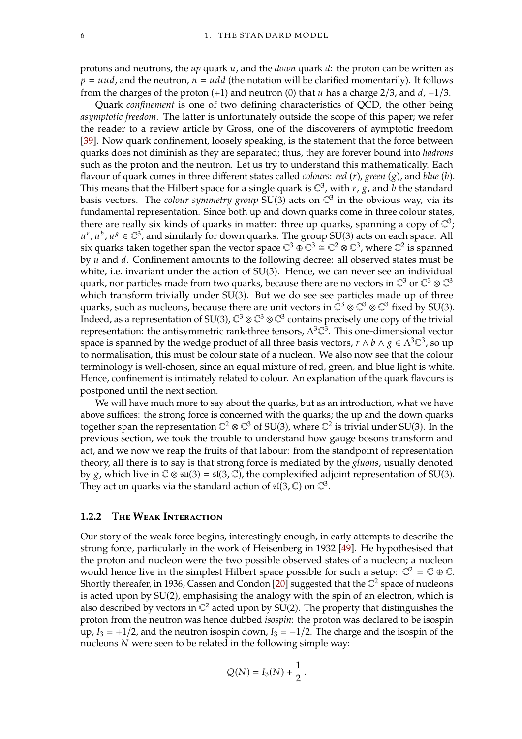protons and neutrons, the *up* quark *u*, and the *down* quark *d*: the proton can be written as  $p = uud$ , and the neutron,  $n = udd$  (the notation will be clarified momentarily). It follows from the charges of the proton (+1) and neutron (0) that u has a charge 2/3, and  $d, -1/3$ .

Quark *confinement* is one of two defining characteristics of QCD, the other being *asymptotic freedom*. The latter is unfortunately outside the scope of this paper; we refer the reader to a review article by Gross, one of the discoverers of aymptotic freedom [\[39\]](#page-78-5). Now quark confinement, loosely speaking, is the statement that the force between quarks does not diminish as they are separated; thus, they are forever bound into *hadrons* such as the proton and the neutron. Let us try to understand this mathematically. Each flavour of quark comes in three different states called *colours*: *red* (*r*), *green* (*g*), and *blue* (*b*). This means that the Hilbert space for a single quark is  $\mathbb{C}^3$ , with  $r$ ,  $g$ , and  $b$  the standard basis vectors. The colour summetry group SU(3) acts on  $\mathbb{C}^3$  in the obvious way via its basis vectors. The *colour symmetry group* SU(3) acts on C 3 in the obvious way, via its fundamental representation. Since both up and down quarks come in three colour states, there are really six kinds of quarks in matter: three up quarks, spanning a copy of  $\mathbb{C}^3$ :  $u^-, u^-, u^{\circ} \in \mathbb{C}^{\cdot}$ , and similarly for down quarks. The group 50(5) acts on each space. All  $u^-, u^{\circ} \in \mathbb{C}^{\cdot}$  and similarly for down quarks. The group 50(5) acts on each space. All  $\mu^r$ ,  $\mu^b$ ,  $\mu^g \in \mathbb{C}^3$ , and similarly for down quarks. The group SU(3) acts on each space. All<br>x quarks taken together span the vector space  $\mathbb{C}^3 \oplus \mathbb{C}^3 \cong \mathbb{C}^2 \otimes \mathbb{C}^3$ , where  $\mathbb{C}^2$  is spann by  $u$  and  $d$ . Confinement amounts to the following decree: all observed states must be white, i.e. invariant under the action of SU(3). Hence, we can never see an individual quark, nor particles made from two quarks, because there are no vectors in  $\mathbb{C}^3$  or  $\mathbb{C}^3 \otimes \mathbb{C}^3$ which transform trivially under SU(3). But we do see see particles made up of three quarks, such as nucleons, because there are unit vectors in  $\mathbb{C}^3 \otimes \mathbb{C}^3 \otimes \mathbb{C}^3$  fixed by SU(3). Indeed, as a representation of SU(3),  $\mathbb{C}^3 \otimes \mathbb{C}^3 \otimes \mathbb{C}^3$  contains precisely one copy of the trivial representation: the antisymmetric rank-three tensors,  $\Lambda^3\mathbb{C}^3$ . This one-dimensional vector space is spanned by the wedge product of all three basis vectors,  $r \wedge b \wedge g \in \Lambda^3\mathbb{C}^3$ , so up<br>to pormalisation, this must be colour state of a nucleon. We also now see that the colour to normalisation, this must be colour state of a nucleon. We also now see that the colour terminology is well-chosen, since an equal mixture of red, green, and blue light is white. Hence, confinement is intimately related to colour. An explanation of the quark flavours is postponed until the next section.

We will have much more to say about the quarks, but as an introduction, what we have above suffices: the strong force is concerned with the quarks; the up and the down quarks together span the representation  $\mathbb{C}^2 \otimes \mathbb{C}^3$  of SU(3), where  $\mathbb{C}^2$  is trivial under SU(3). In the previous section, we took the trouble to understand how gauge bosons transform and act, and we now we reap the fruits of that labour: from the standpoint of representation theory, all there is to say is that strong force is mediated by the *gluons*, usually denoted by *g*, which live in  $\mathbb{C} \otimes \mathfrak{su}(3) = \mathfrak{sl}(3, \mathbb{C})$ , the complexified adjoint representation of SU(3). They act on quarks via the standard action of  $\mathfrak{sl}(3,\mathbb{C})$  on  $\mathbb{C}^3$ .

#### <span id="page-17-0"></span>**1.2.2 The Weak Interaction**

Our story of the weak force begins, interestingly enough, in early attempts to describe the strong force, particularly in the work of Heisenberg in 1932 [\[49\]](#page-78-6). He hypothesised that the proton and nucleon were the two possible observed states of a nucleon; a nucleon would hence live in the simplest Hilbert space possible for such a setup:  $\mathbb{C}^2 = \mathbb{C} \oplus \mathbb{C}$ . Shortly thereafer, in 1936, Cassen and Condon [\[20\]](#page-77-6) suggested that the  $\mathbb{C}^2$  space of nucleons is acted upon by SU(2), emphasising the analogy with the spin of an electron, which is also described by vectors in  $\mathbb{C}^2$  acted upon by SU(2). The property that distinguishes the proton from the neutron was hence dubbed *isospin*: the proton was declared to be isospin up,  $I_3 = +1/2$ , and the neutron isospin down,  $I_3 = -1/2$ . The charge and the isospin of the nucleons  *were seen to be related in the following simple way:* 

$$
Q(N)=I_3(N)+\frac{1}{2}\;.
$$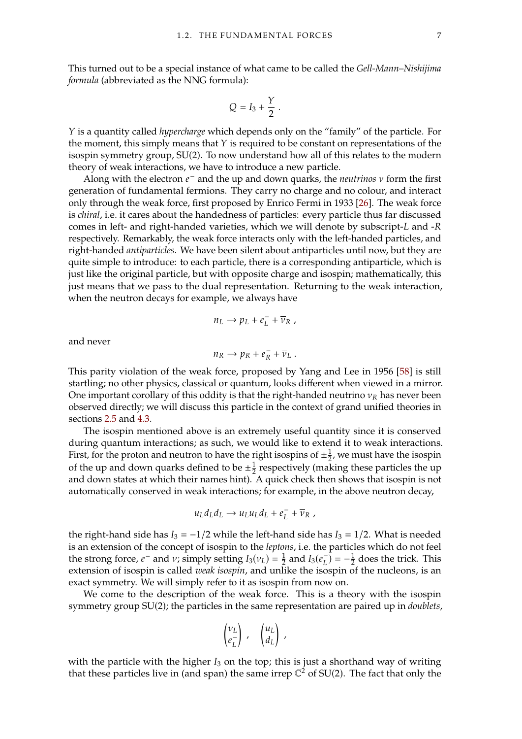This turned out to be a special instance of what came to be called the *Gell-Mann–Nishijima formula* (abbreviated as the NNG formula):

$$
Q = I_3 + \frac{Y}{2} \ .
$$

𝑌 is a quantity called *hypercharge* which depends only on the "family" of the particle. For the moment, this simply means that  $Y$  is required to be constant on representations of the isospin symmetry group, SU(2). To now understand how all of this relates to the modern theory of weak interactions, we have to introduce a new particle.

Along with the electron  $e^-$  and the up and down quarks, the *neutrinos*  $\nu$  form the first existing of fundamental fermions. They carry no charge and no colour, and interact generation of fundamental fermions. They carry no charge and no colour, and interact only through the weak force, first proposed by Enrico Fermi in 1933 [\[26\]](#page-77-7). The weak force is *chiral*, i.e. it cares about the handedness of particles: every particle thus far discussed comes in left- and right-handed varieties, which we will denote by subscript-L and -R respectively. Remarkably, the weak force interacts only with the left-handed particles, and right-handed *antiparticles*. We have been silent about antiparticles until now, but they are quite simple to introduce: to each particle, there is a corresponding antiparticle, which is just like the original particle, but with opposite charge and isospin; mathematically, this just means that we pass to the dual representation. Returning to the weak interaction, when the neutron decays for example, we always have

$$
n_L \to p_L + e^-_L + \overline{\nu}_R,
$$

and never

$$
n_R \to p_R + e_R^- + \overline{\nu}_L .
$$

This parity violation of the weak force, proposed by Yang and Lee in 1956 [\[58\]](#page-79-3) is still startling; no other physics, classical or quantum, looks different when viewed in a mirror. One important corollary of this oddity is that the right-handed neutrino  $v_R$  has never been observed directly; we will discuss this particle in the context of grand unified theories in sections [2.5](#page-41-0) and [4.3.](#page-68-0)

The isospin mentioned above is an extremely useful quantity since it is conserved during quantum interactions; as such, we would like to extend it to weak interactions. First, for the proton and neutron to have the right isospins of  $\pm \frac{1}{2}$  $\frac{1}{2}$ , we must have the isospin of the up and down quarks defined to be  $\pm \frac{1}{2}$  $\frac{1}{2}$  respectively (making these particles the up and down states at which their names hint). A quick check then shows that isospin is not automatically conserved in weak interactions; for example, in the above neutron decay,

$$
u_L d_L d_L \to u_L u_L d_L + e^-_L + \overline{\nu}_R ,
$$

the right-hand side has  $I_3 = -1/2$  while the left-hand side has  $I_3 = 1/2$ . What is needed is an extension of the concept of isospin to the *leptons*, i.e. the particles which do not feel the strong force,  $e^-$  and  $v$ ; simply setting  $I_3(v_L) = \frac{1}{2}$ <br>extension of isospin is called *weak* isospin, and unli  $\frac{1}{2}$  and  $I_3(e_L^-) = -\frac{1}{2}$ extension of isospin is called *weak isospin*, and unlike the isospin of the nucleons, is an  $\frac{1}{2}$  does the trick. This exact symmetry. We will simply refer to it as isospin from now on.

We come to the description of the weak force. This is a theory with the isospin symmetry group SU(2); the particles in the same representation are paired up in *doublets*,

$$
\begin{pmatrix} v_L \\ e_L^- \end{pmatrix}, \quad \begin{pmatrix} u_L \\ d_L \end{pmatrix},
$$

with the particle with the higher  $I_3$  on the top; this is just a shorthand way of writing that these particles live in (and span) the same irrep  $\mathbb{C}^2$  of SU(2). The fact that only the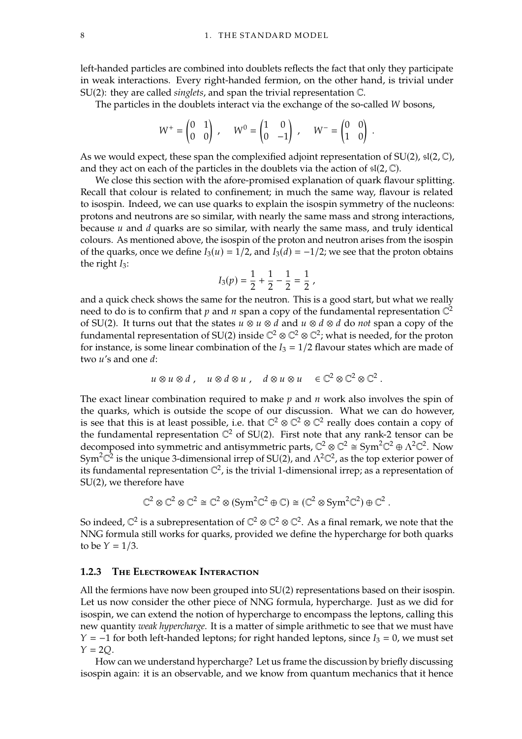left-handed particles are combined into doublets reflects the fact that only they participate in weak interactions. Every right-handed fermion, on the other hand, is trivial under SU(2): they are called *singlets*, and span the trivial representation C.

The particles in the doublets interact via the exchange of the so-called W bosons,

$$
W^+ = \begin{pmatrix} 0 & 1 \\ 0 & 0 \end{pmatrix} , \quad W^0 = \begin{pmatrix} 1 & 0 \\ 0 & -1 \end{pmatrix} , \quad W^- = \begin{pmatrix} 0 & 0 \\ 1 & 0 \end{pmatrix} .
$$

As we would expect, these span the complexified adjoint representation of  $SU(2)$ ,  $\mathfrak{sl}(2,\mathbb{C})$ , and they act on each of the particles in the doublets via the action of  $\mathfrak{sl}(2,\mathbb{C})$ .

We close this section with the afore-promised explanation of quark flavour splitting. Recall that colour is related to confinement; in much the same way, flavour is related to isospin. Indeed, we can use quarks to explain the isospin symmetry of the nucleons: protons and neutrons are so similar, with nearly the same mass and strong interactions, because  $u$  and  $d$  quarks are so similar, with nearly the same mass, and truly identical colours. As mentioned above, the isospin of the proton and neutron arises from the isospin of the quarks, once we define  $I_3(u) = 1/2$ , and  $I_3(d) = -1/2$ ; we see that the proton obtains the right  $I_3$ :

$$
I_3(p)=\frac{1}{2}+\frac{1}{2}-\frac{1}{2}=\frac{1}{2}\;,
$$

and a quick check shows the same for the neutron. This is a good start, but what we really need to do is to confirm that p and n span a copy of the fundamental representation  $\mathbb{C}^2$ <br>of SU(2). It turns out that the states  $\mathcal{U} \otimes \mathcal{U} \otimes \mathcal{U} \otimes \mathcal{U} \otimes \mathcal{U} \otimes \mathcal{U}$  do not span a copy of the of SU(2). It turns out that the states  $u \otimes u \otimes d$  and  $u \otimes d \otimes d$  do *not* span a copy of the fundamental representation of SU(2) inside  $\mathbb{C}^2 \otimes \mathbb{C}^2 \otimes \mathbb{C}^2$ ; what is needed, for the proton for instance, is some linear combination of the  $I_3 = 1/2$  flavour states which are made of two  $u'$ s and one  $d$ :

$$
u\otimes u\otimes d\;,\quad u\otimes d\otimes u\;,\quad d\otimes u\otimes u\quad\in\mathbb{C}^2\otimes\mathbb{C}^2\otimes\mathbb{C}^2
$$

The exact linear combination required to make  $p$  and  $n$  work also involves the spin of the quarks, which is outside the scope of our discussion. What we can do however, is see that this is at least possible, i.e. that  $\mathbb{C}^2 \otimes \mathbb{C}^2 \otimes \mathbb{C}^2$  really does contain a copy of the fundamental representation  $\mathbb{C}^2$  of SU(2). First note that any rank-2 tensor can be decomposed into symmetric and antisymmetric parts,  $\mathbb{C}^2 \otimes \mathbb{C}^2 \cong \text{Sym}^2\mathbb{C}^2 \oplus \Lambda^2\mathbb{C}^2$ . Now Sym<sup>2</sup> $\mathbb{C}^2$  is the unique 3-dimensional irrep of SU(2), and  $\Lambda^2\mathbb{C}^2$ , as the top exterior power of its fundamental representation  $\mathbb{C}^2$ , is the trivial 1-dimensional irrep; as a representation of SU(2), we therefore have

$$
\mathbb{C}^2 \otimes \mathbb{C}^2 \otimes \mathbb{C}^2 \cong \mathbb{C}^2 \otimes (\text{Sym}^2 \mathbb{C}^2 \oplus \mathbb{C}) \cong (\mathbb{C}^2 \otimes \text{Sym}^2 \mathbb{C}^2) \oplus \mathbb{C}^2.
$$

So indeed,  $\mathbb{C}^2$  is a subrepresentation of  $\mathbb{C}^2 \otimes \mathbb{C}^2 \otimes \mathbb{C}^2$ . As a final remark, we note that the NNG formula still works for quarks, provided we define the hypercharge for both quarks to be  $Y = 1/3$ .

#### <span id="page-19-0"></span>**1.2.3 The Electroweak Interaction**

All the fermions have now been grouped into SU(2) representations based on their isospin. Let us now consider the other piece of NNG formula, hypercharge. Just as we did for isospin, we can extend the notion of hypercharge to encompass the leptons, calling this new quantity *weak hypercharge*. It is a matter of simple arithmetic to see that we must have  $Y = -1$  for both left-handed leptons; for right handed leptons, since  $I_3 = 0$ , we must set  $Y = 2O.$ 

How can we understand hypercharge? Let us frame the discussion by briefly discussing isospin again: it is an observable, and we know from quantum mechanics that it hence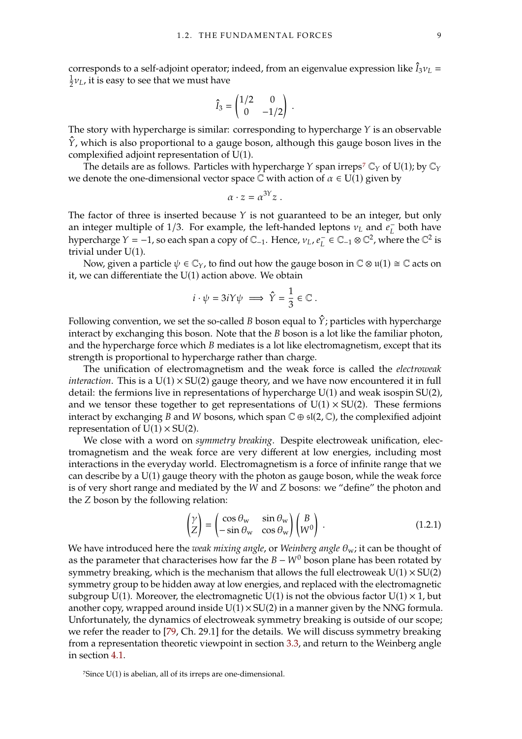corresponds to a self-adjoint operator; indeed, from an eigenvalue expression like  $\tilde{I}_3v_L$  = 1  $\frac{1}{2}v_L$ , it is easy to see that we must have

$$
\hat{I}_3 = \begin{pmatrix} 1/2 & 0 \\ 0 & -1/2 \end{pmatrix} \, .
$$

The story with hypercharge is similar: corresponding to hypercharge  $Y$  is an observable  $\hat{Y}$ , which is also proportional to a gauge boson, although this gauge boson lives in the complexified adjoint representation of U(1).

The details are as follows. Particles with hypercharge Y span irreps<sup>[7](#page-20-0)</sup>  $\mathbb{C}_Y$  of U(1); by  $\mathbb{C}_Y$ we denote the one-dimensional vector space  $\mathbb C$  with action of  $\alpha \in U(1)$  given by

$$
\alpha \cdot z = \alpha^{3Y} z \; .
$$

The factor of three is inserted because  $Y$  is not guaranteed to be an integer, but only an integer multiple of 1/3. For example, the left-handed leptons  $v_L$  and  $e_L^-$  both have hypercharge  $Y = -1$ , so each span a copy of  $\mathbb{C}_{-1}$ . Hence,  $v_L$ ,  $e_L^-\in \mathbb{C}_{-1}\otimes \mathbb{C}^2$ , where  $\in \mathbb{C}_{-1} \otimes \mathbb{C}^2$ , where the  $\mathbb{C}^2$  is trivial under U(1).

Now, given a particle  $\psi \in \mathbb{C}_Y$ , to find out how the gauge boson in  $\mathbb{C} \otimes \mathfrak{u}(1) \cong \mathbb{C}$  acts on it, we can differentiate the  $U(1)$  action above. We obtain

$$
i\cdot\psi=3iY\psi\implies\hat{Y}=\frac{1}{3}\in\mathbb{C}\;.
$$

Following convention, we set the so-called B boson equal to  $\hat{Y}$ ; particles with hypercharge interact by exchanging this boson. Note that the  $B$  boson is a lot like the familiar photon, and the hypercharge force which  $B$  mediates is a lot like electromagnetism, except that its strength is proportional to hypercharge rather than charge.

The unification of electromagnetism and the weak force is called the *electroweak interaction*. This is a  $U(1) \times SU(2)$  gauge theory, and we have now encountered it in full detail: the fermions live in representations of hypercharge  $U(1)$  and weak isospin  $SU(2)$ , and we tensor these together to get representations of  $U(1) \times SU(2)$ . These fermions interact by exchanging B and W bosons, which span  $\mathbb{C} \oplus \mathfrak{sl}(2, \mathbb{C})$ , the complexified adjoint representation of  $U(1) \times SU(2)$ .

We close with a word on *symmetry breaking*. Despite electroweak unification, electromagnetism and the weak force are very different at low energies, including most interactions in the everyday world. Electromagnetism is a force of infinite range that we can describe by a U(1) gauge theory with the photon as gauge boson, while the weak force is of very short range and mediated by the  $W$  and  $Z$  bosons: we "define" the photon and the  $Z$  boson by the following relation:

$$
\begin{pmatrix} \gamma \\ Z \end{pmatrix} = \begin{pmatrix} \cos \theta_{\rm w} & \sin \theta_{\rm w} \\ -\sin \theta_{\rm w} & \cos \theta_{\rm w} \end{pmatrix} \begin{pmatrix} B \\ W^0 \end{pmatrix} . \tag{1.2.1}
$$

We have introduced here the *weak mixing angle*, or *Weinberg angle*  $\theta_w$ ; it can be thought of as the parameter that characterises how far the  $B - W^0$  boson plane has been rotated by symmetry breaking, which is the mechanism that allows the full electroweak  $U(1) \times SU(2)$ symmetry group to be hidden away at low energies, and replaced with the electromagnetic subgroup U(1). Moreover, the electromagnetic U(1) is not the obvious factor U(1)  $\times$  1, but another copy, wrapped around inside  $U(1) \times SU(2)$  in a manner given by the NNG formula. Unfortunately, the dynamics of electroweak symmetry breaking is outside of our scope; we refer the reader to [\[79,](#page-80-3) Ch. 29.1] for the details. We will discuss symmetry breaking from a representation theoretic viewpoint in section [3.3,](#page-54-0) and return to the Weinberg angle in section [4.1.](#page-60-1)

<span id="page-20-0"></span> $7$ Since  $U(1)$  is abelian, all of its irreps are one-dimensional.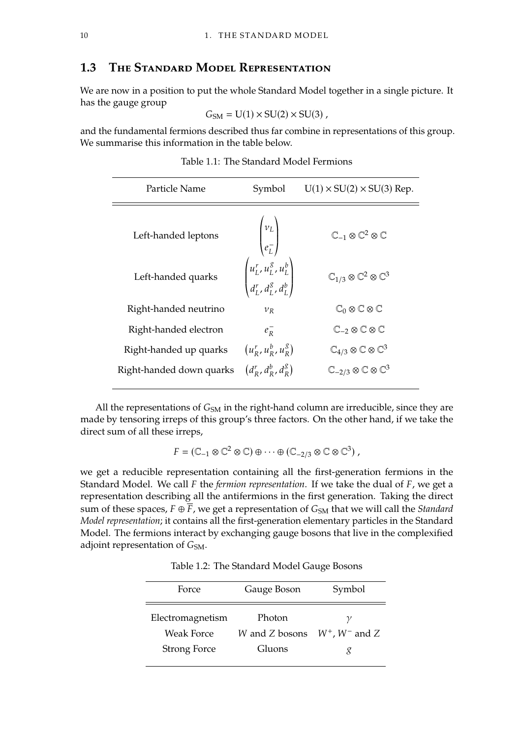#### <span id="page-21-0"></span>**1.3 The Standard Model Representation**

We are now in a position to put the whole Standard Model together in a single picture. It has the gauge group

$$
G_{\rm SM} = \mathrm{U}(1) \times \mathrm{SU}(2) \times \mathrm{SU}(3) ,
$$

<span id="page-21-1"></span>and the fundamental fermions described thus far combine in representations of this group. We summarise this information in the table below.

| Particle Name            | Symbol                                                                     | $U(1) \times SU(2) \times SU(3)$ Rep.                        |
|--------------------------|----------------------------------------------------------------------------|--------------------------------------------------------------|
| Left-handed leptons      | $\begin{pmatrix} v_L \\ e_L^- \end{pmatrix}$                               | $\mathbb{C}_{-1}\otimes\mathbb{C}^2\otimes\mathbb{C}$        |
| Left-handed quarks       | $\begin{pmatrix} u_L^r, u_L^g, u_L^b \\ d_L^r, d_L^g, d_L^b \end{pmatrix}$ | $\mathbb{C}_{1/3} \otimes \mathbb{C}^2 \otimes \mathbb{C}^3$ |
| Right-handed neutrino    | $v_R$                                                                      | $\mathbb{C}_0 \otimes \mathbb{C} \otimes \mathbb{C}$         |
| Right-handed electron    | $e^-_R$                                                                    | $\mathbb{C}\rightarrow\otimes\mathbb{C}\otimes\mathbb{C}$    |
| Right-handed up quarks   | $(u_p^r, u_p^b, u_p^g)$                                                    | $\mathbb{C}_{4/3}\otimes\mathbb{C}\otimes\mathbb{C}^3$       |
| Right-handed down quarks | $(d_p^r, d_p^b, d_p^g)$                                                    | $\mathbb{C}_{-2/3} \otimes \mathbb{C} \otimes \mathbb{C}^3$  |
|                          |                                                                            |                                                              |

Table 1.1: The Standard Model Fermions

All the representations of  $G<sub>SM</sub>$  in the right-hand column are irreducible, since they are made by tensoring irreps of this group's three factors. On the other hand, if we take the direct sum of all these irreps,

$$
F=(\mathbb{C}_{-1}\otimes\mathbb{C}^2\otimes\mathbb{C})\oplus\cdots\oplus(\mathbb{C}_{-2/3}\otimes\mathbb{C}\otimes\mathbb{C}^3),
$$

we get a reducible representation containing all the first-generation fermions in the Standard Model. We call *F* the *fermion representation*. If we take the dual of *F*, we get a representation describing all the antifermions in the first generation. Taking the direct sum of these spaces,  $F \oplus \overline{F}$ , we get a representation of  $G<sub>SM</sub>$  that we will call the *Standard Model representation*; it contains all the first-generation elementary particles in the Standard Model. The fermions interact by exchanging gauge bosons that live in the complexified adjoint representation of  $G<sub>SM</sub>$ .

Table 1.2: The Standard Model Gauge Bosons

| Force                                                        | Gauge Boson                        | Symbol                |
|--------------------------------------------------------------|------------------------------------|-----------------------|
| Electromagnetism<br><b>Weak Force</b><br><b>Strong Force</b> | Photon<br>W and Z bosons<br>Gluons | $W^+$ , $W^-$ and $Z$ |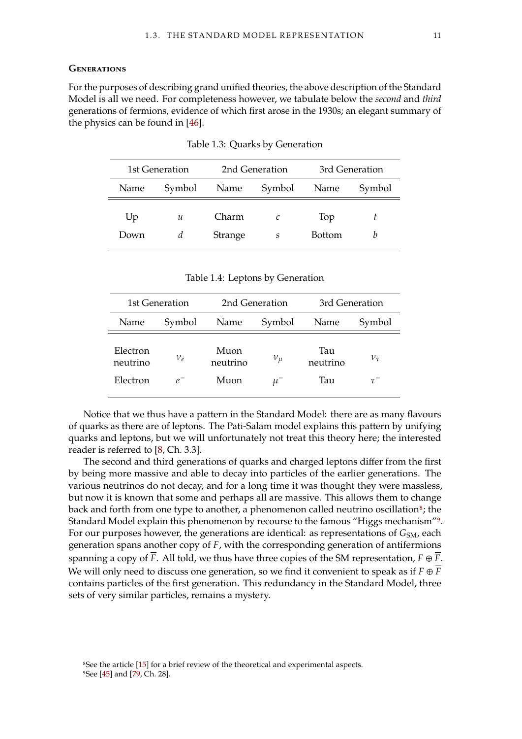#### **Generations**

For the purposes of describing grand unified theories, the above description of the Standard Model is all we need. For completeness however, we tabulate below the *second* and *third* generations of fermions, evidence of which first arose in the 1930s; an elegant summary of the physics can be found in [\[46\]](#page-78-7).

|           | 1st Generation |                | 2nd Generation    | 3rd Generation |        |  |
|-----------|----------------|----------------|-------------------|----------------|--------|--|
| Name      | Symbol         | Symbol<br>Name |                   | Name           | Symbol |  |
|           |                |                |                   |                |        |  |
| Up        | $\mathcal{U}$  | Charm          | $\mathcal{C}_{0}$ | Top            |        |  |
| d<br>Down |                | <b>Strange</b> | S                 | <b>Bottom</b>  |        |  |
|           |                |                |                   |                |        |  |

Table 1.3: Quarks by Generation

Table 1.4: Leptons by Generation

|                                  | 1st Generation   |                          | 2nd Generation       | 3rd Generation         |            |  |
|----------------------------------|------------------|--------------------------|----------------------|------------------------|------------|--|
| Name                             | Symbol           | Name                     | Symbol               | Name                   | Symbol     |  |
| Electron<br>neutrino<br>Electron | $\nu_e$<br>$e^-$ | Muon<br>neutrino<br>Muon | $\nu_\mu$<br>$\mu^-$ | Tau<br>neutrino<br>Tau | $v_{\tau}$ |  |

Notice that we thus have a pattern in the Standard Model: there are as many flavours of quarks as there are of leptons. The Pati-Salam model explains this pattern by unifying quarks and leptons, but we will unfortunately not treat this theory here; the interested reader is referred to [\[8,](#page-76-0) Ch. 3.3].

<span id="page-22-1"></span><span id="page-22-0"></span>The second and third generations of quarks and charged leptons differ from the first by being more massive and able to decay into particles of the earlier generations. The various neutrinos do not decay, and for a long time it was thought they were massless, but now it is known that some and perhaps all are massive. This allows them to change back and forth from one type to another, a phenomenon called neutrino oscillation<sup>[8](#page-22-0)</sup>; the Standard Model explain this phenomenon by recourse to the famous "Higgs mechanism"[9](#page-22-1). For our purposes however, the generations are identical: as representations of  $G<sub>SM</sub>$ , each generation spans another copy of  $F$ , with the corresponding generation of antifermions spanning a copy of F. All told, we thus have three copies of the SM representation,  $F \oplus F$ . We will only need to discuss one generation, so we find it convenient to speak as if  $F \oplus \overline{F}$ contains particles of the first generation. This redundancy in the Standard Model, three sets of very similar particles, remains a mystery.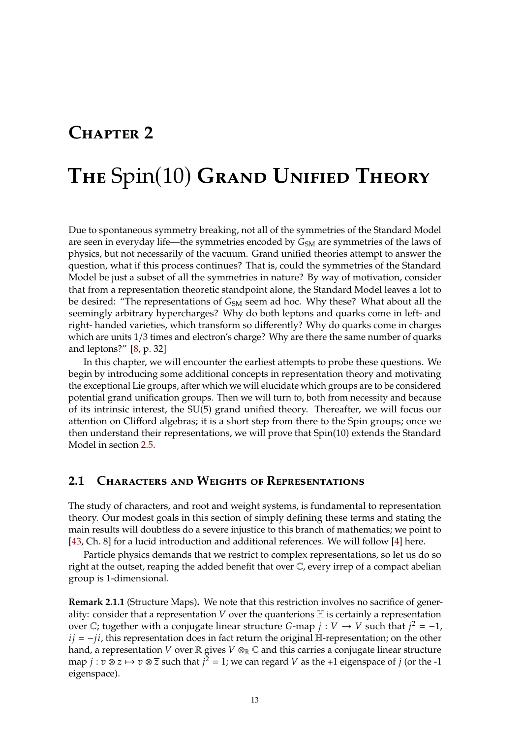### <span id="page-24-0"></span>**Chapter 2**

## **The** Spin(10) **Grand Unified Theory**

Due to spontaneous symmetry breaking, not all of the symmetries of the Standard Model are seen in everyday life—the symmetries encoded by  $G<sub>SM</sub>$  are symmetries of the laws of physics, but not necessarily of the vacuum. Grand unified theories attempt to answer the question, what if this process continues? That is, could the symmetries of the Standard Model be just a subset of all the symmetries in nature? By way of motivation, consider that from a representation theoretic standpoint alone, the Standard Model leaves a lot to be desired: "The representations of G<sub>SM</sub> seem ad hoc. Why these? What about all the seemingly arbitrary hypercharges? Why do both leptons and quarks come in left- and right- handed varieties, which transform so differently? Why do quarks come in charges which are units 1/3 times and electron's charge? Why are there the same number of quarks and leptons?" [\[8,](#page-76-0) p. 32]

In this chapter, we will encounter the earliest attempts to probe these questions. We begin by introducing some additional concepts in representation theory and motivating the exceptional Lie groups, after which we will elucidate which groups are to be considered potential grand unification groups. Then we will turn to, both from necessity and because of its intrinsic interest, the SU(5) grand unified theory. Thereafter, we will focus our attention on Clifford algebras; it is a short step from there to the Spin groups; once we then understand their representations, we will prove that Spin(10) extends the Standard Model in section [2.5.](#page-41-0)

#### <span id="page-24-1"></span>**2.1 Characters and Weights of Representations**

The study of characters, and root and weight systems, is fundamental to representation theory. Our modest goals in this section of simply defining these terms and stating the main results will doubtless do a severe injustice to this branch of mathematics; we point to [\[43,](#page-78-1) Ch. 8] for a lucid introduction and additional references. We will follow [\[4\]](#page-76-1) here.

Particle physics demands that we restrict to complex representations, so let us do so right at the outset, reaping the added benefit that over C, every irrep of a compact abelian group is 1-dimensional.

**Remark 2.1.1** (Structure Maps)**.** We note that this restriction involves no sacrifice of generality: consider that a representation  $V$  over the quanterions  $H$  is certainly a representation over C; together with a conjugate linear structure *G*-map  $j: V \to V$  such that  $j^2 = -1$ ,  $ji = -ji$  this representation does in fact return the original H-representation; on the other  $ij = -ji$ , this representation does in fact return the original H-representation; on the other hand, a representation  $V$  over  $\mathbb R$  gives  $V \otimes_{\mathbb R} \mathbb C$  and this carries a conjugate linear structure map  $j : v \otimes z \mapsto v \otimes \overline{z}$  such that  $j^2 = 1$ ; we can regard V as the +1 eigenspace of  $j$  (or the -1 eigenspace) eigenspace).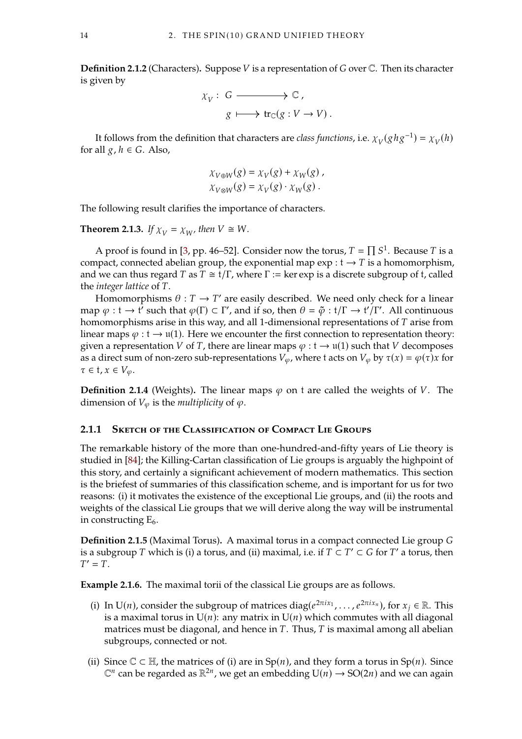**Definition 2.1.2** (Characters). Suppose  $V$  is a representation of  $G$  over  $\mathbb{C}$ . Then its character is given by

$$
\begin{aligned}\n\chi_V: \ G &\xrightarrow{\quad} \mathbb{C}\, ,\\ \ng &\longmapsto \text{tr}_{\mathbb{C}}(g:V\to V)\, .\n\end{aligned}
$$

It follows from the definition that characters are *class functions*, i.e.  $\chi_V(ghg^{-1}) = \chi_V(h)$ <br>all  $g, h \in C$ , Also for all  $g, h \in G$ . Also,

$$
\chi_{V \oplus W}(g) = \chi_V(g) + \chi_W(g) ,
$$
  

$$
\chi_{V \otimes W}(g) = \chi_V(g) \cdot \chi_W(g) .
$$

The following result clarifies the importance of characters.

**Theorem 2.1.3.** *If*  $\chi_V = \chi_W$ , then  $V \cong W$ .

A proof is found in [\[3,](#page-76-4) pp. 46–52]. Consider now the torus,  $T = \prod S^1$ . Because  $T$  is a homomorphism compact, connected abelian group, the exponential map  $\exp: t \to T$  is a homomorphism, and we can thus regard  $T$  as  $T \cong t/\Gamma$ , where  $\Gamma := \ker \exp i$  is a discrete subgroup of t, called the *integer lattice* of T.

Homomorphisms  $\theta : T \to T'$  are easily described. We need only check for a linear  $\theta \circ t \to t'$  such that  $\mathcal{O}(\Gamma) \subset \Gamma'$  and if so, then  $\theta = \tilde{\theta} : t/\Gamma \to t'/\Gamma'$ . All continuous map  $\varphi : t \to t'$  such that  $\varphi(\Gamma) \subset \Gamma'$ , and if so, then  $\theta = \tilde{\varphi} : t/\Gamma \to t'/\Gamma'$ . All continuous homomorphisms arise in this way, and all 1-dimensional representations of  $T$  arise from linear maps  $\varphi : t \to u(1)$ . Here we encounter the first connection to representation theory: given a representation *V* of *T*, there are linear maps  $\varphi : t \to u(1)$  such that *V* decomposes as a direct sum of non-zero sub-representations  $V_{\varphi}$ , where t acts on  $V_{\varphi}$  by  $\tau(x) = \varphi(\tau)x$  for  $\tau \in \mathfrak{t}, x \in V_{\varphi}.$ 

**Definition 2.1.4** (Weights). The linear maps  $\varphi$  on t are called the weights of *V*. The dimension of  $V_{\varphi}$  is the *multiplicity* of  $\varphi$ .

#### <span id="page-25-0"></span>**2.1.1 Sketch of the Classification of Compact Lie Groups**

The remarkable history of the more than one-hundred-and-fifty years of Lie theory is studied in [\[84\]](#page-80-6); the Killing-Cartan classification of Lie groups is arguably the highpoint of this story, and certainly a significant achievement of modern mathematics. This section is the briefest of summaries of this classification scheme, and is important for us for two reasons: (i) it motivates the existence of the exceptional Lie groups, and (ii) the roots and weights of the classical Lie groups that we will derive along the way will be instrumental in constructing  $E_6$ .

**Definition 2.1.5** (Maximal Torus). A maximal torus in a compact connected Lie group G is a subgroup  $T$  which is (i) a torus, and (ii) maximal, i.e. if  $T \subset T' \subset G$  for  $T'$  a torus, then  $T' - T$  $T' = T$ .

<span id="page-25-1"></span>**Example 2.1.6.** The maximal torii of the classical Lie groups are as follows.

- (i) In U(*n*), consider the subgroup of matrices diag( $e^{2\pi i x_1}, \dots, e^{2\pi i x_n}$ ), for  $x_j \in \mathbb{R}$ . This is a maximal torus in  $U(n)$ ; any matrix in  $U(n)$  which commutes with all diagonal is a maximal torus in  $U(n)$ : any matrix in  $U(n)$  which commutes with all diagonal matrices must be diagonal, and hence in  $T$ . Thus,  $T$  is maximal among all abelian subgroups, connected or not.
- (ii) Since  $\mathbb{C} \subset \mathbb{H}$ , the matrices of (i) are in Sp(*n*), and they form a torus in Sp(*n*). Since  $\mathbb{C}^n$  can be regarded as  $\mathbb{R}^{2n}$ , we get an embedding  $U(n) \to SO(2n)$  and we can again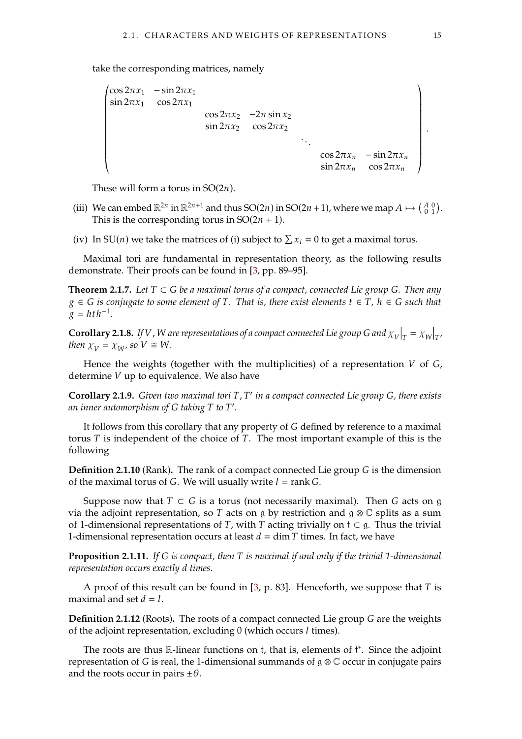take the corresponding matrices, namely

```
©
I
I
I
I
I
I
I
I
I
l
 \cos 2\pi x_1 – \sin 2\pi x_1\sin 2\pi x_1 \cos 2\pi x_1\cos 2\pi x_2 –2\pi \sin x_2\sin 2\pi x_2 \cos 2\pi x_2\cos 2\pi x_n – \sin 2\pi x_n\sin 2\pi x_nª
                                                                                                              ®
                                                                                                              ®
                                                                                                              ®
                                                                                                              ®
                                                                                                              ®
                                                                                                              ®
                                                                                                              ®
                                                                                                              ®
                                                                                                              ®
                                                                                                              \overline{ }
```
These will form a torus in  $SO(2n)$ .

«

- (iii) We can embed  $\mathbb{R}^{2n}$  in  $\mathbb{R}^{2n+1}$  and thus  $SO(2n)$  in  $SO(2n+1)$ , where we map  $A \mapsto \begin{pmatrix} A & 0 \\ 0 & 1 \end{pmatrix}$ .<br>This is the corresponding torus in  $SO(2n+1)$ . This is the corresponding torus in  $SO(2n + 1)$ .
- (iv) In SU(*n*) we take the matrices of (i) subject to  $\sum x_i = 0$  to get a maximal torus.

Maximal tori are fundamental in representation theory, as the following results demonstrate. Their proofs can be found in [\[3,](#page-76-4) pp. 89–95].

**Theorem 2.1.7.** Let  $T \subset G$  be a maximal torus of a compact, connected Lie group G. Then any  $g \in G$  *is conjugate to some element of* T. That *is, there exist elements*  $t \in T$ *, h*  $\in G$  *such that*  $g = h t h^{-1}.$ 

**Corollary 2.1.8.** If V, W are representations of a compact connected Lie group G and  $\chi_V|_{T} = \chi_W|_{T}$ , then  $\chi_{\perp} = \chi_{\perp} = \chi_V$ *then*  $\chi_V = \chi_{W'}$  so  $V \cong W$ .

Hence the weights (together with the multiplicities) of a representation  $V$  of  $G$ , determine  $V$  up to equivalence. We also have

**Corollary 2.1.9.** *Given two maximal tori*  $T$ ,  $T'$  *in a compact connected Lie group G*, *there exists* an inner automorphism of G taking T to T'.

It follows from this corollary that any property of  $G$  defined by reference to a maximal torus  $T$  is independent of the choice of  $T$ . The most important example of this is the following

**Definition 2.1.10** (Rank). The rank of a compact connected Lie group *G* is the dimension of the maximal torus of G. We will usually write  $l = \text{rank } G$ .

Suppose now that  $T \subset G$  is a torus (not necessarily maximal). Then G acts on g via the adjoint representation, so T acts on g by restriction and  $\mathfrak{g} \otimes \mathbb{C}$  splits as a sum of 1-dimensional representations of T, with T acting trivially on  $t \subset g$ . Thus the trivial 1-dimensional representation occurs at least  $d = \dim T$  times. In fact, we have

**Proposition 2.1.11.** *If* G *is compact, then* T *is maximal if and only if the trivial 1-dimensional representation occurs exactly d times.* 

A proof of this result can be found in  $[3, p. 83]$  $[3, p. 83]$ . Henceforth, we suppose that T is maximal and set  $d = l$ .

**Definition 2.1.12** (Roots). The roots of a compact connected Lie group *G* are the weights of the adjoint representation, excluding  $0$  (which occurs  $l$  times).

The roots are thus  $\mathbb R$ -linear functions on t, that is, elements of  $t^*$ . Since the adjoint representation of G is real, the 1-dimensional summands of  $\alpha \otimes \mathbb{C}$  occur in conjugate pairs and the roots occur in pairs  $\pm \theta$ .

 $^{\prime}$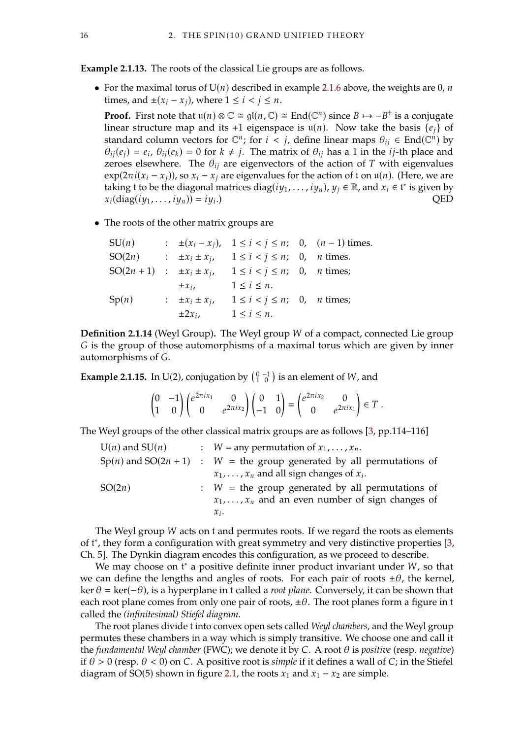**Example 2.1.13.** The roots of the classical Lie groups are as follows.

• For the maximal torus of  $U(n)$  described in example [2.1.6](#page-25-1) above, the weights are 0, *n* times, and  $\pm(x_i - x_j)$ , where  $1 \leq i \leq j \leq n$ .

**Proof.** First note that  $u(n) \otimes \mathbb{C} \cong \mathfrak{gl}(n, \mathbb{C}) \cong \text{End}(\mathbb{C}^n)$  since  $B \mapsto -B^{\dagger}$  is a conjugate linear structure man and its +1 eigenspace is  $u(n)$ . Now take the basis *leaf* of linear structure map and its +1 eigenspace is  $u(n)$ . Now take the basis  $\{e_i\}$  of standard column vectors for  $\mathbb{C}^n$ ; for  $i < j$ , define linear maps  $\theta_{ij} \in \text{End}(\mathbb{C}^n)$  by<br> $\theta_{ij}(\alpha) = e_i$ ,  $\theta_{ij}(\alpha) = 0$  for  $k \neq i$ . The matrix of  $\theta_{ij}$  has a 1 in the *i*<sub>1</sub>th place and  $\theta_{ij}(e_j) = e_i$ ,  $\theta_{ij}(e_k) = 0$  for  $k \neq j$ . The matrix of  $\theta_{ij}$  has a 1 in the *ij*-th place and zoroos elsowhere. The  $\theta_{ij}$  are eigenvectors of the action of *T* with eigenvalues zeroes elsewhere. The  $\theta_{ij}$  are eigenvectors of the action of T with eigenvalues  $exp(2\pi i(x_i - x_j))$ , so  $x_i - x_j$  are eigenvalues for the action of t on  $u(n)$ . (Here, we are taking t to be the diagonal matrices diag( $iy_1, \ldots, iy_n$ ),  $y_j \in \mathbb{R}$ , and  $x_i \in t^*$  is given by  $\chi$  (diag( $iy_1, \ldots, iy_n$ )) =  $iy_i$ ))  $x_i$ (diag( $iy_1, \ldots, iy_n$ )) =  $iy_i$ .)  $\sum_{i=1}^{n}$ 

• The roots of the other matrix groups are

| SU(n)                              |                     | : $\pm (x_i - x_j)$ , $1 \le i < j \le n$ ; 0, $(n-1)$ times. |  |
|------------------------------------|---------------------|---------------------------------------------------------------|--|
| SO(2n)                             | $\pm x_i \pm x_j$   | $1 \leq i < j \leq n$ ; 0, <i>n</i> times.                    |  |
| $SO(2n + 1)$ : $\pm x_i \pm x_j$ , |                     | $1 \leq i < j \leq n$ ; 0, <i>n</i> times;                    |  |
|                                    | $\pm x_i$           | $1\leq i\leq n$ .                                             |  |
| Sp(n)                              | $\pm x_i \pm x_j$ , | $1 \leq i < j \leq n$ ; 0, <i>n</i> times;                    |  |
|                                    | $\pm 2x_i$          | $1\leq i\leq n$ .                                             |  |
|                                    |                     |                                                               |  |

**Definition 2.1.14** (Weyl Group). The Weyl group W of a compact, connected Lie group G is the group of those automorphisms of a maximal torus which are given by inner automorphisms of G.

**Example 2.1.15.** In U(2), conjugation by  $\begin{pmatrix} 0 & -1 \\ 1 & 0 \end{pmatrix}$  is an element of *W*, and

|  |  |  | $\begin{pmatrix} 0 & -1 \\ 1 & 0 \end{pmatrix} \begin{pmatrix} e^{2\pi i x_1} & 0 \\ 0 & e^{2\pi i x_2} \end{pmatrix} \begin{pmatrix} 0 & 1 \\ -1 & 0 \end{pmatrix} = \begin{pmatrix} e^{2\pi i x_2} & 0 \\ 0 & e^{2\pi i x_1} \end{pmatrix} \in T \ .$ |  |  |  |  |  |  |
|--|--|--|---------------------------------------------------------------------------------------------------------------------------------------------------------------------------------------------------------------------------------------------------------|--|--|--|--|--|--|
|--|--|--|---------------------------------------------------------------------------------------------------------------------------------------------------------------------------------------------------------------------------------------------------------|--|--|--|--|--|--|

The Weyl groups of the other classical matrix groups are as follows [\[3,](#page-76-4) pp.114–116]

| $U(n)$ and $SU(n)$ | : $W =$ any permutation of $x_1, \ldots, x_n$ .                           |
|--------------------|---------------------------------------------------------------------------|
|                    | $Sp(n)$ and $SO(2n + 1)$ : W = the group generated by all permutations of |
|                    | $x_1, \ldots, x_n$ and all sign changes of $x_i$ .                        |
| SO(2n)             | $\therefore$ W = the group generated by all permutations of               |
|                    | $x_1, \ldots, x_n$ and an even number of sign changes of                  |
|                    | $\chi_i$ .                                                                |
|                    |                                                                           |

The Weyl group  $W$  acts on t and permutes roots. If we regard the roots as elements of t\*, they form a configuration with great symmetry and very distinctive properties [\[3,](#page-76-4) Ch. 5]. The Dynkin diagram encodes this configuration, as we proceed to describe.

We may choose on  $t^*$  a positive definite inner product invariant under  $W$ , so that we can define the lengths and angles of roots. For each pair of roots  $\pm \theta$ , the kernel,  $\ker \theta = \ker(-\theta)$ , is a hyperplane in t called a *root plane*. Conversely, it can be shown that each root plane comes from only one pair of roots,  $\pm \theta$ . The root planes form a figure in t called the *(infinitesimal) Stiefel diagram*.

The root planes divide t into convex open sets called *Weyl chambers*, and the Weyl group permutes these chambers in a way which is simply transitive. We choose one and call it the *fundamental Weyl chamber* (FWC); we denote it by C. A root  $\theta$  is *positive* (resp. *negative*) if  $\theta > 0$  (resp.  $\theta < 0$ ) on C. A positive root is *simple* if it defines a wall of C; in the Stiefel diagram of SO(5) shown in figure [2.1,](#page-28-0) the roots  $x_1$  and  $x_1 - x_2$  are simple.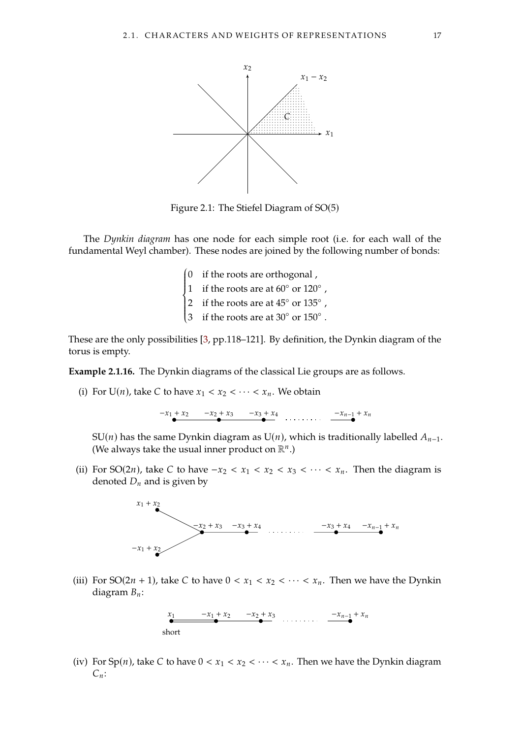<span id="page-28-0"></span>

Figure 2.1: The Stiefel Diagram of SO(5)

The *Dynkin diagram* has one node for each simple root (i.e. for each wall of the fundamental Weyl chamber). These nodes are joined by the following number of bonds:

- 0 if the roots are orthogonal,<br>1 if the roots are at  $60^\circ$  or  $120^\circ$
- $\left\{\begin{array}{c} \end{array}\right\}$
- , 2 if the roots are at 45◦ or 135◦
- $\bigg($ 3 if the roots are at  $30^\circ$  or  $150^\circ$ .

These are the only possibilities [\[3,](#page-76-4) pp.118–121]. By definition, the Dynkin diagram of the torus is empty.

<span id="page-28-1"></span>**Example 2.1.16.** The Dynkin diagrams of the classical Lie groups are as follows.

(i) For U(*n*), take C to have  $x_1 < x_2 < \cdots < x_n$ . We obtain

$$
-x_1 + x_2 \qquad -x_2 + x_3 \qquad -x_3 + x_4 \qquad \qquad -x_{n-1} + x_n
$$

SU(*n*) has the same Dynkin diagram as U(*n*), which is traditionally labelled  $A_{n-1}$ . (We always take the usual inner product on  $\mathbb{R}^n$ .)

(ii) For SO(2*n*), take C to have  $-x_2 < x_1 < x_2 < x_3 < \cdots < x_n$ . Then the diagram is denoted  $D_n$  and is given by



(iii) For  $SO(2n + 1)$ , take C to have  $0 < x_1 < x_2 < \cdots < x_n$ . Then we have the Dynkin diagram  $B_n$ :



(iv) For Sp(*n*), take C to have  $0 < x_1 < x_2 < \cdots < x_n$ . Then we have the Dynkin diagram  $C_n$ :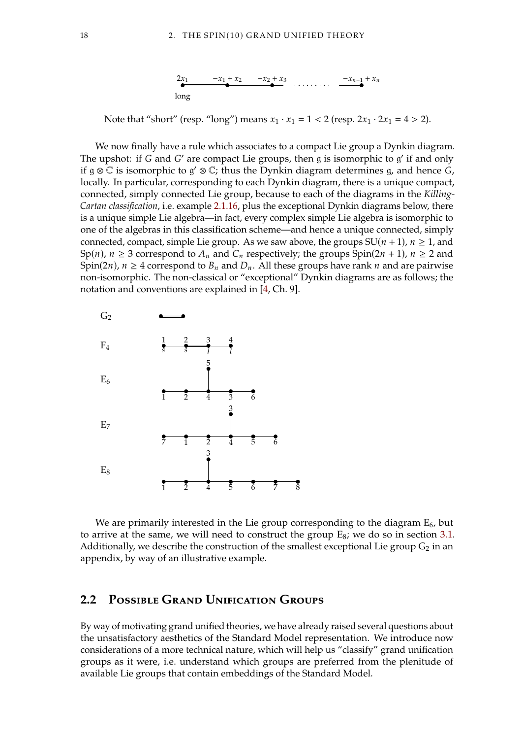

Note that "short" (resp. "long") means  $x_1 \cdot x_1 = 1 < 2$  (resp.  $2x_1 \cdot 2x_1 = 4 > 2$ ).

We now finally have a rule which associates to a compact Lie group a Dynkin diagram. The upshot: if G and G' are compact Lie groups, then g is isomorphic to g' if and only if and  $\overline{S}$  and  $\overline{S}$  is isomorphic to g'  $\otimes \mathbb{C}$ ; thus the Dynkin diagram determines a and hence G if  $\mathfrak{g} \otimes \mathbb{C}$  is isomorphic to  $\mathfrak{g}' \otimes \mathbb{C}$ ; thus the Dynkin diagram determines  $\mathfrak{g}$ , and hence  $\tilde{G}$ , locally, in particular corresponding to each Dynkin diagram, there is a unique compact locally. In particular, corresponding to each Dynkin diagram, there is a unique compact, connected, simply connected Lie group, because to each of the diagrams in the *Killing-Cartan classification*, i.e. example [2.1.16,](#page-28-1) plus the exceptional Dynkin diagrams below, there is a unique simple Lie algebra—in fact, every complex simple Lie algebra is isomorphic to one of the algebras in this classification scheme—and hence a unique connected, simply connected, compact, simple Lie group. As we saw above, the groups  $SU(n + 1)$ ,  $n \ge 1$ , and Sp(*n*),  $n \ge 3$  correspond to  $A_n$  and  $C_n$  respectively; the groups Spin(2*n* + 1),  $n \ge 2$  and Spin(2*n*),  $n \geq 4$  correspond to  $B_n$  and  $D_n$ . All these groups have rank *n* and are pairwise non-isomorphic. The non-classical or "exceptional" Dynkin diagrams are as follows; the notation and conventions are explained in [\[4,](#page-76-1) Ch. 9].



We are primarily interested in the Lie group corresponding to the diagram  $E_6$ , but to arrive at the same, we will need to construct the group  $E_8$ ; we do so in section [3.1.](#page-46-1) Additionally, we describe the construction of the smallest exceptional Lie group  $G_2$  in an appendix, by way of an illustrative example.

#### <span id="page-29-0"></span>**2.2 Possible Grand Unification Groups**

By way of motivating grand unified theories, we have already raised several questions about the unsatisfactory aesthetics of the Standard Model representation. We introduce now considerations of a more technical nature, which will help us "classify" grand unification groups as it were, i.e. understand which groups are preferred from the plenitude of available Lie groups that contain embeddings of the Standard Model.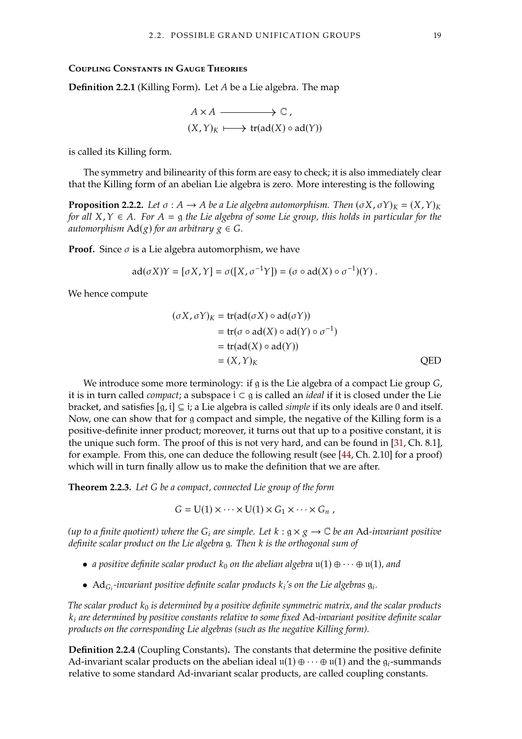#### **Coupling Constants in Gauge Theories**

**Definition 2.2.1** (Killing Form). Let A be a Lie algebra. The map

$$
A \times A \longrightarrow \mathbb{C},
$$
  

$$
(X,Y)_K \longmapsto \text{tr}(\text{ad}(X) \circ \text{ad}(Y))
$$

is called its Killing form.

The symmetry and bilinearity of this form are easy to check; it is also immediately clear that the Killing form of an abelian Lie algebra is zero. More interesting is the following

**Proposition 2.2.2.** *Let*  $\sigma : A \to A$  *be a Lie algebra automorphism. Then*  $(\sigma X, \sigma Y)_K = (X, Y)_K$ *for all*  $X, Y \in A$ . For  $A = \mathfrak{g}$  the Lie algebra of some Lie group, this holds in particular for the *automorphism*  $\text{Ad}(g)$  *for an arbitrary*  $g \in G$ *.* 

**Proof.** Since  $\sigma$  is a Lie algebra automorphism, we have

$$
ad(\sigma X)Y = [\sigma X, Y] = \sigma([X, \sigma^{-1}Y]) = (\sigma \circ ad(X) \circ \sigma^{-1})(Y).
$$

We hence compute

$$
(\sigma X, \sigma Y)_K = \text{tr}(\text{ad}(\sigma X) \circ \text{ad}(\sigma Y))
$$
  
=  $\text{tr}(\sigma \circ \text{ad}(X) \circ \text{ad}(Y) \circ \sigma^{-1})$   
=  $\text{tr}(\text{ad}(X) \circ \text{ad}(Y))$   
=  $(X, Y)_K$  QED

We introduce some more terminology: if  $\mathfrak g$  is the Lie algebra of a compact Lie group  $G$ , it is in turn called *compact*; a subspace  $i$  ⊂  $g$  is called an *ideal* if it is closed under the Lie bracket, and satisfies  $[g, i] \subseteq i$ ; a Lie algebra is called *simple* if its only ideals are 0 and itself. Now, one can show that for g compact and simple, the negative of the Killing form is a positive-definite inner product; moreover, it turns out that up to a positive constant, it is the unique such form. The proof of this is not very hard, and can be found in [\[31,](#page-77-2) Ch. 8.1], for example. From this, one can deduce the following result (see [\[44,](#page-78-3) Ch. 2.10] for a proof) which will in turn finally allow us to make the definition that we are after.

**Theorem 2.2.3.** *Let* 𝐺 *be a compact, connected Lie group of the form*

$$
G = U(1) \times \cdots \times U(1) \times G_1 \times \cdots \times G_n ,
$$

*(up to a finite quotient) where the*  $G_i$  *are simple. Let*  $k : g \times g \to \mathbb{C}$  *be an Ad-invariant positive definite scalar product on the Lie algebra g. Then k is the orthogonal sum of* 

- *a positive definite scalar product*  $k_0$  *on the abelian algebra*  $u(1) \oplus \cdots \oplus u(1)$ *, and*
- $\mathrm{Ad}_{G_i}$ -invariant positive definite scalar products  $k_i$ 's on the Lie algebras  $\mathfrak{g}_i$ .

The scalar product  $k_0$  is determined by a positive definite symmetric matrix, and the scalar products <sup>𝑘</sup>𝑖 *are determined by positive constants relative to some fixed* Ad*-invariant positive definite scalar products on the corresponding Lie algebras (such as the negative Killing form).*

**Definition 2.2.4** (Coupling Constants)**.** The constants that determine the positive definite Ad-invariant scalar products on the abelian ideal  $\mathfrak{u}(1) \oplus \cdots \oplus \mathfrak{u}(1)$  and the  $\mathfrak{g}_i$ -summands relative to some standard Ad-invariant scalar products, are called coupling constants.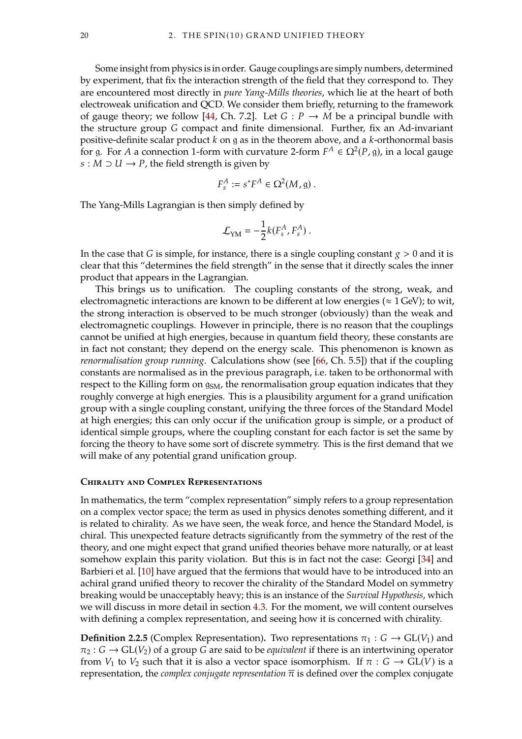Some insight from physics is in order. Gauge couplings are simply numbers, determined by experiment, that fix the interaction strength of the field that they correspond to. They are encountered most directly in *pure Yang-Mills theories*, which lie at the heart of both electroweak unification and QCD. We consider them briefly, returning to the framework of gauge theory; we follow [\[44,](#page-78-3) Ch. 7.2]. Let  $G: P \to M$  be a principal bundle with the structure group G compact and finite dimensional. Further, fix an Ad-invariant positive-definite scalar product  $k$  on  $g$  as in the theorem above, and a  $k$ -orthonormal basis for g. For *A* a connection 1-form with curvature 2-form  $F^A \in \Omega^2(P, g)$ , in a local gauge<br> $g: M \supset U \to P$  the field strength is given by  $s : M \supset U \rightarrow P$ , the field strength is given by

$$
F_s^A := s^* F^A \in \Omega^2(M, \mathfrak{g}) .
$$

The Yang-Mills Lagrangian is then simply defined by

$$
\mathcal{L}_{\text{YM}} = -\frac{1}{2}k(F_s^A, F_s^A) \; .
$$

In the case that G is simple, for instance, there is a single coupling constant  $g > 0$  and it is clear that this "determines the field strength" in the sense that it directly scales the inner product that appears in the Lagrangian.

This brings us to unification. The coupling constants of the strong, weak, and electromagnetic interactions are known to be different at low energies ( $\approx 1$  GeV); to wit, the strong interaction is observed to be much stronger (obviously) than the weak and electromagnetic couplings. However in principle, there is no reason that the couplings cannot be unified at high energies, because in quantum field theory, these constants are in fact not constant; they depend on the energy scale. This phenomenon is known as *renormalisation group running*. Calculations show (see [\[66,](#page-79-4) Ch. 5.5]) that if the coupling constants are normalised as in the previous paragraph, i.e. taken to be orthonormal with respect to the Killing form on  $q_{SM}$ , the renormalisation group equation indicates that they roughly converge at high energies. This is a plausibility argument for a grand unification group with a single coupling constant, unifying the three forces of the Standard Model at high energies; this can only occur if the unification group is simple, or a product of identical simple groups, where the coupling constant for each factor is set the same by forcing the theory to have some sort of discrete symmetry. This is the first demand that we will make of any potential grand unification group.

#### **Chirality and Complex Representations**

In mathematics, the term "complex representation" simply refers to a group representation on a complex vector space; the term as used in physics denotes something different, and it is related to chirality. As we have seen, the weak force, and hence the Standard Model, is chiral. This unexpected feature detracts significantly from the symmetry of the rest of the theory, and one might expect that grand unified theories behave more naturally, or at least somehow explain this parity violation. But this is in fact not the case: Georgi [\[34\]](#page-77-8) and Barbieri et al. [\[10\]](#page-76-5) have argued that the fermions that would have to be introduced into an achiral grand unified theory to recover the chirality of the Standard Model on symmetry breaking would be unacceptably heavy; this is an instance of the *Survival Hypothesis*, which we will discuss in more detail in section [4.3.](#page-68-0) For the moment, we will content ourselves with defining a complex representation, and seeing how it is concerned with chirality.

**Definition 2.2.5** (Complex Representation). Two representations  $\pi_1 : G \to GL(V_1)$  and  $\pi_2$ :  $G \to GL(V_2)$  of a group G are said to be *equivalent* if there is an intertwining operator from  $V_1$  to  $V_2$  such that it is also a vector space isomorphism. If  $\pi : G \to GL(V)$  is a representation, the *complex conjugate representation*  $\overline{\pi}$  is defined over the complex conjugate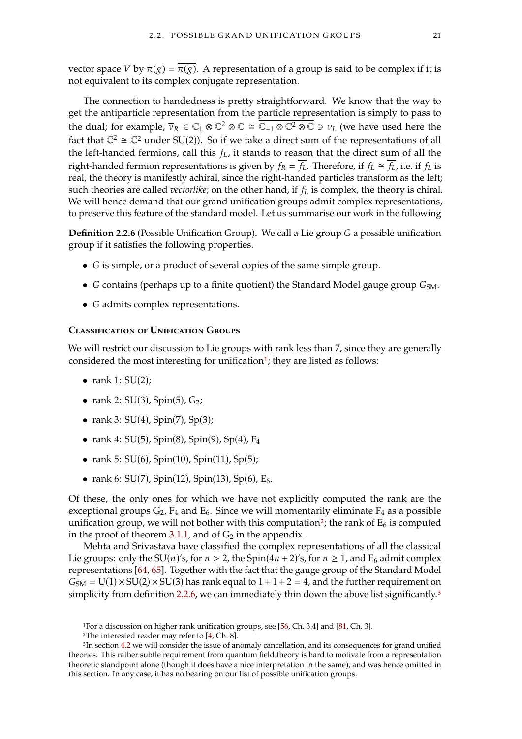vector space  $\overline{V}$  by  $\overline{\pi}(g) = \overline{\pi(g)}$ . A representation of a group is said to be complex if it is not equivalent to its complex conjugate representation.

The connection to handedness is pretty straightforward. We know that the way to get the antiparticle representation from the particle representation is simply to pass to the dual; for example,  $\overline{v}_R \in \mathbb{C}_1 \otimes \mathbb{C}^2 \otimes \mathbb{C} \cong \overline{\mathbb{C}_{-1} \otimes \mathbb{C}^2 \otimes \mathbb{C}} \ni v_L$  (we have used here the fact that  $\mathbb{C}^2 \cong \overline{\mathbb{C}^2}$  under SU(2)). So if we take a direct sum of the representations of all the left-handed fermions, call this  $f_{l}$ , it stands to reason that the direct sum of all the right-handed fermion representations is given by  $f_R = f_L$ . Therefore, if  $f_L \cong f_L$ , i.e. if  $f_L$  is real, the theory is manifestly achiral, since the right-handed particles transform as the left; such theories are called *vectorlike*; on the other hand, if  $f<sub>L</sub>$  is complex, the theory is chiral. We will hence demand that our grand unification groups admit complex representations, to preserve this feature of the standard model. Let us summarise our work in the following

<span id="page-32-2"></span>**Definition 2.2.6** (Possible Unification Group). We call a Lie group G a possible unification group if it satisfies the following properties.

- $\bullet$  *G* is simple, or a product of several copies of the same simple group.
- $\overline{G}$  contains (perhaps up to a finite quotient) the Standard Model gauge group  $G<sub>SM</sub>$ .
- G admits complex representations.

#### **Classification of Unification Groups**

We will restrict our discussion to Lie groups with rank less than 7, since they are generally considered the most interesting for unification<sup>[1](#page-32-0)</sup>; they are listed as follows:

- rank 1:  $SU(2)$ ;
- rank 2:  $SU(3)$ ,  $Spin(5)$ ,  $G_2$ ;
- rank 3:  $SU(4)$ ,  $Spin(7)$ ,  $Sp(3)$ ;
- rank 4:  $SU(5)$ ,  $Spin(8)$ ,  $Spin(9)$ ,  $Sp(4)$ ,  $F_4$
- rank 5:  $SU(6)$ ,  $Spin(10)$ ,  $Spin(11)$ ,  $Sp(5)$ ;
- rank 6:  $SU(7)$ ,  $Spin(12)$ ,  $Spin(13)$ ,  $Sp(6)$ ,  $E_6$ .

Of these, the only ones for which we have not explicitly computed the rank are the exceptional groups  $G_2$ ,  $F_4$  and  $E_6$ . Since we will momentarily eliminate  $F_4$  as a possible unification group, we will not bother with this computation<sup>[2](#page-32-1)</sup>; the rank of  $E_6$  is computed in the proof of theorem [3.1.1,](#page-46-2) and of  $G_2$  in the appendix.

Mehta and Srivastava have classified the complex representations of all the classical Lie groups: only the SU(*n*)'s, for  $n > 2$ , the Spin(4*n* + 2)'s, for  $n \ge 1$ , and E<sub>6</sub> admit complex representations [\[64,](#page-79-5) [65\]](#page-79-6). Together with the fact that the gauge group of the Standard Model  $G<sub>SM</sub> = U(1) \times SU(2) \times SU(3)$  has rank equal to  $1 + 1 + 2 = 4$ , and the further requirement on simplicity from definition [2.2.6,](#page-32-2) we can immediately thin down the above list significantly.<sup>[3](#page-32-3)</sup>

<span id="page-32-0"></span><sup>1</sup>For a discussion on higher rank unification groups, see [\[56,](#page-79-7) Ch. 3.4] and [\[81,](#page-80-7) Ch. 3].

<span id="page-32-3"></span><span id="page-32-1"></span><sup>2</sup>The interested reader may refer to [\[4,](#page-76-1) Ch. 8].

<sup>&</sup>lt;sup>3</sup>In section [4.2](#page-63-0) we will consider the issue of anomaly cancellation, and its consequences for grand unified theories. This rather subtle requirement from quantum field theory is hard to motivate from a representation theoretic standpoint alone (though it does have a nice interpretation in the same), and was hence omitted in this section. In any case, it has no bearing on our list of possible unification groups.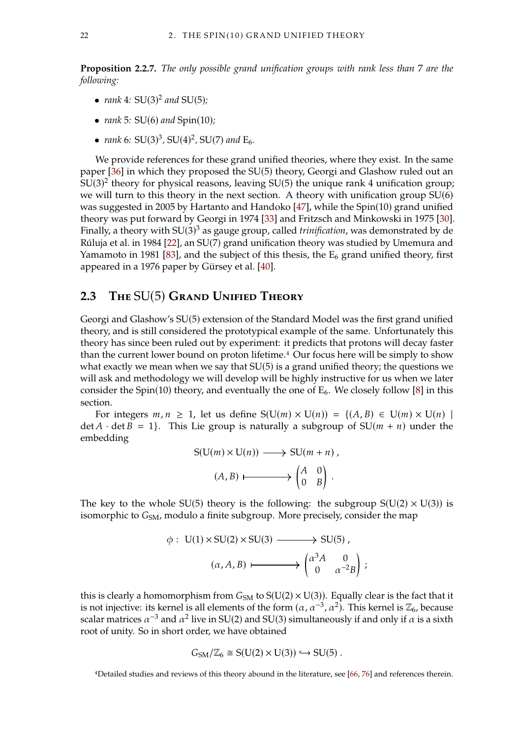**Proposition 2.2.7.** *The only possible grand unification groups with rank less than* 7 *are the following:*

- *rank* 4*:* SU(3) 2 *and* SU(5)*;*
- *rank* 5*:* SU(6) *and* Spin(10)*;*
- *rank* 6:  $SU(3)^3$ ,  $SU(4)^2$ ,  $SU(7)$  and  $E_6$ .

We provide references for these grand unified theories, where they exist. In the same paper [\[36\]](#page-78-8) in which they proposed the SU(5) theory, Georgi and Glashow ruled out an SU(3) 2 theory for physical reasons, leaving SU(5) the unique rank 4 unification group; we will turn to this theory in the next section. A theory with unification group  $SU(6)$ was suggested in 2005 by Hartanto and Handoko [\[47\]](#page-78-9), while the Spin(10) grand unified theory was put forward by Georgi in 1974 [\[33\]](#page-77-9) and Fritzsch and Minkowski in 1975 [\[30\]](#page-77-10). Finally, a theory with SU(3)<sup>3</sup> as gauge group, called *trinification*, was demonstrated by de Rúluja et al. in 1984 [\[22\]](#page-77-11), an SU(7) grand unification theory was studied by Umemura and Yamamoto in 1981 [\[83\]](#page-80-8), and the subject of this thesis, the  $E_6$  grand unified theory, first appeared in a 1976 paper by Gürsey et al. [\[40\]](#page-78-10).

#### <span id="page-33-0"></span>**2.3 The** SU(5) **Grand Unified Theory**

Georgi and Glashow's SU(5) extension of the Standard Model was the first grand unified theory, and is still considered the prototypical example of the same. Unfortunately this theory has since been ruled out by experiment: it predicts that protons will decay faster than the current lower bound on proton lifetime.[4](#page-33-1) Our focus here will be simply to show what exactly we mean when we say that  $SU(5)$  is a grand unified theory; the questions we will ask and methodology we will develop will be highly instructive for us when we later consider the Spin(10) theory, and eventually the one of  $E_6$ . We closely follow [\[8\]](#page-76-0) in this section.

For integers  $m, n \ge 1$ , let us define  $S(U(m) \times U(n)) = \{(A, B) \in U(m) \times U(n) \mid$  $\det A \cdot \det B = 1$ . This Lie group is naturally a subgroup of  $SU(m + n)$  under the embedding

$$
S(U(m) \times U(n)) \longrightarrow SU(m+n) ,
$$
  
(A, B)  $\longmapsto \begin{pmatrix} A & 0 \\ 0 & B \end{pmatrix} .$ 

The key to the whole SU(5) theory is the following: the subgroup  $S(U(2) \times U(3))$  is isomorphic to  $G<sub>SM</sub>$ , modulo a finite subgroup. More precisely, consider the map

$$
\phi: U(1) \times SU(2) \times SU(3) \longrightarrow SU(5),
$$

$$
(\alpha, A, B) \longmapsto \begin{pmatrix} \alpha^3 A & 0 \\ 0 & \alpha^{-2} B \end{pmatrix};
$$

this is clearly a homomorphism from  $G<sub>SM</sub>$  to  $S(U(2) \times U(3))$ . Equally clear is the fact that it is not injective: its kernel is all elements of the form  $(\alpha, \alpha^{-3}, \alpha^2)$ . This kernel is  $\mathbb{Z}_6$ , because scalar matrices  $\alpha^{-3}$  and  $\alpha^2$  live in SU(2) and SU(3) simultaneously if and only if  $\alpha$  is a sixth root of unity. So in short order, we have obtained

$$
G_{\text{SM}}/\mathbb{Z}_6\cong \text{S}(\text{U}(2)\times \text{U}(3))\hookrightarrow \text{SU}(5)\;.
$$

<span id="page-33-1"></span>4Detailed studies and reviews of this theory abound in the literature, see [\[66,](#page-79-4) [76\]](#page-80-9) and references therein.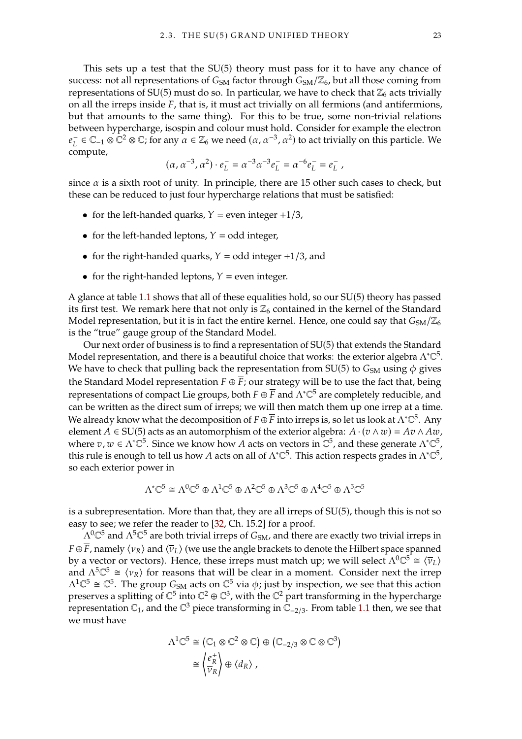This sets up a test that the  $SU(5)$  theory must pass for it to have any chance of success: not all representations of  $G_{SM}$  factor through  $G_{SM}/\mathbb{Z}_6$ , but all those coming from representations of SU(5) must do so. In particular, we have to check that  $\mathbb{Z}_6$  acts trivially on all the irreps inside  $F$ , that is, it must act trivially on all fermions (and antifermions, but that amounts to the same thing). For this to be true, some non-trivial relations between hypercharge, isospin and colour must hold. Consider for example the electron .<br>C  $\overline{C}_L \in \mathbb{C}_{-1} \otimes \mathbb{C}^2 \otimes \mathbb{C}$ ; for any  $\alpha \in \mathbb{Z}_6$  we need  $(\alpha, \alpha^{-3}, \alpha^2)$  to act trivially on this particle. We compute.

$$
(\alpha, \alpha^{-3}, \alpha^2) \cdot e_L^- = \alpha^{-3} \alpha^{-3} e_L^- = \alpha^{-6} e_L^- = e_L^-,
$$

since  $\alpha$  is a sixth root of unity. In principle, there are 15 other such cases to check, but these can be reduced to just four hypercharge relations that must be satisfied:

- for the left-handed quarks,  $Y =$  even integer +1/3,
- for the left-handed leptons,  $Y =$  odd integer,
- for the right-handed quarks,  $Y = \text{odd integer} + \frac{1}{3}$ , and
- for the right-handed leptons,  $Y =$  even integer.

A glance at table [1.1](#page-21-1) shows that all of these equalities hold, so our SU(5) theory has passed its first test. We remark here that not only is  $\mathbb{Z}_6$  contained in the kernel of the Standard Model representation, but it is in fact the entire kernel. Hence, one could say that  $G<sub>SM</sub>/\mathbb{Z}_6$ is the "true" gauge group of the Standard Model.

Our next order of business is to find a representation of SU(5) that extends the Standard Model representation, and there is a beautiful choice that works: the exterior algebra  $\Lambda^* \mathbb{C}^5$ . We have to check that pulling back the representation from SU(5) to  $G<sub>SM</sub>$  using  $\phi$  gives the Standard Model representation  $F \oplus \overline{F}$ ; our strategy will be to use the fact that, being representations of compact Lie groups, both  $F \oplus \overline{F}$  and  $\Lambda^* \mathbb{C}^5$  are completely reducible, and can be written as the direct sum of irrens; we will then match them up one irren at a time can be written as the direct sum of irreps; we will then match them up one irrep at a time. We already know what the decomposition of  $F \oplus \overline{F}$  into irreps is, so let us look at  $\Lambda^* \mathbb{C}^5$ . Any element  $A \in \text{SI}(5)$  acts as an automorphism of the exterior algebra:  $A \cdot (T \wedge T) = Ax \wedge Ax$ element  $A \in SU(5)$  acts as an automorphism of the exterior algebra:  $A \cdot (v \wedge w) = Av \wedge Aw$ , where  $v, w \in \Lambda^* \mathbb{C}^5$ . Since we know how A acts on vectors in  $\mathbb{C}^5$ , and these generate  $\Lambda^* \mathbb{C}^5$ , this rule is enough to tell us bow A acts on all of  $\Lambda^* \mathbb{C}^5$ . this rule is enough to tell us how A acts on all of  $\Lambda^* \mathbb{C}^5$ . This action respects grades in  $\Lambda^* \mathbb{C}^5$ , so each exterior power in so each exterior power in

$$
\Lambda^* \mathbb{C}^5 \cong \Lambda^0 \mathbb{C}^5 \oplus \Lambda^1 \mathbb{C}^5 \oplus \Lambda^2 \mathbb{C}^5 \oplus \Lambda^3 \mathbb{C}^5 \oplus \Lambda^4 \mathbb{C}^5 \oplus \Lambda^5 \mathbb{C}^5
$$

is a subrepresentation. More than that, they are all irreps of SU(5), though this is not so easy to see; we refer the reader to [\[32,](#page-77-1) Ch. 15.2] for a proof.

 $\overline{\Lambda}^{0}\mathbb{C}^{5}$  and  $\Lambda^{5}\mathbb{C}^{5}$  are both trivial irreps of  $G_{\text{SM}}$ , and there are exactly two trivial irreps in  $\overline{\overline{E}}$  paraly  $(u_{\lambda})$  and  $\overline{\overline{E}}$  paraly  $(u_{\lambda})$  and  $\overline{\overline{E}}$  is a substitute of denote  $F \oplus F$ , namely  $\langle v_R \rangle$  and  $\langle \overline{v}_L \rangle$  (we use the angle brackets to denote the Hilbert space spanned by a vector or vectors). Hence, these irreps must match up; we will select  $\Lambda^0\mathbb{C}^5 \cong \langle \overline{\nu}_L \rangle$ and  $\Lambda^5\mathbb{C}^5 \cong \langle v_R \rangle$  for reasons that will be clear in a moment. Consider next the irrep  $Λ<sup>1</sup>C<sup>5</sup> ≅ C<sup>5</sup>$ . The group  $G<sub>SM</sub>$  acts on  $C<sup>5</sup>$  via  $φ$ ; just by inspection, we see that this action preserves a splitting of  $C<sup>5</sup>$  into  $C<sup>2</sup> ⊕ C<sup>3</sup>$  with the  $C<sup>2</sup>$  part transformi preserves a splitting of  $\mathbb{C}^5$  into  $\mathbb{C}^2 \oplus \mathbb{C}^3$ , with the  $\mathbb{C}^2$  part transforming in the hypercharge representation  $\mathbb{C}_1$ , and the  $\mathbb{C}^3$  piece transforming in  $\mathbb{C}_{-2/3}$ . From table [1.1](#page-21-1) then, we see that we must have

$$
\Lambda^{1}\mathbb{C}^{5} \cong (\mathbb{C}_{1} \otimes \mathbb{C}^{2} \otimes \mathbb{C}) \oplus (\mathbb{C}_{-2/3} \otimes \mathbb{C} \otimes \mathbb{C}^{3})
$$

$$
\cong \left\langle \frac{e_{R}^{+}}{v_{R}} \right\rangle \oplus \left\langle d_{R} \right\rangle,
$$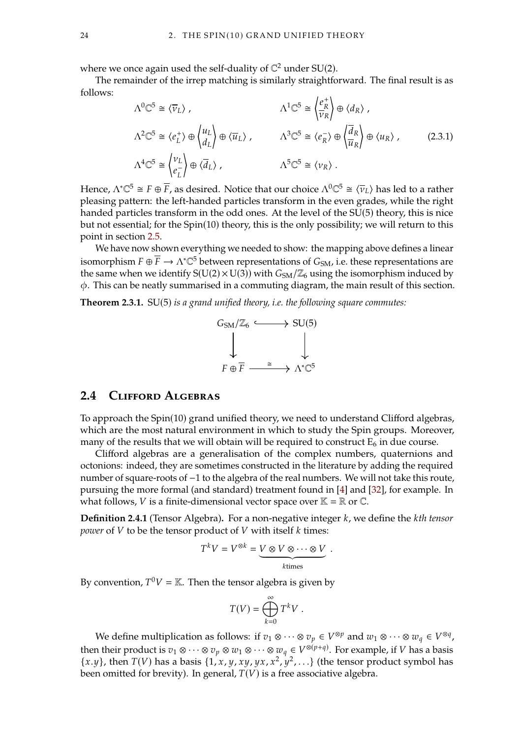where we once again used the self-duality of  $\mathbb{C}^2$  under SU(2).

The remainder of the irrep matching is similarly straightforward. The final result is as follows:

$$
\Lambda^{0}\mathbb{C}^{5} \cong \langle \overline{\nu}_{L} \rangle, \qquad \Lambda^{1}\mathbb{C}^{5} \cong \begin{pmatrix} e_{R}^{+} \\ \overline{\nu}_{R} \end{pmatrix} \oplus \langle d_{R} \rangle, \Lambda^{2}\mathbb{C}^{5} \cong \langle e_{L}^{+} \rangle \oplus \begin{pmatrix} u_{L} \\ d_{L} \end{pmatrix} \oplus \langle \overline{u}_{L} \rangle, \qquad \Lambda^{3}\mathbb{C}^{5} \cong \langle e_{R}^{-} \rangle \oplus \begin{pmatrix} \overline{d}_{R} \\ \overline{u}_{R} \end{pmatrix} \oplus \langle u_{R} \rangle, \Lambda^{4}\mathbb{C}^{5} \cong \begin{pmatrix} \nu_{L} \\ e_{L}^{-} \end{pmatrix} \oplus \langle \overline{d}_{L} \rangle, \qquad \Lambda^{5}\mathbb{C}^{5} \cong \langle \nu_{R} \rangle.
$$
\n(2.3.1)

Hence,  $\Lambda^* \mathbb{C}^5 \cong F \oplus \overline{F}$ , as desired. Notice that our choice  $\Lambda^0 \mathbb{C}^5 \cong \langle \overline{v}_L \rangle$  has led to a rather<br>pleasing pattern: the left-handed particles transform in the even grades, while the right pleasing pattern: the left-handed particles transform in the even grades, while the right handed particles transform in the odd ones. At the level of the SU(5) theory, this is nice but not essential; for the Spin(10) theory, this is the only possibility; we will return to this point in section [2.5.](#page-41-0)

We have now shown everything we needed to show: the mapping above defines a linear isomorphism  $F \oplus \overline{F} \to \Lambda^* \mathbb{C}^5$  between representations of  $G_{SM}$ , i.e. these representations are<br>the same when we identify  $S(U(2) \times U(3))$  with  $C_{SM} / \mathbb{Z}$  using the isomorphism induced by the same when we identify  $S(U(2) \times U(3))$  with  $G<sub>SM</sub>/\mathbb{Z}_6$  using the isomorphism induced by  $\phi$ . This can be neatly summarised in a commuting diagram, the main result of this section.

**Theorem 2.3.1.** SU(5) *is a grand unified theory, i.e. the following square commutes:*



#### <span id="page-35-0"></span>**2.4 Clifford Algebras**

To approach the Spin(10) grand unified theory, we need to understand Clifford algebras, which are the most natural environment in which to study the Spin groups. Moreover, many of the results that we will obtain will be required to construct  $E_6$  in due course.

Clifford algebras are a generalisation of the complex numbers, quaternions and octonions: indeed, they are sometimes constructed in the literature by adding the required number of square-roots of −1 to the algebra of the real numbers. We will not take this route, pursuing the more formal (and standard) treatment found in [\[4\]](#page-76-1) and [\[32\]](#page-77-1), for example. In what follows, *V* is a finite-dimensional vector space over  $K = \mathbb{R}$  or  $\mathbb{C}$ .

**Definition 2.4.1** (Tensor Algebra). For a non-negative integer k, we define the kth tensor *power* of  $V$  to be the tensor product of  $V$  with itself  $k$  times:

$$
T^k V = V^{\otimes k} = \underbrace{V \otimes V \otimes \cdots \otimes V}_{k \text{times}}.
$$

By convention,  $T^0V = \mathbb{K}$ . Then the tensor algebra is given by

$$
T(V) = \bigoplus_{k=0}^{\infty} T^k V.
$$

We define multiplication as follows: if  $v_1 \otimes \cdots \otimes v_p \in V^{\otimes p}$  and  $w_1 \otimes \cdots \otimes w_q \in V^{\otimes q}$ ,<br>a their product is  $\mathbb{R} \otimes \mathbb{R} \otimes \mathbb{R} \otimes \mathbb{R} \otimes \mathbb{R} \otimes \mathbb{R} \otimes \mathbb{R} \otimes \mathbb{R} \otimes \mathbb{R}$ then their product is  $v_1 \otimes \cdots \otimes v_p \otimes w_1 \otimes \cdots \otimes w_q \in V^{\otimes (p+q)}$ . For example, if V has a basis  $\{x, y\}$  then  $T(V)$  has a basis  $\{1, x, y, xy, x^2, y^2, \ldots\}$  (the tensor product symbol has  ${x,y}$ , then  $T(V)$  has a basis  $\{1, x, y, xy, yx, x^2, y^2, ...\}$  (the tensor product symbol has been omitted for brevity). In general,  $T(V)$  is a free associative algebra.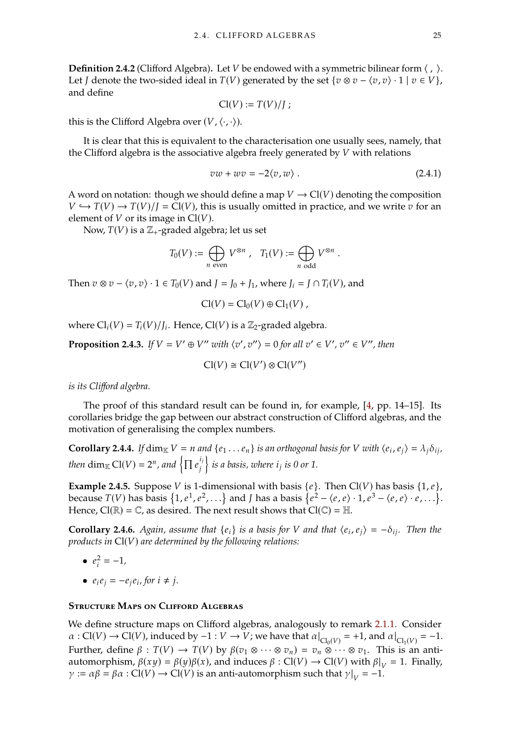**Definition 2.4.2** (Clifford Algebra). Let V be endowed with a symmetric bilinear form  $\langle , \rangle$ . Let *I* denote the two-sided ideal in  $T(V)$  generated by the set  $\{v \otimes v - \langle v, v \rangle \cdot 1 \mid v \in V\}$ , and define

$$
\mathrm{Cl}(V):=T(V)/J\;;
$$

this is the Clifford Algebra over  $(V, \langle \cdot, \cdot \rangle)$ .

It is clear that this is equivalent to the characterisation one usually sees, namely, that the Clifford algebra is the associative algebra freely generated by  $V$  with relations

<span id="page-36-2"></span>
$$
vw + wv = -2\langle v, w \rangle. \tag{2.4.1}
$$

A word on notation: though we should define a map  $V \to Cl(V)$  denoting the composition  $V \hookrightarrow T(V) \rightarrow T(V)/J = Cl(V)$ , this is usually omitted in practice, and we write v for an element of  $V$  or its image in  $Cl(V)$ .

Now,  $T(V)$  is a  $\mathbb{Z}_+$ -graded algebra; let us set

$$
T_0(V) := \bigoplus_{n \text{ even}} V^{\otimes n}, \quad T_1(V) := \bigoplus_{n \text{ odd}} V^{\otimes n}.
$$

Then  $v \otimes v - \langle v, v \rangle \cdot 1 \in T_0(V)$  and  $J = J_0 + J_1$ , where  $J_i = J \cap T_i(V)$ , and

$$
Cl(V) = Cl_0(V) \oplus Cl_1(V) ,
$$

where  $\text{Cl}_i(V) = T_i(V)/J_i$ . Hence,  $\text{Cl}(V)$  is a  $\mathbb{Z}_2$ -graded algebra.

<span id="page-36-1"></span>**Proposition 2.4.3.** *If*  $V = V' \oplus V''$  *with*  $\langle v', v'' \rangle = 0$  *for all*  $v' \in V'$ *,*  $v'' \in V''$ *, then* 

$$
\text{Cl}(V) \cong \text{Cl}(V') \otimes \text{Cl}(V'')
$$

*is its Clifford algebra.*

The proof of this standard result can be found in, for example, [\[4,](#page-76-0) pp. 14–15]. Its corollaries bridge the gap between our abstract construction of Clifford algebras, and the motivation of generalising the complex numbers.

**Corollary 2.4.4.** *If* dim<sub>K</sub>  $V = n$  and  $\{e_1 \dots e_n\}$  is an orthogonal basis for  $V$  with  $\langle e_i, e_j \rangle = \lambda_j \delta_{ij}$ , then  $\dim_{\mathbb{K}} \text{Cl}(V) = 2^n$ , and  $\left\{ \prod e_j^{i_j} \right\}$  is a basis, where  $i_j$  is 0 or 1.  $^{\prime}$ 

**Example 2.4.5.** Suppose *V* is 1-dimensional with basis  $\{e\}$ . Then Cl(*V*) has basis  $\{1, e\}$ , because  $T(V)$  has basis  $\{1, e^1, e^2, ...\}$  and J has a basis  $\{e^2 - \langle e, e \rangle \cdot 1, e^3 - \langle e, e \rangle \cdot e, ...\}$ .<br>Hence  $C^{1}(\mathbb{R}) - \mathbb{C}$  as desired. The next result shows that  $C^{1}(\mathbb{C}) - \mathbb{H}$ Hence,  $Cl(\mathbb{R}) = \mathbb{C}$ , as desired. The next result shows that  $Cl(\mathbb{C}) = \mathbb{H}$ .

<span id="page-36-0"></span>**Corollary 2.4.6.** *Again, assume that*  $\{e_i\}$  *is a basis for V and that*  $\langle e_i, e_j \rangle = -\delta_{ij}$ . Then the products in Cl(V) are determined by the following relations: *products in*  $Cl(V)$  *are determined by the following relations:* 

- $e_i^2 = -1$ ,
- $e_i e_j = -e_j e_i$ , for  $i \neq j$ .

#### **Structure Maps on Clifford Algebras**

We define structure maps on Clifford algebras, analogously to remark [2.1.1.](#page-24-0) Consider  $\alpha$  : Cl(*V*) → Cl(*V*), induced by  $-1 : V \to V$ ; we have that  $\alpha|_{Cl_0(V)} = +1$ , and  $\alpha|_{Cl_1(V)} = -1$ .<br>Further define  $\beta : T(V) \to T(V)$  by  $\beta(x, \beta) \to \beta(x, \beta(x), \beta(x), \beta(x))$ . This is an anti-Further, define  $\beta : T(V) \to T(V)$  by  $\beta(v_1 \otimes \cdots \otimes v_n) = v_n \otimes \cdots \otimes v_1$ . This is an antiautomorphism,  $β(xy) = β(y)β(x)$ , and induces  $β : Cl(V) \rightarrow Cl(V)$  with  $β|_V = 1$ . Finally,<br> $γ := αβ = βα \cdot Cl(V) \rightarrow Cl(V)$  is an anti-automorphism such that  $γ|_V = -1$  $\gamma := \alpha \beta = \beta \alpha : \text{Cl}(V) \to \text{Cl}(V)$  is an anti-automorphism such that  $\gamma|_V = -1$ .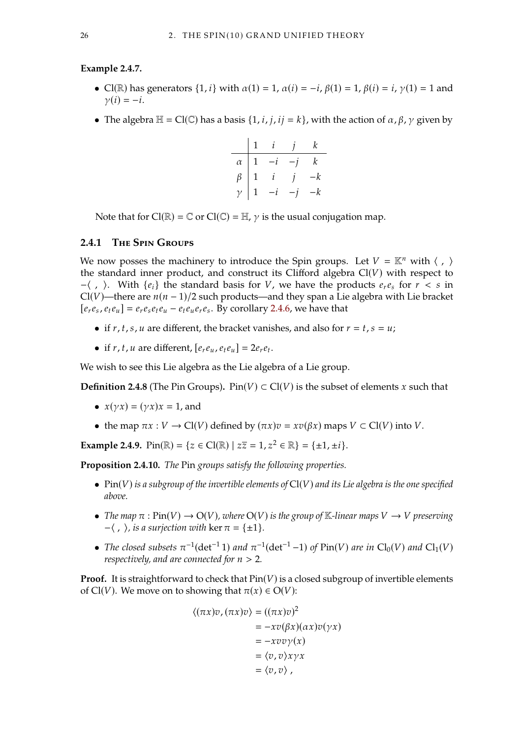#### **Example 2.4.7.**

- Cl(R) has generators  $\{1, i\}$  with  $\alpha(1) = 1$ ,  $\alpha(i) = -i$ ,  $\beta(1) = 1$ ,  $\beta(i) = i$ ,  $\gamma(1) = 1$  and  $\gamma(i) = -i$ .
- The algebra  $\mathbb{H} = Cl(\mathbb{C})$  has a basis  $\{1, i, j, i\} = k\}$ , with the action of  $\alpha, \beta, \gamma$  given by

| $\begin{array}{c c} \beta & 1 \ \gamma & 1 \end{array}$ | $1 \quad i \quad j$<br>$\begin{array}{c ccccc}\n\alpha & 1 & -i & -j & k \\ \beta & 1 & i & j & -k\n\end{array}$<br>$-i$<br>$-j$ $-k$ |
|---------------------------------------------------------|---------------------------------------------------------------------------------------------------------------------------------------|

Note that for  $Cl(\mathbb{R}) = \mathbb{C}$  or  $Cl(\mathbb{C}) = \mathbb{H}$ ,  $\gamma$  is the usual conjugation map.

#### **2.4.1 The Spin Groups**

We now posses the machinery to introduce the Spin groups. Let  $V = \mathbb{K}^n$  with  $\langle , \rangle$ the standard inner product, and construct its Clifford algebra  $Cl(V)$  with respect to − $\langle$ ,  $\rangle$ . With  $\{e_i\}$  the standard basis for  $V$ , we have the products  $e_r e_s$  for  $r < s$  in Cl(V)—there are  $n(n-1)/2$  such products—and they span a Lie algebra with Lie bracket  $[e_r e_s, e_t e_u] = e_r e_s e_t e_u - e_t e_u e_r e_s$ . By corollary [2.4.6,](#page-36-0) we have that

- if  $r, t, s, u$  are different, the bracket vanishes, and also for  $r = t, s = u$ ;
- if  $r, t, u$  are different,  $[e_r e_u, e_t e_u] = 2e_r e_t$ .

We wish to see this Lie algebra as the Lie algebra of a Lie group.

**Definition 2.4.8** (The Pin Groups).  $\text{Pin}(V) \subset \text{Cl}(V)$  is the subset of elements x such that

- $x(\gamma x) = (\gamma x)x = 1$ , and
- the map  $\pi x : V \to Cl(V)$  defined by  $(\pi x)v = xv(\beta x)$  maps  $V \subset Cl(V)$  into V.

**Example 2.4.9.**  $\text{Pin}(\mathbb{R}) = \{z \in \text{Cl}(\mathbb{R}) \mid z\overline{z} = 1, z^2 \in \mathbb{R}\} = \{\pm 1, \pm i\}.$ 

<span id="page-37-0"></span>**Proposition 2.4.10.** *The* Pin *groups satisfy the following properties.*

- $\text{Pin}(V)$  *is a subgroup of the invertible elements of*  $\text{Cl}(V)$  *and its Lie algebra is the one specified above.*
- *The map*  $\pi$  :  $\text{Pin}(V) \to \text{O}(V)$ *, where*  $\text{O}(V)$  *is the group of* K-linear maps  $V \to V$  preserving  $-\langle , \rangle$ , is a surjection with ker  $\pi = {\pm 1}$ *.*
- *The closed subsets*  $\pi^{-1}(\det^{-1} 1)$  *and*  $\pi^{-1}(\det^{-1} -1)$  *of*  $\text{Pin}(V)$  *are in*  $\text{Cl}_0(V)$  *and*  $\text{Cl}_1(V)$ <br>respectively and are connected for  $n > 2$ *respectively, and are connected for*  $n > 2$ *.*

**Proof.** It is straightforward to check that  $Pin(V)$  is a closed subgroup of invertible elements of Cl(*V*). We move on to showing that  $\pi(x) \in O(V)$ :

$$
\langle (\pi x)v, (\pi x)v \rangle = ((\pi x)v)^2
$$
  
=  $-xv(\beta x)(\alpha x)v(\gamma x)$   
=  $-xv\upsilon\gamma(x)$   
=  $\langle v, v \rangle xyx$   
=  $\langle v, v \rangle$ ,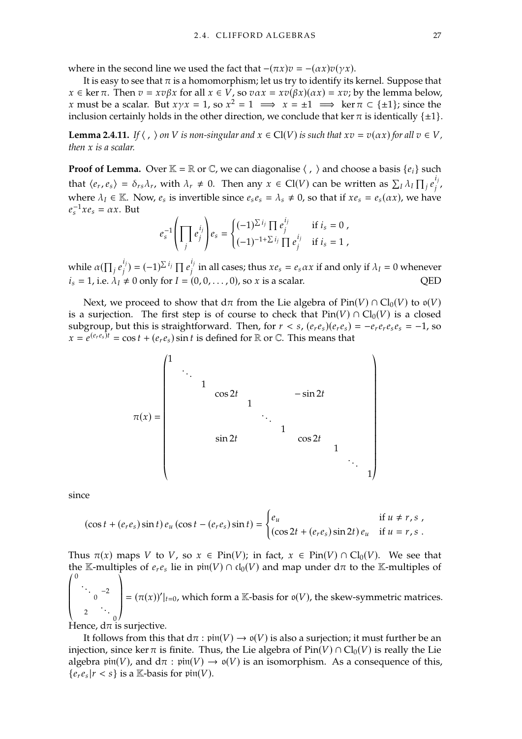where in the second line we used the fact that  $-(\pi x)v = -(\alpha x)v(yx)$ .

It is easy to see that  $\pi$  is a homomorphism; let us try to identify its kernel. Suppose that  $x \in \ker \pi$ . Then  $v = xv\beta x$  for all  $x \in V$ , so  $v\alpha x = xv(\beta x)(\alpha x) = xv$ ; by the lemma below, x must be a scalar. But  $x \gamma x = 1$ , so  $x^2 = 1 \implies x = \pm 1 \implies \ker \pi \in {\pm 1}$ ; since the inclusion certainly holds in the other direction, we conclude that ker  $\pi$  is identically { $\pm 1$ }.

**Lemma 2.4.11.** *If*  $\langle , \rangle$  *on V is non-singular and*  $x \in Cl(V)$  *is such that*  $xv = v(\alpha x)$  *for all*  $v \in V$ *, then*  $x$  *is a scalar.* 

**Proof of Lemma.** Over  $\mathbb{K} = \mathbb{R}$  or  $\mathbb{C}$ , we can diagonalise  $\langle , \rangle$  and choose a basis  $\{e_i\}$  such that  $\langle e_r, e_s \rangle = \delta_{rs} \lambda_r$ , with  $\lambda_r \neq 0$ . Then any  $x \in \text{Cl}(V)$  can be written as  $\sum_l \lambda_l \prod_j e_j^{l_j}$ , where  $\lambda_I \in \mathbb{K}$ . Now,  $e_s$  is invertible since  $e_s e_s = \lambda_s \neq 0$ , so that if  $xe_s = e_s(\alpha x)$ , we have  $s^{-1}xe_s = \alpha x$ . But

$$
e_s^{-1}\left(\prod_j e_j^{i_j}\right) e_s = \begin{cases} (-1)^{\sum i_j} \prod e_j^{i_j} & \text{if } i_s = 0, \\ (-1)^{-1+\sum i_j} \prod e_j^{i_j} & \text{if } i_s = 1, \end{cases}
$$

while  $\alpha(\prod)$  $j e_j'$  $^{\prime}$  $(0, \text{where } \mathbf{f} \in \mathbb{R}^N)$ <sup>*i<sub>j</sub>*</sup> in all cases; thus  $xe_s = e_s \alpha x$  if and only if  $\lambda_I = 0$  whenever  $i_s = 1$ , i.e.  $\lambda_I \neq 0$  only for  $I = (0, 0, \dots, 0)$ , so *x* is a scalar. QED

Next, we proceed to show that  $d\pi$  from the Lie algebra of Pin( $V$ )  $\cap Cl_0(V)$  to  $\mathfrak{o}(V)$ is a surjection. The first step is of course to check that  $Pin(V) \cap Cl_0(V)$  is a closed subgroup, but this is straightforward. Then, for  $r < s$ ,  $(e_r e_s)(e_r e_s) = -e_r e_r e_s e_s = -1$ , so  $x = e^{(e_r e_s)t} = \cos t + (e_r e_s) \sin t$  is defined for R or C. This means that



since

$$
(\cos t + (e_r e_s) \sin t) e_u (\cos t - (e_r e_s) \sin t) = \begin{cases} e_u & \text{if } u \neq r, s, \\ (\cos 2t + (e_r e_s) \sin 2t) e_u & \text{if } u = r, s. \end{cases}
$$

Thus  $\pi(x)$  maps  $V$  to  $V$ , so  $x \in \text{Pin}(V)$ ; in fact,  $x \in \text{Pin}(V) \cap \text{Cl}_0(V)$ . We see that the K-multiples of  $e_r e_s$  lie in  $\text{pin}(V) \cap \text{cl}_0(V)$  and map under  $d\pi$  to the K-multiples of the K-multiples of  $e_r e_s$  lie in  $\mathfrak{pin}(V) \cap \mathfrak{cl}_0(V)$  and map under  $d\pi$  to the K-multiples of  $\binom{0}{k}$  $\Big\}$  $\overline{0}$ ∴  $^{-2}$  $= (\pi(x))'|_{t=0}$ , which form a K-basis for  $\mathfrak{o}(V)$ , the skew-symmetric matrices.

Hence, d $\pi$  is surjective. 2  $\ddots$  0

It follows from this that  $d\pi : \text{pin}(V) \to \text{O}(V)$  is also a surjection; it must further be an injection, since ker  $\pi$  is finite. Thus, the Lie algebra of Pin( $V$ )  $\cap Cl_0(V)$  is really the Lie algebra  $\text{pin}(V)$ , and  $d\pi : \text{pin}(V) \to \text{p}(V)$  is an isomorphism. As a consequence of this,  $\{e_r e_s | r < s\}$  is a K-basis for  $\mathfrak{pin}(V)$ .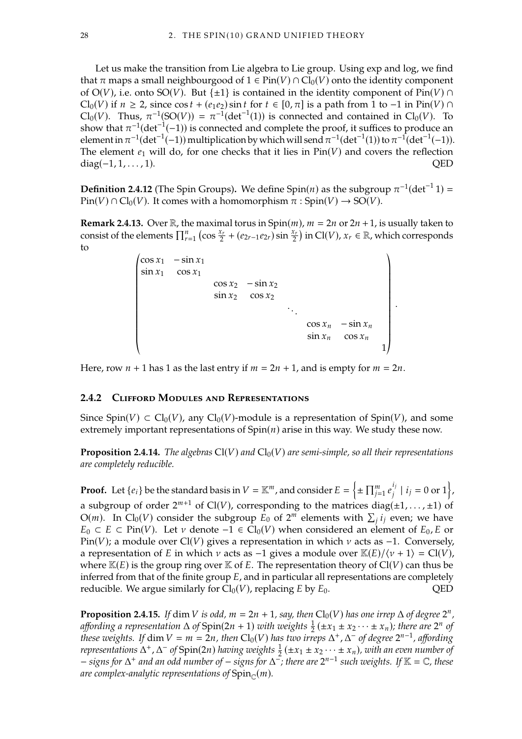Let us make the transition from Lie algebra to Lie group. Using exp and log, we find that π maps a small neighbourgood of 1 ∈ Pin( $V$ ) ∩ Cl<sub>0</sub>( $V$ ) onto the identity component of O(V), i.e. onto SO(V). But {±1} is contained in the identity component of Pin(V) ∩  $Cl_0(V)$  if  $n \geq 2$ , since cos  $t + (e_1e_2)\sin t$  for  $t \in [0, \pi]$  is a path from 1 to -1 in Pin(V) ∩  $Cl_0(V)$ . Thus,  $\pi^{-1}(\text{SO}(V)) = \pi^{-1}(\text{det}^{-1}(1))$  is connected and contained in  $Cl_0(V)$ . To show that  $\pi^{-1}(\det^{-1}(-1))$  is connected and complete the proof, it suffices to produce an element in  $\pi^{-1}(\det^{-1}(-1))$  multiplication by which will send  $\pi^{-1}(\det^{-1}(1))$  to  $\pi^{-1}(\det^{-1}(-1))$ . The element  $e_1$  will do, for one checks that it lies in  $Pin(V)$  and covers the reflection diag( $-1, 1, ..., 1$ ). QED diag( $-1, 1, ..., 1$ ). QED

**Definition 2.4.12** (The Spin Groups). We define Spin( $n$ ) as the subgroup  $\pi^{-1}(\det^{-1} 1)$  =  $\text{Pin}(V) \cap \text{Cl}_2(V)$ . It comes with a homomorphism  $\pi : \text{Spin}(V) \to \text{SO}(V)$  $Pin(V) \cap Cl_0(V)$ . It comes with a homomorphism  $\pi : Spin(V) \to SO(V)$ .

**Remark 2.4.13.** Over R, the maximal torus in  $Spin(m)$ ,  $m = 2n$  or  $2n + 1$ , is usually taken to consist of the elements  $\prod_{r=1}^{n} (\cos \frac{x_r}{2} + (e_{2r-1}e_{2r}) \sin \frac{x_r}{2})$  in Cl(*V*),  $x_r \in \mathbb{R}$ , which corresponds  $_{r=1}^{n}$  (cos  $\frac{x_r}{2}$  + (e<sub>2r-1</sub>e<sub>2r</sub>) sin  $\frac{x_r}{2}$ to

> —<br>│<br>│<br>│<br>│<br>│<br>│<br>│<br>│  $\cos x_1 - \sin x_1$ <br> $\sin x_1 - \cos x_1$  $\sin x_1 \cos x_1$  $\cos x_2 - \sin x_2$ <br> $\sin x_2 - \cos x_2$  $\sin x_2$  cos  $x_2$  $\cos x_n = \sin x_n$ <br> $\sin x = \cos x$  $\sin x_n \cos x_n$ <sup>1</sup> ª ® ® ® ® ® ® ® ® ® ® ® ®

« ¬ Here, row  $n + 1$  has 1 as the last entry if  $m = 2n + 1$ , and is empty for  $m = 2n$ .

#### **2.4.2 Clifford Modules and Representations**

Since  $Spin(V) \subset Cl_0(V)$ , any  $Cl_0(V)$ -module is a representation of  $Spin(V)$ , and some extremely important representations of  $Spin(n)$  arise in this way. We study these now.

**Proposition 2.4.14.** *The algebras*  $Cl(V)$  *and*  $Cl<sub>0</sub>(V)$  *are semi-simple, so all their representations are completely reducible.*

**Proof.** Let  $\{e_i\}$  be the standard basis in  $V = \mathbb{K}^m$ , and consider  $E = \left\{\pm \prod_{j=1}^m e_j^{i_j} \mid i_j = 0 \text{ or } 1\right\}$ , a subgroup of order  $2^{m+1}$  of Cl(V), corresponding to the matrices diag( $\pm 1, ..., \pm 1$ ) of  $O(m)$ . In  $Cl_0(V)$  consider the subgroup  $\tilde{E}_0$  of  $2^m$  elements with  $\sum_j i_j$  even; we have  $E_0 \subset E \subset \text{Pin}(V)$ . Let  $\nu$  denote  $-\vec{1} \in \text{Cl}_0(V)$  when considered an element of  $E_0, E$  or  $\text{Pin}(V)$ : a module over  $\text{Cl}(V)$  gives a representation in which  $\nu$  acts as  $-1$ . Conversely Pin( $V$ ); a module over Cl( $V$ ) gives a representation in which  $v$  acts as -1. Conversely, a representation of E in which  $\nu$  acts as -1 gives a module over  $\mathbb{K}(E)/\langle \nu + 1 \rangle = \mathrm{Cl}(V)$ , where  $K(E)$  is the group ring over K of E. The representation theory of  $Cl(V)$  can thus be inferred from that of the finite group  $E$ , and in particular all representations are completely reducible. We argue similarly for  $Cl_0(V)$ , replacing  $E$  by  $E_0$ .  $QED$ reducible. We argue similarly for  $Cl_0(V)$ , replacing E by  $E_0$ .

<span id="page-39-0"></span>**Proposition 2.4.15.** *If* dim *V is odd,*  $m = 2n + 1$ *, say, then*  $Cl_0(V)$  *has one irrep*  $\Delta$  *of degree*  $2^n$ *, of degree*  $2^n$ *, of Spin(2n + 1) vuith vuelable*  $\frac{1}{2}(+x_1+x_2...+x_n)$ ; *there are*  $2^n$  *of affording a representation*  $\Delta$  *of* Spin(2*n* + 1) *with weights*  $\frac{1}{2}(\pm x_1 \pm x_2 \cdots \pm x_n)$ ; there are 2<sup>*n*</sup> *of degree* 2<sup>*n*</sup> - *affording these weights.* If  $\dim V = m = 2n$ , then  $\text{Cl}_0(V)$  has two irreps  $\Delta^+$ ,  $\Delta^-$  of degree  $2^{n-1}$ , affording representations  $\Delta^+$ ,  $\Delta^-$  of  $\text{Spin}(2n)$  having veights  $\frac{1}{2}$  ( $\pm x_2 + x_3$ ) with an grep number of *representations*  $\Delta^+$ ,  $\Delta^-$  *of* Spin(2*n*) *having weights*  $\frac{1}{2}$  ( $\pm x_1 \pm x_2 \cdots \pm x_n$ ), with an even number of  $-$  signs for  $\Delta^+$ , and an odd number of  $-$  signs for  $\Delta^-$ ; there are  $2^{n-1}$  such vigiable. If − *signs for* Δ <sup>+</sup> *and an odd number of* − *signs for* Δ <sup>−</sup>*; there are* 2 𝑛−1 *such weights. If* K = C*, these* are complex-analytic representations of  $\text{Spin}_{\mathbb{C}}(m)$ .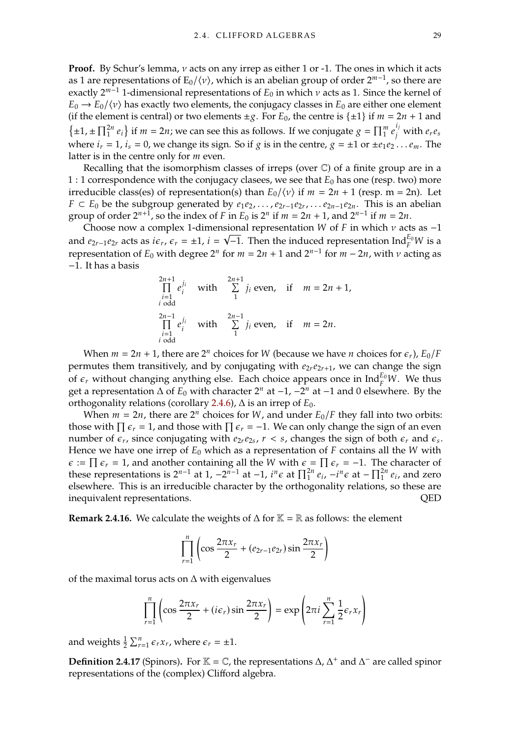**Proof.** By Schur's lemma, v acts on any irrep as either 1 or -1. The ones in which it acts as 1 are representations of  $E_0/\langle v \rangle$ , which is an abelian group of order  $2^{m-1}$ , so there are exactly  $2^{m-1}$  1-dimensional representations of  $E_0$  in which  $\nu$  acts as 1. Since the kernel of  $E_0 \rightarrow E_2/\nu$  has exactly two elements, the conjugacy classes in  $E_2$  are either one elements.  $E_0 \rightarrow E_0/\langle v \rangle$  has exactly two elements, the conjugacy classes in  $E_0$  are either one element (if the element is central) or two elements  $\pm g$ . For  $E_0$ , the centre is  $\{\pm 1\}$  if  $m = 2n + 1$  and  $\{\pm 1, \pm \prod_{1}^{2n} e_i\}$ If  $m = 2n$ ; we can see this as follows. If we conjugate  $g = \prod_{i=1}^{m} e_i^{i}$  with  $e_r e_s$ <br> $i = 0$ , we change its sign. So if g is in the contra  $g = \pm 1$  or  $\pm e_s$   $g = \pm 1$ where  $i_r = 1$ ,  $i_s = 0$ , we change its sign. So if  $g$  is in the centre,  $g = \pm 1$  or  $\pm e_1 e_2 \ldots e_m$ . The latter is in the centre only for *m* even latter is in the centre only for  $m$  even.

Recalling that the isomorphism classes of irreps (over  $\mathbb{C}$ ) of a finite group are in a 1 : 1 correspondence with the conjugacy clasees, we see that  $E_0$  has one (resp. two) more irreducible class(es) of representation(s) than  $E_0/\langle v \rangle$  if  $m = 2n + 1$  (resp. m = 2n). Let  $F \subset E_0$  be the subgroup generated by  $e_1e_2, \ldots, e_{2r-1}e_{2r}, \ldots e_{2n-1}e_{2n}$ . This is an abelian  $\sigma$ roup of order  $2^{n+1}$  so the index of  $E$  in  $E_2$  is  $2^n$  if  $m-2n+1$  and  $2^{n-1}$  if  $m-2n$ group of order  $2^{n+1}$ , so the index of F in  $E_0$  is  $2^n$  if  $m = 2n + 1$ , and  $2^{n-1}$  if  $m = 2n$ .<br>Choose now a complex 1-dimensional representation  $W$  of E in which  $u$  act

Choose now a complex 1-dimensional representation *W* of *F* in which *v* acts as −1 and  $e_{2r-1}e_{2r}$  acts as  $i\epsilon_r$ ,  $\epsilon_r = \pm 1$ ,  $i = \sqrt{-1}$ . Then the induced representation  $\text{Ind}_{F}^{E_0}W$  is a representation of  $E_0$  with degree  $2^n$  for  $m = 2n + 1$  and  $2^{n-1}$  for  $m = 2n$ , with v acting as representation of  $E_0$  with degree  $2^n$  for  $m = 2n + 1$  and  $2^{n-1}$  for  $m - 2n$ , with  $\nu$  acting as −1. It has a basis

$$
\prod_{\substack{i=1 \ i \text{ odd}}}^{2n+1} e_i^{j_i} \quad \text{with} \quad \sum_{1}^{2n+1} j_i \text{ even}, \quad \text{if} \quad m = 2n+1,
$$
\n
$$
\prod_{\substack{i=1 \ i \text{ odd}}}^{2n-1} e_i^{j_i} \quad \text{with} \quad \sum_{1}^{2n-1} j_i \text{ even}, \quad \text{if} \quad m = 2n.
$$

When  $m = 2n + 1$ , there are  $2^n$  choices for W (because we have *n* choices for  $\epsilon_r$ ),  $E_0/F$ <br>mutos them transitively, and by conjugating with  $\ell_0$ ,  $\ell_0$ ,  $\epsilon$ ,  $W_0$  can change the sign permutes them transitively, and by conjugating with  $e_{2r}e_{2r+1}$ , we can change the sign of  $\epsilon_r$  without changing anything else. Each choice appears once in Ind<sup>E<sub>0</sub></sup>W. We thus<br>get a representation A of E<sub>0</sub> with character  $2^n$  at  $-1$   $-2^n$  at  $-1$  and 0 elsewhere. By the get a representation  $\Delta$  of  $E_0$  with character  $2^n$  at  $-1$ ,  $-2^n$  at  $-1$  and 0 elsewhere. By the orthogonality relations (corollary  $2.4.6$ ). A is an irrep of  $E_8$ orthogonality relations (corollary [2.4.6\)](#page-36-0),  $\Delta$  is an irrep of  $E_0$ .

When  $m = 2n$ , there are  $2^n$  choices for W, and under  $E_0/F$  they fall into two orbits:<br>so with  $\Pi c = 1$  and those with  $\Pi c = -1$ . We can only change the sign of an even those with  $\prod \epsilon_r = 1$ , and those with  $\prod \epsilon_r = -1$ . We can only change the sign of an even number of  $\epsilon_r$ , since conjugating with  $e_{2r}e_{2s}$ ,  $r < s$ , changes the sign of both  $\epsilon_r$  and  $\epsilon_s$ .<br>Hence we have one irrep of  $E_0$  which as a representation of E contains all the W with Hence we have one irrep of  $E_0$  which as a representation of  $F$  contains all the  $W$  with  $\epsilon := \prod \epsilon_r = 1$ , and another containing all the W with  $\epsilon = \prod \epsilon_r = -1$ . The character of these representations is  $2^{n-1}$  at  $1 - 2^{n-1}$  at  $-1$ ,  $i^n \epsilon$  at  $\prod^{2n} \epsilon_i$ ,  $-1^{2n} \epsilon_i$ , and zero these representations is  $2^{n-1}$  at  $1, -2^{n-1}$  at  $-1$ ,  $i^n \epsilon$  at  $\prod_{1}^{2n} e_i$ ,  $-i^n \epsilon$  at  $-\prod_{1}^{2n} e_i$ , and zero<br>elsewhere. This is an irreducible character by the orthogonality relations, so these are  $\frac{1}{1}$  elsewhere. This is an irreducible character by the orthogonality relations, so these are inequivalent representations. QED

**Remark 2.4.16.** We calculate the weights of  $\Delta$  for  $\mathbb{K} = \mathbb{R}$  as follows: the element

$$
\prod_{r=1}^{n} \left( \cos \frac{2\pi x_r}{2} + (e_{2r-1}e_{2r}) \sin \frac{2\pi x_r}{2} \right)
$$

of the maximal torus acts on  $\Delta$  with eigenvalues

$$
\prod_{r=1}^{n} \left( \cos \frac{2\pi x_r}{2} + (i\epsilon_r) \sin \frac{2\pi x_r}{2} \right) = \exp \left( 2\pi i \sum_{r=1}^{n} \frac{1}{2} \epsilon_r x_r \right)
$$

and weights  $\frac{1}{2} \sum_{r=1}^{n} \epsilon_r x_r$ , where  $\epsilon_r = \pm 1$ .

**Definition 2.4.17** (Spinors). For  $\mathbb{K} = \mathbb{C}$ , the representations  $\Delta$ ,  $\Delta^+$  and  $\Delta^-$  are called spinor representations of the (complex) Clifford algebra.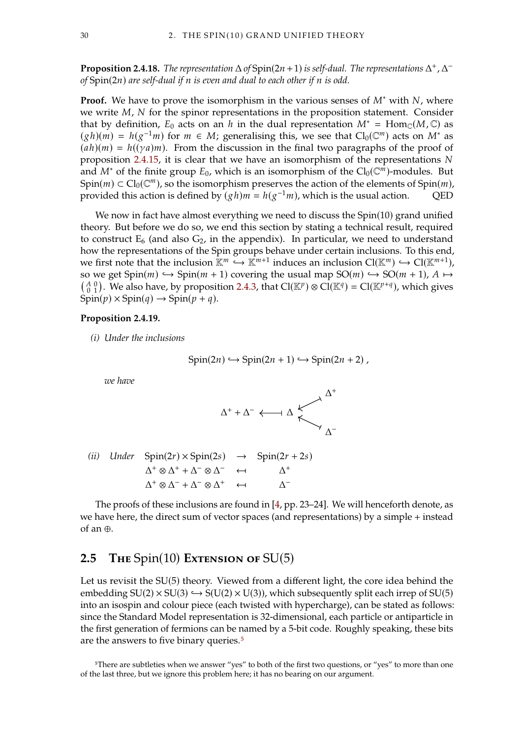**Proposition 2.4.18.** *The representation*  $\Delta$  *of*  $Spin(2n + 1)$  *is self-dual. The representations*  $\Delta^+$ ,  $\Delta^$ *of* Spin(2*n*) are self-dual if *n* is even and dual to each other if *n* is odd.

**Proof.** We have to prove the isomorphism in the various senses of  $M^*$  with N, where we write  $M$ ,  $N$  for the spinor representations in the proposition statement. Consider that by definition,  $E_0$  acts on an h in the dual representation  $M^* = \text{Hom}_{\mathbb{C}}(M,\mathbb{C})$  as  $(gh)(m) = h(g^{-1}m)$  for  $m \in M$ ; generalising this, we see that  $Cl_0(\mathbb{C}^m)$  acts on  $M^*$  as  $(gh)(m) = h((ya)m)$ . From the discussion in the final two paragraphs of the proof of  $(ah)(m) = h((\gamma a)m)$ . From the discussion in the final two paragraphs of the proof of proposition [2.4.15,](#page-39-0) it is clear that we have an isomorphism of the representations  $N$ and  $M^*$  of the finite group  $E_0$ , which is an isomorphism of the  $Cl_0(\mathbb{C}^m)$ -modules. But<br>Spin(*w*)  $\subset Cl_0(\mathbb{C}^m)$ , so the isomorphism preserves the action of the elements of Spin(*w*). Spin(*m*) ⊂ Cl<sub>0</sub>( $\mathbb{C}^m$ ), so the isomorphism preserves the action of the elements of Spin(*m*), provided this action is defined by  $(gh) = h(a^{-1}m)$ , which is the usual action provided this action is defined by  $(gh)m = h(g^{-1}m)$ , which is the usual action. QED

We now in fact have almost everything we need to discuss the Spin(10) grand unified theory. But before we do so, we end this section by stating a technical result, required to construct  $E_6$  (and also  $G_2$ , in the appendix). In particular, we need to understand how the representations of the Spin groups behave under certain inclusions. To this end, we first note that the inclusion  $\mathbb{K}^m \hookrightarrow \mathbb{K}^{m+1}$  induces an inclusion  $Cl(\mathbb{K}^m) \hookrightarrow Cl(\mathbb{K}^{m+1})$ , so we get  $Spin(m) \hookrightarrow Spin(m + 1)$  covering the usual map  $SO(m) \hookrightarrow SO(m + 1)$ ,  $A \mapsto (A \ 0)$ ,  $W_0$  also have by proposition  $2A \ 3$ , that  $Cl(\mathbb{K}^p) \otimes Cl(\mathbb{K}^q) = Cl(\mathbb{K}^{p+q})$ , which gives  $\binom{A}{0}$ . We also have, by proposition [2.4.3,](#page-36-1) that Cl(KP)  $\otimes$  Cl(K<sup>q</sup>) = Cl(K<sup>p+q</sup>), which gives  $Spin(p) \times Spin(q) \rightarrow Spin(p+q)$ .

#### <span id="page-41-1"></span>**Proposition 2.4.19.**

*(i) Under the inclusions*

$$
Spin(2n) \hookrightarrow Spin(2n+1) \hookrightarrow Spin(2n+2) ,
$$

*we have*

$$
\Delta^+ + \Delta^- \xleftarrow{\longleftrightarrow} \Delta \xleftarrow{\Delta^+} \Delta^-
$$

(ii) Under 
$$
Spin(2r) \times Spin(2s) \rightarrow Spin(2r+2s)
$$
  
\n $\Delta^+ \otimes \Delta^+ + \Delta^- \otimes \Delta^- \leftarrow \Delta^+$   
\n $\Delta^+ \otimes \Delta^- + \Delta^- \otimes \Delta^+ \leftarrow \Delta^-$ 

The proofs of these inclusions are found in [\[4,](#page-76-0) pp. 23–24]. We will henceforth denote, as we have here, the direct sum of vector spaces (and representations) by a simple + instead of an ⊕.

## **2.5 The** Spin(10) **Extension of** SU(5)

Let us revisit the SU(5) theory. Viewed from a different light, the core idea behind the embedding  $SU(2) \times SU(3) \hookrightarrow S(U(2) \times U(3))$ , which subsequently split each irrep of  $SU(5)$ into an isospin and colour piece (each twisted with hypercharge), can be stated as follows: since the Standard Model representation is 32-dimensional, each particle or antiparticle in the first generation of fermions can be named by a 5-bit code. Roughly speaking, these bits are the answers to five binary queries.[5](#page-41-0)

<span id="page-41-0"></span>5There are subtleties when we answer "yes" to both of the first two questions, or "yes" to more than one of the last three, but we ignore this problem here; it has no bearing on our argument.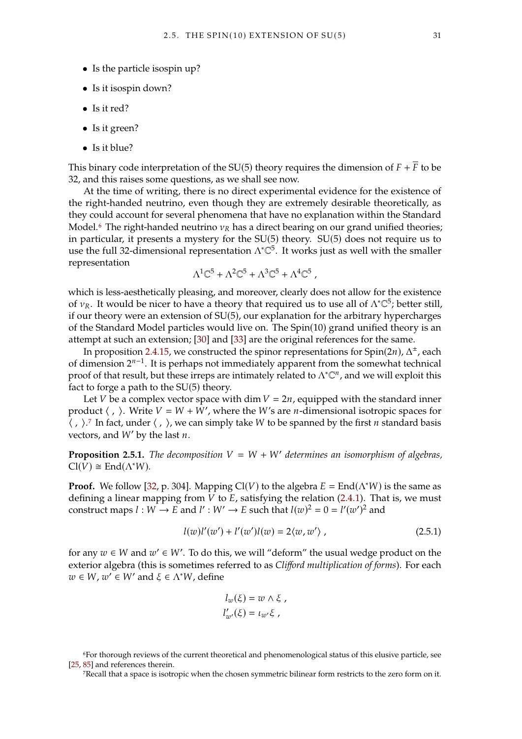- Is the particle isospin up?
- Is it isospin down?
- Is it red?
- Is it green?
- Is it blue?

This binary code interpretation of the SU(5) theory requires the dimension of  $F + \overline{F}$  to be 32, and this raises some questions, as we shall see now.

At the time of writing, there is no direct experimental evidence for the existence of the right-handed neutrino, even though they are extremely desirable theoretically, as they could account for several phenomena that have no explanation within the Standard Model.<sup>[6](#page-42-0)</sup> The right-handed neutrino  $\nu_R$  has a direct bearing on our grand unified theories; in particular, it presents a mystery for the SU(5) theory. SU(5) does not require us to use the full 32-dimensional representation  $\Lambda^*\mathbb{C}^5$ . It works just as well with the smaller representation

$$
\Lambda^1\mathbb{C}^5 + \Lambda^2\mathbb{C}^5 + \Lambda^3\mathbb{C}^5 + \Lambda^4\mathbb{C}^5 ,
$$

which is less-aesthetically pleasing, and moreover, clearly does not allow for the existence of  $\nu_R$ . It would be nicer to have a theory that required us to use all of  $\Lambda^* \mathbb{C}^5$ ; better still, if our theory were an extension of SU(5), our explanation for the arbitrary hypercharges of the Standard Model particles would live on. The Spin(10) grand unified theory is an attempt at such an extension; [\[30\]](#page-77-0) and [\[33\]](#page-77-1) are the original references for the same.

In proposition [2.4.15,](#page-39-0) we constructed the spinor representations for Spin(2*n*),  $\Delta^{\pm}$ , each limension  $2^{n-1}$ . It is perhaps not immediately apparent from the somewhat technical of dimension  $2^{n-1}$ . It is perhaps not immediately apparent from the somewhat technical proof of that result, but these irreps are intimately related to  $\Lambda^* \mathbb{C}^n$ , and we will exploit this fact to forge a path to the SU(5) theory.

Let V be a complex vector space with dim  $V = 2n$ , equipped with the standard inner product  $\langle , \rangle$ . Write  $V = W + W'$ , where the W's are *n*-dimensional isotropic spaces for  $\langle , \rangle$ .<sup>[7](#page-42-1)</sup> In fact, under  $\langle , \rangle$ , we can simply take W to be spanned by the first *n* standard basis vectors, and  $W'$  by the last  $n$ .

<span id="page-42-3"></span>**Proposition 2.5.1.** *The decomposition*  $V = W + W'$  *determines an isomorphism of algebras,*  $Cl(V) \cong End(\Lambda^*W)$ .

**Proof.** We follow [\[32,](#page-77-2) p. 304]. Mapping Cl(V) to the algebra  $E = \text{End}(\Lambda^*W)$  is the same as defining a linear mapping from  $V$  to  $E$ , satisfying the relation [\(2.4.1\)](#page-36-2). That is, we must construct maps  $l : W \to E$  and  $l' : W' \to E$  such that  $l(w)^2 = 0 = l'(w')^2$  and

<span id="page-42-2"></span>
$$
l(w)l'(w') + l'(w')l(w) = 2\langle w, w' \rangle,
$$
\n(2.5.1)

for any  $w \in W$  and  $w' \in W'$ . To do this, we will "deform" the usual wedge product on the exterior algebra (this is sometimes referred to as *Clifford multiplication of forms*). For each exterior algebra (this is sometimes referred to as *Clifford multiplication of forms*). For each  $w \in W$ ,  $w' \in W'$  and  $\xi \in \Lambda^*W$ , define

$$
l_w(\xi) = w \wedge \xi ,
$$
  

$$
l'_{w'}(\xi) = \iota_{w'}\xi ,
$$

<span id="page-42-0"></span><sup>6</sup>For thorough reviews of the current theoretical and phenomenological status of this elusive particle, see [\[25,](#page-77-3) [85\]](#page-80-0) and references therein.

<span id="page-42-1"></span><sup>7</sup>Recall that a space is isotropic when the chosen symmetric bilinear form restricts to the zero form on it.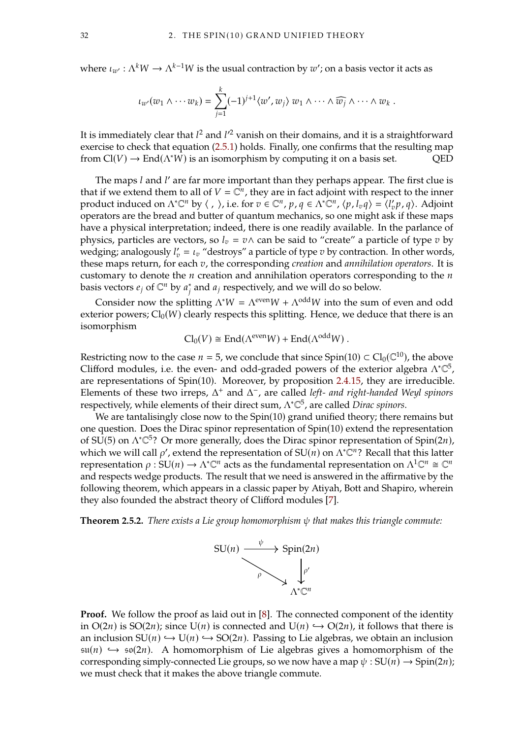where  $\iota_{w'} : \Lambda^k W \to \Lambda^{k-1} W$  is the usual contraction by  $w'$ ; on a basis vector it acts as

$$
\iota_{w'}(w_1 \wedge \cdots w_k) = \sum_{j=1}^k (-1)^{j+1} \langle w', w_j \rangle w_1 \wedge \cdots \wedge \widehat{w_j} \wedge \cdots \wedge w_k.
$$

It is immediately clear that  $l^2$  and  $l'^2$  vanish on their domains, and it is a straightforward<br>exercise to check that equation  $(2.5.1)$  holds. Finally, one confirms that the resulting man exercise to check that equation [\(2.5.1\)](#page-42-2) holds. Finally, one confirms that the resulting map from  $Cl(V) \rightarrow End(\Lambda^*W)$  is an isomorphism by computing it on a basis set. QED

The maps *l* and *l'* are far more important than they perhaps appear. The first clue is<br>t if we extend them to all of  $V = \mathbb{C}^n$ , they are in fact adjoint with respect to the inner that if we extend them to all of  $V = \mathbb{C}^n$ , they are in fact adjoint with respect to the inner<br>product induced on  $\Lambda^* \mathbb{C}^n$  by  $\Lambda$  is a form  $\mathbb{C}^n$  in  $a \in \Lambda^* \mathbb{C}^n$ ,  $\{n, l, a\} = \{l', n, a\}$ . Adjoint product induced on  $\Lambda^* \mathbb{C}^n$  by  $\langle , \rangle$ , i.e. for  $v \in \mathbb{C}^n$ ,  $p, q \in \Lambda^* \mathbb{C}^n$ ,  $\langle p, l_v q \rangle = \langle l_v' p, q \rangle$ . Adjoint operators are the bread and butter of quantum mechanics, so one might ask if these mans operators are the bread and butter of quantum mechanics, so one might ask if these maps have a physical interpretation; indeed, there is one readily available. In the parlance of physics, particles are vectors, so  $l_v = v \wedge$  can be said to "create" a particle of type v by wedging; analogously  $l'_v = l_v$  "destroys" a particle of type  $v$  by contraction. In other words,<br>those maps return, for each  $v$ , the corresponding creation and quulilation operators. It is these maps return, for each  $v$ , the corresponding *creation* and *annihilation operators*. It is customary to denote the  $n$  creation and annihilation operators corresponding to the  $n$ basis vectors  $e_j$  of  $\mathbb{C}^n$  by  $a_j^*$  and  $a_j$  respectively, and we will do so below.

Consider now the splitting  $\Lambda^* W = \Lambda^{\text{even}} W + \Lambda^{\text{odd}} W$  into the sum of even and odd exterior powers;  $Cl_0(W)$  clearly respects this splitting. Hence, we deduce that there is an isomorphism

$$
Cl_0(V) \cong End(\Lambda^{\text{even}}W) + End(\Lambda^{\text{odd}}W).
$$

Restricting now to the case  $n = 5$ , we conclude that since  $Spin(10) \subset Cl_0(\mathbb{C}^{10})$ , the above<br>Clifford modules i.e. the even- and odd-graded powers of the exterior algebra  $\Lambda^{*}(\mathbb{S}^5)$ Clifford modules, i.e. the even- and odd-graded powers of the exterior algebra  $\Lambda^* \mathbb{C}^5$ , are representations of Spin(10). Moreover, by proposition [2.4.15,](#page-39-0) they are irreducible. Elements of these two irreps,  $Δ<sup>+</sup>$  and  $Δ<sup>-</sup>$ , are called *left- and right-handed Weyl spinors* respectively, while elements of their direct sum, Λ<sup>∗</sup>C 5 , are called *Dirac spinors*.

We are tantalisingly close now to the Spin(10) grand unified theory; there remains but one question. Does the Dirac spinor representation of Spin(10) extend the representation of SU(5) on  $\Lambda^* \mathbb{C}^5$ ? Or more generally, does the Dirac spinor representation of Spin(2*n*),<br>which we will call o' extend the representation of SU(*n*) on  $\Lambda^* \mathbb{C}^{n}$ ? Recall that this latter which we will call  $\rho'$ , extend the representation of SU(*n*) on  $\Lambda^* \mathbb{C}^n$ ? Recall that this latter representation  $\rho: SI(n) \to \Lambda^* \mathbb{C}^n$  acts as the fundamental representation on  $\Lambda^1 \mathbb{C}^n \cong \mathbb{C}^n$ representation  $\rho : SU(n) \to \Lambda^* \mathbb{C}^n$  acts as the fundamental representation on  $\Lambda^1 \mathbb{C}^n \cong \mathbb{C}^n$ <br>and respects wedge products. The result that we need is answered in the affirmative by the and respects wedge products. The result that we need is answered in the affirmative by the following theorem, which appears in a classic paper by Atiyah, Bott and Shapiro, wherein they also founded the abstract theory of Clifford modules [\[7\]](#page-76-1).

<span id="page-43-0"></span>**Theorem 2.5.2.** *There exists a Lie group homomorphism*  $\psi$  *that makes this triangle commute:* 



**Proof.** We follow the proof as laid out in [\[8\]](#page-76-2). The connected component of the identity in  $O(2n)$  is SO(2*n*); since U(*n*) is connected and U(*n*)  $\hookrightarrow$  O(2*n*), it follows that there is an inclusion  $SU(n) \hookrightarrow U(n) \hookrightarrow SO(2n)$ . Passing to Lie algebras, we obtain an inclusion  $\mathfrak{su}(n) \hookrightarrow \mathfrak{so}(2n)$ . A homomorphism of Lie algebras gives a homomorphism of the corresponding simply-connected Lie groups, so we now have a map  $\psi : SU(n) \rightarrow Spin(2n)$ ; we must check that it makes the above triangle commute.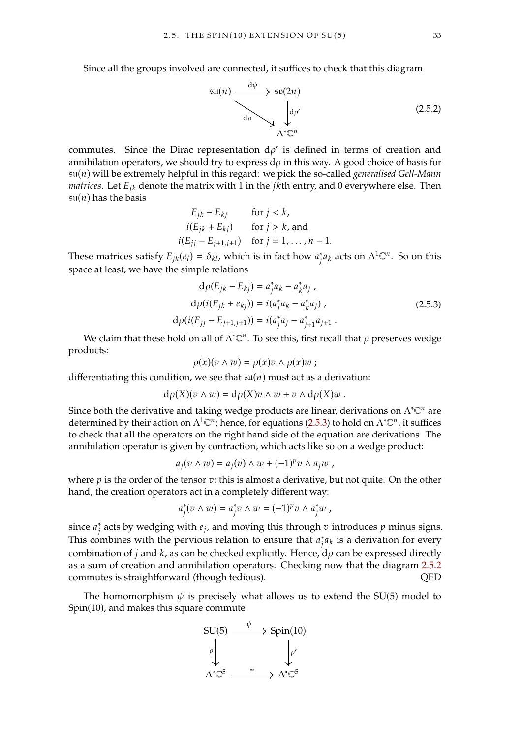Since all the groups involved are connected, it suffices to check that this diagram

<span id="page-44-1"></span>
$$
\begin{array}{ccc}\n\mathfrak{su}(n) & \xrightarrow{\mathrm{d}\psi} & \mathfrak{so}(2n) \\
\downarrow^{\mathrm{d}\rho} & & \downarrow^{\mathrm{d}\rho'} \\
\downarrow^{\mathrm{d}\rho'} & & & \\
\Lambda^* \mathbb{C}^n\n\end{array}
$$
\n(2.5.2)

commutes. Since the Dirac representation  $d\rho'$  is defined in terms of creation and annihilation operators, we should try to express  $d\rho$  in this way. A good choice of basis for  $\mathfrak{su}(n)$  will be extremely helpful in this regard: we pick the so-called *generalised Gell-Mann matrices*. Let  $E_{ik}$  denote the matrix with 1 in the *jkth* entry, and 0 everywhere else. Then  $\mathfrak{su}(n)$  has the basis

$$
E_{jk} - E_{kj} \quad \text{for } j < k,
$$
\n
$$
i(E_{jk} + E_{kj}) \quad \text{for } j > k, \text{ and}
$$
\n
$$
i(E_{jj} - E_{j+1,j+1}) \quad \text{for } j = 1, \dots, n-1.
$$

These matrices satisfy  $E_{jk}(e_l) = \delta_{kl}$ , which is in fact how  $a_j^* a_k$  acts on  $\Lambda^1 \mathbb{C}^n$ . So on this  $^{\prime}$ space at least, we have the simple relations

<span id="page-44-0"></span>
$$
d\rho(E_{jk} - E_{kj}) = a_j^* a_k - a_k^* a_j ,
$$
  
\n
$$
d\rho(i(E_{jk} + e_{kj})) = i(a_j^* a_k - a_k^* a_j) ,
$$
  
\n
$$
d\rho(i(E_{jj} - E_{j+1,j+1})) = i(a_j^* a_j - a_{j+1}^* a_{j+1} .
$$
\n(2.5.3)

We claim that these hold on all of  $\Lambda^*\mathbb{C}^n$ . To see this, first recall that  $\rho$  preserves wedge products:

$$
\rho(x)(v \wedge w) = \rho(x)v \wedge \rho(x)w ;
$$

differentiating this condition, we see that  $\mathfrak{su}(n)$  must act as a derivation:

$$
d\rho(X)(v \wedge w) = d\rho(X)v \wedge w + v \wedge d\rho(X)w.
$$

Since both the derivative and taking wedge products are linear, derivations on  $\Lambda^*\mathbb C^n$  are determined by their action on  $\Lambda^1\mathbb{C}^n$ ; hence, for equations [\(2.5.3\)](#page-44-0) to hold on  $\Lambda^*\mathbb{C}^n$ , it suffices to check that all the operators on the right hand side of the equation are derivations. The annihilation operator is given by contraction, which acts like so on a wedge product:

$$
a_j(v \wedge w) = a_j(v) \wedge w + (-1)^p v \wedge a_j w ,
$$

where  $p$  is the order of the tensor  $v$ ; this is almost a derivative, but not quite. On the other hand, the creation operators act in a completely different way:

$$
a_j^*(v \wedge w) = a_j^* v \wedge w = (-1)^p v \wedge a_j^* w ,
$$

since  $a_j^*$  acts by wedging with  $e_j$ , and moving this through  $v$  introduces  $p$  minus signs.<br>This combines with the newsless valetion to answer that  $e_j^*e_j$  is a deviation for exam-This combines with the pervious relation to ensure that  $a_j^* a_k$  is a derivation for every combination of  $i$  and  $k$  as are be absoluted writing Hanac de are be agreeed directly combination of *j* and *k*, as can be checked explicitly. Hence,  $d\rho$  can be expressed directly as a sum of creation and annihilation operators. Checking now that the diagram [2.5.2](#page-44-1) commutes is straightforward (though tedious). QED

The homomorphism  $\psi$  is precisely what allows us to extend the SU(5) model to Spin(10), and makes this square commute

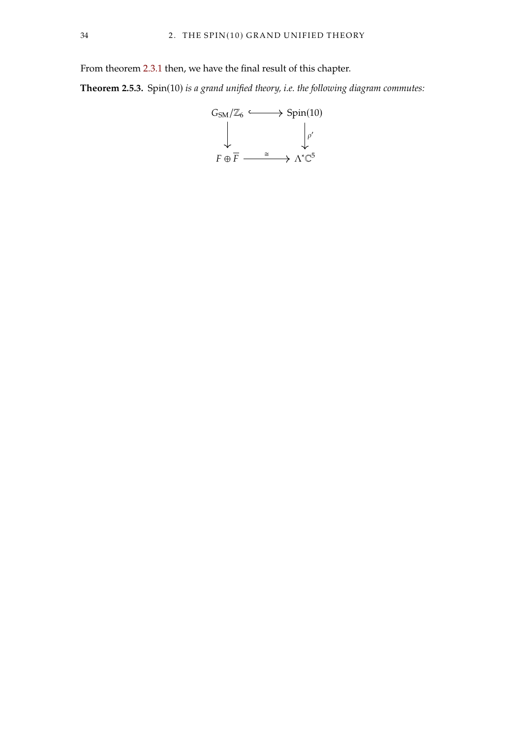From theorem [2.3.1](#page-35-0) then, we have the final result of this chapter.

<span id="page-45-0"></span>**Theorem 2.5.3.** Spin(10) *is a grand unified theory, i.e. the following diagram commutes:*

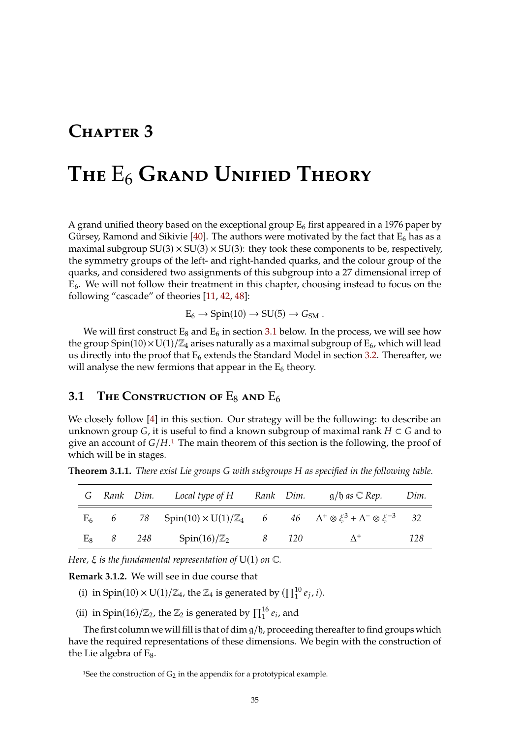## **Chapter 3**

# **The** E<sup>6</sup> **Grand Unified Theory**

A grand unified theory based on the exceptional group  $E_6$  first appeared in a 1976 paper by Gürsey, Ramond and Sikivie [\[40\]](#page-78-0). The authors were motivated by the fact that  $E_6$  has as a maximal subgroup  $SU(3) \times SU(3) \times SU(3)$ : they took these components to be, respectively, the symmetry groups of the left- and right-handed quarks, and the colour group of the quarks, and considered two assignments of this subgroup into a 27 dimensional irrep of  $E_6$ . We will not follow their treatment in this chapter, choosing instead to focus on the following "cascade" of theories [\[11,](#page-76-3) [42,](#page-78-1) [48\]](#page-78-2):

$$
E_6 \to Spin(10) \to SU(5) \to G_{SM} .
$$

We will first construct  $E_8$  and  $E_6$  in section [3.1](#page-46-0) below. In the process, we will see how the group Spin(10)  $\times$  U(1)/ $\mathbb{Z}_4$  arises naturally as a maximal subgroup of E<sub>6</sub>, which will lead us directly into the proof that  $E_6$  extends the Standard Model in section [3.2.](#page-52-0) Thereafter, we will analyse the new fermions that appear in the  $E_6$  theory.

## <span id="page-46-0"></span>**3.1 THE CONSTRUCTION OF**  $E_8$  **and**  $E_6$

We closely follow [\[4\]](#page-76-0) in this section. Our strategy will be the following: to describe an unknown group G, it is useful to find a known subgroup of maximal rank  $H \subset G$  and to give an account of  $G/H$ .<sup>[1](#page-46-1)</sup> The main theorem of this section is the following, the proof of which will be in stages.

|             | G Rank Dim. Local type of H Rank Dim. |  | $\mathfrak{g}/\mathfrak{h}$ as $\mathbb C$ Rep.                                                                        | Dim. |
|-------------|---------------------------------------|--|------------------------------------------------------------------------------------------------------------------------|------|
|             |                                       |  | E <sub>6</sub> 6 78 Spin(10) $\times$ U(1)/Z <sub>4</sub> 6 46 $\Delta^+ \otimes \xi^3 + \Delta^- \otimes \xi^{-3}$ 32 |      |
| $E_8$ 8 248 | $Spin(16)/\mathbb{Z}_2$ 8 120         |  | $\Delta^+$                                                                                                             | 128  |

<span id="page-46-2"></span>**Theorem 3.1.1.** *There exist Lie groups* G with subgroups H as specified in the following table.

*Here,*  $\xi$  *is the fundamental representation of*  $U(1)$  *on*  $\mathbb{C}$ *.* 

**Remark 3.1.2.** We will see in due course that

- (i) in Spin(10)  $\times$  U(1)/ $\mathbb{Z}_4$ , the  $\mathbb{Z}_4$  is generated by ( $\prod_1^{10} e_j$ , *i*).
- (ii) in Spin(16)/ $\mathbb{Z}_2$ , the  $\mathbb{Z}_2$  is generated by  $\prod_1^{16} e_i$ , and

The first column we will fill is that of dim  $g/b$ , proceeding thereafter to find groups which have the required representations of these dimensions. We begin with the construction of the Lie algebra of  $E_8$ .

<span id="page-46-1"></span><sup>1</sup>See the construction of  $G_2$  in the appendix for a prototypical example.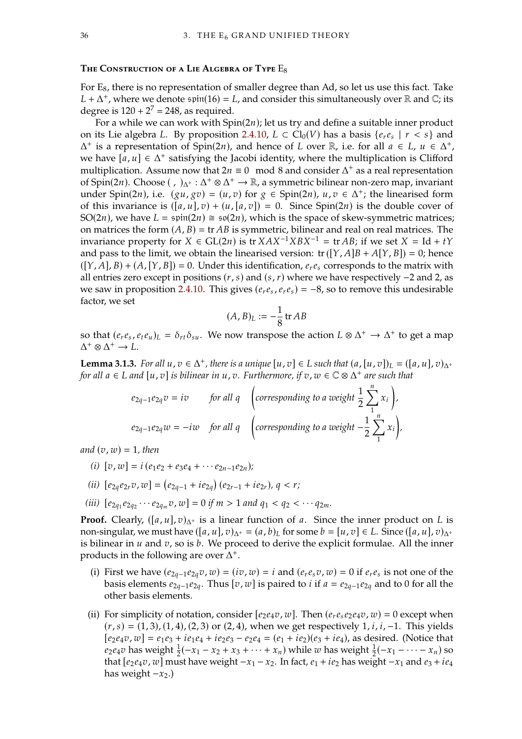#### The Construction of a Lie Algebra of Type E<sub>8</sub>

For E<sub>8</sub>, there is no representation of smaller degree than Ad, so let us use this fact. Take  $L + \Delta^+$ , where we denote  $\sin(16) = L$ , and consider this simultaneously over R and C; its degree is  $120 + 2^7 - 248$  as required degree is  $120 + 2^7 = 248$ , as required.

For a while we can work with  $Spin(2n)$ ; let us try and define a suitable inner product on its Lie algebra *L*. By proposition [2.4.10,](#page-37-0)  $L \subset Cl_0(V)$  has a basis  $\{e_r e_s \mid r \leq s\}$  and  $\Lambda^+$  is a representation of  $Spin(2n)$  and bance of L over  $\mathbb{R}$  i.e. for all  $a \in L$   $u \in \Lambda^+$  $\Delta^+$  is a representation of Spin(2*n*), and hence of *L* over R, i.e. for all  $a \in L$ ,  $u \in \Delta^+$ , we have  $[a, u] \in \Delta^+$  satisfying the Jacobi identity where the multiplication is Clifford we have  $[a, u] \in \Delta^+$  satisfying the Jacobi identity, where the multiplication is Clifford<br>multiplication. Assume now that  $2u = 0$ , mod 8 and consider  $\Delta^+$  as a real representation multiplication. Assume now that  $2n \equiv 0 \mod 8$  and consider  $\Delta^+$  as a real representation<br>of Spin(2n). Choose  $($   $)_{\Delta}$  :  $\Delta^+ \otimes \Delta^+$   $\Rightarrow \mathbb{R}$  a symmetric bilinear non-zero man, invariant of Spin(2*n*). Choose  $($ ,  $)_{\Delta^+} : \Delta^+ \otimes \Delta^+ \to \mathbb{R}$ , a symmetric bilinear non-zero map, invariant<br>under Spin(2*n*), i.e.,  $(au, \alpha v) = (u, v)$  for  $\alpha \in$  Spin(2*n*),  $u, v \in$   $\Delta^+$ ; the linearised form under Spin(2*n*), i.e.  $(gu, gv) = (u, v)$  for  $g \in Spin(2n)$ ,  $u, v \in \Delta^+$ ; the linearised form<br>of this invariance is  $([a, u], v) + (u, [a, v]) = 0$ . Since Spin(2*n*) is the double cover of of this invariance is  $([a, u], v) + (u, [a, v]) = 0$ . Since Spin(2*n*) is the double cover of  $SO(2n)$ , we have  $L = spin(2n) \cong so(2n)$ , which is the space of skew-symmetric matrices; on matrices the form  $(A, B) = \text{tr } AB$  is symmetric, bilinear and real on real matrices. The invariance property for  $X \in GL(2n)$  is tr  $XAX^{-1}XBX^{-1} = \text{tr } AB$ ; if we set  $X = Id + tY$ and pass to the limit, we obtain the linearised version:  $tr([Y, A]B + A[Y, B]) = 0$ ; hence  $([Y,A], B) + (A, [Y, B]) = 0$ . Under this identification,  $e_r e_s$  corresponds to the matrix with all entries zero except in positions  $(r, s)$  and  $(s, r)$  where we have respectively  $-2$  and 2, as we saw in proposition [2.4.10.](#page-37-0) This gives  $(e_r e_s, e_r e_s) = -8$ , so to remove this undesirable factor we set factor, we set

$$
(A, B)_L := -\frac{1}{8} \operatorname{tr} AB
$$

so that  $(e_r e_s, e_t e_u)_L = \delta_{rt} \delta_{su}$ . We now transpose the action  $L \otimes \Delta^+ \to \Delta^+$  to get a map  $\Delta^+ \to \Delta^ \Delta^+ \otimes \Delta^+ \rightarrow L.$ 

<span id="page-47-0"></span>**Lemma 3.1.3.** *For all*  $u, v \in \Delta^+$ , *there is a unique*  $[u, v] \in L$  *such that*  $(a, [u, v])_L = ([a, u], v)_{\Delta^+}$ <br>for all  $a \in L$  and  $[u, v]$  is bilinear in  $u, v$ . Furthermore, if  $v, w \in \mathbb{C} \otimes \Delta^+$  are such that *for all*  $a \in L$  *and*  $[u, v]$  *is bilinear in*  $u, v$ . *Furthermore, if*  $v, w \in \mathbb{C} \otimes \Delta^+$  *are such that* 

$$
e_{2q-1}e_{2q}v = iv \tfor all q \t(corresponding to a weight \frac{1}{2} \sum_{1}^{n} x_i),
$$
  

$$
e_{2q-1}e_{2q}w = -iw \tfor all q \t(corresponding to a weight -\frac{1}{2} \sum_{1}^{n} x_i),
$$

 $and (v, w) = 1, then$ 

- $(i) \ [v, w] = i (e_1 e_2 + e_3 e_4 + \cdots e_{2n-1} e_{2n});$
- (*ii*)  $[e_{2q}e_{2r}v, w] = (e_{2q-1} + ie_{2q})(e_{2r-1} + ie_{2r}), q < r;$

(iii) 
$$
[e_{2q_1}e_{2q_2}\cdots e_{2q_m}v,w] = 0
$$
 if  $m > 1$  and  $q_1 < q_2 < \cdots q_{2m}$ .

**Proof.** Clearly,  $([a, u], v)_{\Delta^+}$  is a linear function of a. Since the inner product on L is non-singular, we must have  $([a, u], v)_{\Delta^+} = (a, b)_L$  for some  $b = [u, v] \in L$ . Since  $([a, u], v)_{\Delta^+}$ is bilinear in  $u$  and  $v$ , so is  $b$ . We proceed to derive the explicit formulae. All the inner products in the following are over  $\Lambda^+$ .

- (i) First we have  $(e_{2q-1}e_{2q}v, w) = (iv, w) = i$  and  $(e_{r}e_{s}v, w) = 0$  if  $e_{r}e_{s}$  is not one of the basis elements  $e_{2q-1}e_{2q}$ . Thus [ $v$ ,  $w$ ] is paired to  $i$  if  $a = e_{2q-1}e_{2q}$  and to 0 for all the other basis elements.
- (ii) For simplicity of notation, consider  $[e_2e_4v, w]$ . Then  $(e_r e_s e_2 e_4 v, w) = 0$  except when  $(r, s) = (1, 3), (1, 4), (2, 3)$  or  $(2, 4)$ , when we get respectively  $1, i, i, -1$ . This yields  $[e_2e_4v, w] = e_1e_3 + ie_1e_4 + ie_2e_3 - e_2e_4 = (e_1 + ie_2)(e_3 + ie_4)$ , as desired. (Notice that  $e_2e_4v$  has weight  $\frac{1}{2}(-x_1-x_2+x_3+\cdots+x_n)$  while w has weight  $\frac{1}{2}(-x_1-\cdots-x_n)$  so that  $[e_2e_4v, w]$  must have weight  $-x_1 - x_2$ . In fact,  $e_1 + ie_2$  has weight  $-x_1$  and  $e_3 + ie_4$ has weight  $-x_2$ .)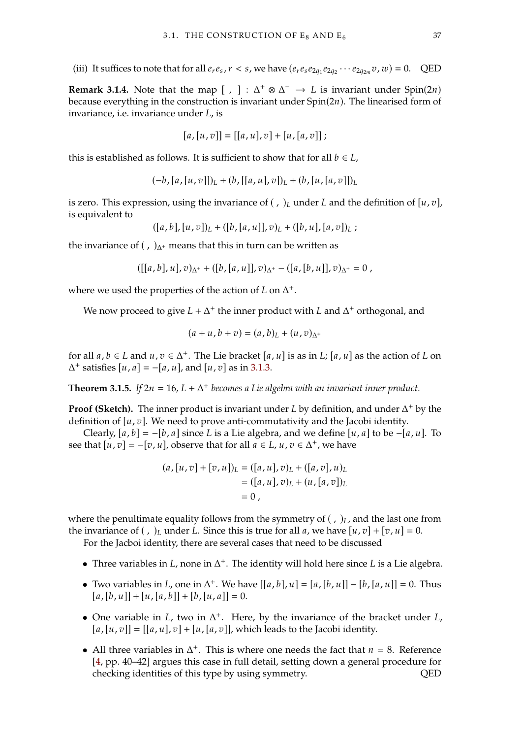(iii) It suffices to note that for all  $e_re_s$ ,  $r < s$ , we have  $(e_re_se_{2q_1}e_{2q_2}\cdots e_{2q_{2m}}v, w) = 0$ . QED

**Remark 3.1.4.** Note that the map  $[ , ] : \Delta^+ \otimes \Delta^- \rightarrow L$  is invariant under Spin(2*n*) because everything in the construction is invariant under Spin(2*n*). The linearised form of because everything in the construction is invariant under  $Spin(2n)$ . The linearised form of invariance, i.e. invariance under  $L$ , is

$$
[a,[u,v]] = [[a,u],v] + [u,[a,v]] ;
$$

this is established as follows. It is sufficient to show that for all  $b \in L$ ,

$$
(-b, [a, [u, v]])_L + (b, [[a, u], v])_L + (b, [u, [a, v]])_L
$$

is zero. This expression, using the invariance of (, )<sub>L</sub> under L and the definition of [ $u$ ,  $v$ ], is equivalent to

 $([a, b], [u, v])_1 + ([b, [a, u]], v)_1 + ([b, u], [a, v])_1;$ 

the invariance of  $($ ,  $)_{\Delta^+}$  means that this in turn can be written as

$$
([[a, b], u], v)_{\Delta^+} + ([b, [a, u]], v)_{\Delta^+} - ([a, [b, u]], v)_{\Delta^+} = 0,
$$

where we used the properties of the action of  $L$  on  $\Delta^+$ .

We now proceed to give  $L + \Delta^+$  the inner product with L and  $\Delta^+$  orthogonal, and

$$
(a + u, b + v) = (a, b)L + (u, v)\Delta
$$

for all  $a, b \in L$  and  $u, v \in \Delta^+$ . The Lie bracket  $[a, u]$  is as in  $L$ ;  $[a, u]$  as the action of  $L$  on  $\Delta^+$  satisfies  $[u, a] = -[a, u]$  and  $[u, u]$  as in 3.1.3  $\Delta^+$  satisfies  $[u, a] = -[a, u]$ , and  $[u, v]$  as in [3.1.3.](#page-47-0)

**Theorem 3.1.5.** If  $2n = 16$ ,  $L + \Delta^+$  becomes a Lie algebra with an invariant inner product.

**Proof (Sketch).** The inner product is invariant under  $L$  by definition, and under  $\Delta^+$  by the definition of  $[\mu, \nu]$ . We need to prove anti-commutativity and the Jacobi identity. definition of  $[u, v]$ . We need to prove anti-commutativity and the Jacobi identity.

Clearly,  $[a, b] = -[b, a]$  since L is a Lie algebra, and we define  $[u, a]$  to be  $-[a, u]$ . To see that  $[u, v] = -[v, u]$ , observe that for all  $a \in L$ ,  $u, v \in \Delta^+$ , we have

$$
(a, [u, v] + [v, u])_L = ([a, u], v)_L + ([a, v], u)_L
$$
  
= ([a, u], v)\_L + (u, [a, v])\_L  
= 0,

where the penultimate equality follows from the symmetry of  $($ ,  $)_L$ , and the last one from the invariance of (, )<sub>L</sub> under L. Since this is true for all *a*, we have  $[u, v] + [v, u] = 0$ .

For the Jacboi identity, there are several cases that need to be discussed

- Three variables in  $L$ , none in  $\Delta^+$ . The identity will hold here since  $L$  is a Lie algebra.
- Two variables in *L*, one in  $\Delta^+$ . We have  $[[a, b], u] = [a, [b, u]] [b, [a, u]] = 0$ . Thus  $[a,[b,u]] + [u,[a,b]] + [b,[u,a]] = 0.$
- One variable in *L*, two in  $\Delta^+$ . Here, by the invariance of the bracket under *L*,  $[a, [u, \pi]] [[a, u], \pi] + [u, [a, \pi]]$  which leads to the Jacobi identity  $[a,[u,v]] = [[a,u],v] + [u,[a,v]]$ , which leads to the Jacobi identity.
- All three variables in  $\Delta^+$ . This is where one needs the fact that  $n = 8$ . Reference IA pro 40–421 argues this case in full dotail, sotting down a general procedure for [\[4,](#page-76-0) pp. 40–42] argues this case in full detail, setting down a general procedure for checking identities of this type by using symmetry. QED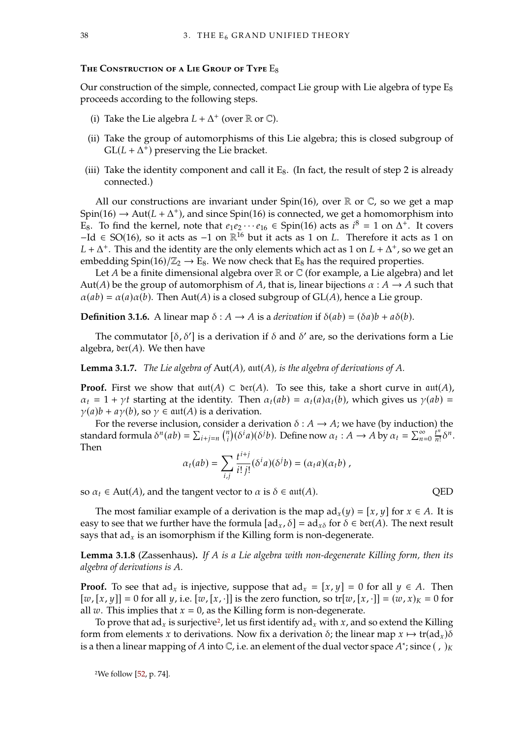#### The Construction of a Lie Group of Type **E**<sub>8</sub>

Our construction of the simple, connected, compact Lie group with Lie algebra of type  $E_8$ proceeds according to the following steps.

- (i) Take the Lie algebra  $L + \Delta^+$  (over  $\mathbb R$  or  $\mathbb C$ ).
- (ii) Take the group of automorphisms of this Lie algebra; this is closed subgroup of  $GL(L + \Delta^{+})$  preserving the Lie bracket.
- (iii) Take the identity component and call it  $E_8$ . (In fact, the result of step 2 is already connected.)

All our constructions are invariant under Spin(16), over  $\mathbb R$  or  $\mathbb C$ , so we get a map  $Spin(16) \rightarrow Aut(L + \Delta^+)$ , and since  $Spin(16)$  is connected, we get a homomorphism into E<sub>8</sub>. To find the kernel, note that  $e_1e_2 \cdots e_{16} \in Spin(16)$  acts as  $i^8 = 1$  on  $\Delta^+$ . It covers −Id ∈ SO(16), so it acts as -1 on  $\mathbb{R}^{16}$  but it acts as 1 on *L*. Therefore it acts as 1 on  $I + \Delta^+$  This and the identity are the only elements which act as 1 on  $I + \Delta^+$  so we get an  $L + \Delta^+$ . This and the identity are the only elements which act as 1 on  $L + \Delta^+$ , so we get an embedding Spin(16)/ $\mathbb{Z}_2 \rightarrow F_2$ . We now check that  $F_2$  has the required properties embedding Spin(16)/ $\mathbb{Z}_2 \rightarrow E_8$ . We now check that  $E_8$  has the required properties.

Let A be a finite dimensional algebra over  $\mathbb R$  or  $\mathbb C$  (for example, a Lie algebra) and let Aut(A) be the group of automorphism of A, that is, linear bijections  $\alpha : A \rightarrow A$  such that  $\alpha(ab) = \alpha(a)\alpha(b)$ . Then Aut(*A*) is a closed subgroup of GL(*A*), hence a Lie group.

**Definition 3.1.6.** A linear map  $\delta$  :  $A \rightarrow A$  is a *derivation* if  $\delta(ab) = (\delta a)b + a\delta(b)$ .

The commutator  $[\delta, \delta']$  is a derivation if  $\delta$  and  $\delta'$  are, so the derivations form a Lie<br>abra der(4) We then have algebra,  $\text{der}(A)$ . We then have

**Lemma 3.1.7.** *The Lie algebra of*  $Aut(A)$ *, aut* $(A)$ *, is the algebra of derivations of*  $A$ *.* 

**Proof.** First we show that  $\text{aut}(A) \subset \text{ber}(A)$ . To see this, take a short curve in  $\text{aut}(A)$ ,  $\alpha_t = 1 + \gamma t$  starting at the identity. Then  $\alpha_t(ab) = \alpha_t(a)\alpha_t(b)$ , which gives us  $\gamma(ab) =$  $\gamma(a)b + a\gamma(b)$ , so  $\gamma \in \text{aut}(A)$  is a derivation.

For the reverse inclusion, consider a derivation  $\delta: A \rightarrow A$ ; we have (by induction) the standard formula  $\delta^n(ab) = \sum_{i+j=n} {n \choose i}$  $( \delta^i a)(\delta^j b)$ . Define now  $\alpha_t : A \to A$  by  $\alpha_t = \sum_{n=1}^{\infty}$  $\sum_{n=0}^{\infty} \frac{t^n}{n!} \delta^n$ . Then

$$
\alpha_t(ab) = \sum_{i,j} \frac{t^{i+j}}{i! \, j!} (\delta^i a)(\delta^j b) = (\alpha_t a)(\alpha_t b) ,
$$

so  $\alpha_t \in \text{Aut}(A)$ , and the tangent vector to  $\alpha$  is  $\delta \in \text{aut}(A)$ . QED

The most familiar example of a derivation is the map  $ad_x(y) = [x, y]$  for  $x \in A$ . It is<br>u to see that we further have the formula [ad],  $\delta1 = ad_x$  for  $\delta \in \text{Per}(A)$ . The next result easy to see that we further have the formula  $[ad_x, \delta] = ad_{x\delta}$  for  $\delta \in \text{der}(A)$ . The next result says that  $ad_x$  is an isomorphism if the Killing form is non-degenerate.

Lemma 3.1.8 (Zassenhaus). If A is a Lie algebra with non-degenerate Killing form, then its *algebra of derivations is A.* 

**Proof.** To see that ad<sub>x</sub> is injective, suppose that ad<sub>x</sub> = [x, y] = 0 for all  $y \in A$ . Then  $[w,[x,y]] = 0$  for all y, i.e.  $[w,[x,\cdot]]$  is the zero function, so  $tr[w,[x,\cdot]] = (w,x)_K = 0$  for all  $w$ . This implies that  $x = 0$ , as the Killing form is non-degenerate.

To prove that  $ad_x$  is surjective<sup>[2](#page-49-0)</sup>, let us first identify  $ad_x$  with  $x$ , and so extend the Killing<br>m from elements x to derivations. Now fix a derivation  $\delta$ ; the linear man  $x \mapsto tr(ad) \delta$ form from elements *x* to derivations. Now fix a derivation  $\delta$ ; the linear map  $x \mapsto \text{tr}(\text{ad}_x)\delta$ is a then a linear mapping of A into  $\mathbb{C}$ , i.e. an element of the dual vector space  $A^*$ ; since  $(\cdot, )_K$ 

<span id="page-49-0"></span>2We follow [\[52,](#page-78-3) p. 74].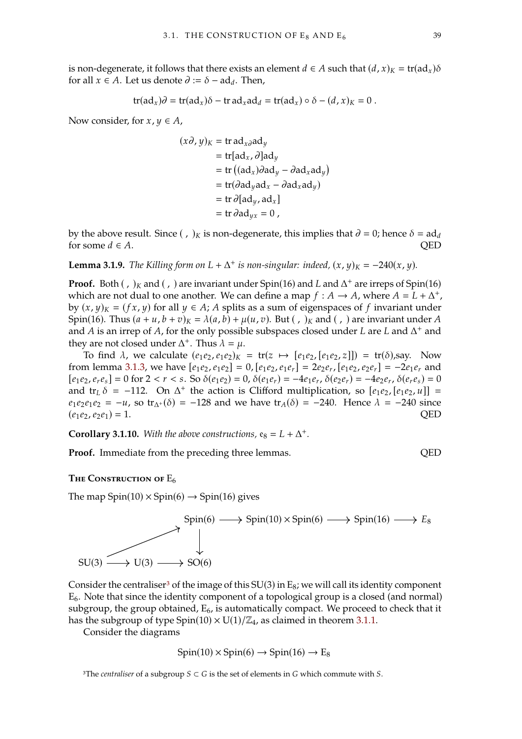is non-degenerate, it follows that there exists an element  $d \in A$  such that  $(d, x)_K = \text{tr}(\text{ad}_x)\delta$ for all  $x \in A$ . Let us denote  $\partial := \delta - ad_d$ . Then,

$$
tr(ad_x)\partial = tr(ad_x)\delta - trad_xad_d = tr(ad_x) \circ \delta - (d, x)_K = 0.
$$

Now consider, for  $x, y \in A$ ,

$$
(x\partial, y)_K = \text{tr } ad_{x\partial} ad_y
$$
  
= tr[ad\_x, \partial]ad\_y  
= tr ((ad\_x)\partial ad\_y - \partial ad\_xad\_y)  
= tr(\partial ad\_yad\_x - \partial ad\_xad\_y)  
= tr \partial[ad\_y, ad\_x]  
= tr \partial ad\_{yx} = 0 ,

by the above result. Since (, )<sub>K</sub> is non-degenerate, this implies that  $\partial = 0$ ; hence  $\delta = ad_d$  for some  $d \in A$ . OED for some  $d \in A$ . QED

**Lemma 3.1.9.** *The Killing form on*  $L + \Delta^+$  *is non-singular: indeed,*  $(x, y)_K = -240(x, y)$ *.* 

**Proof.** Both (, )<sub>K</sub> and (, ) are invariant under Spin(16) and L and  $\Delta^+$  are irreps of Spin(16) which are not dual to one another. We can define a man  $f : A \rightarrow A$  where  $A = I + \Delta^+$ which are not dual to one another. We can define a map  $f : A \to A$ , where  $A = L + \Delta^+$ ,<br>by  $(x, y) = (fx, y)$  for all  $y \in A$ ; A splits as a sum of eigenspaces of f invariant under by  $(x, y)_K = (fx, y)$  for all  $y \in A$ ; A splits as a sum of eigenspaces of f invariant under Spin(16). Thus  $(a + u, b + v)_K = \lambda(a, b) + \mu(u, v)$ . But (, )<sub>K</sub> and (, ) are invariant under A and *A* is an irrep of *A*, for the only possible subspaces closed under *L* are *L* and  $\Delta^+$  and thoy are not closed under  $\Delta^+$ . Thus  $\lambda = u$ they are not closed under  $\Delta^+$ . Thus  $\lambda = \mu$ .

To find  $\lambda$ , we calculate  $(e_1e_2, e_1e_2)_K = \text{tr}(z \mapsto [e_1e_2, [e_1e_2, z]]) = \text{tr}(\delta)$ ,say. Now from lemma [3.1.3,](#page-47-0) we have  $[e_1e_2, e_1e_2] = 0$ ,  $[e_1e_2, e_1e_r] = 2e_2e_r$ ,  $[e_1e_2, e_2e_r] = -2e_1e_r$  and  $[e_2e_2, e_1e_1] = 0$  for  $2 \le r \le S_2$ ,  $S_2(e_2e_2) = 0$ ,  $S(e_2e_1) = -4e_2e$ ,  $S(e_2e_1) = -4e_2e$ ,  $S(e_2e_1) = 0$  $[e_1e_2, e_re_s] = 0$  for  $2 < r < s$ . So  $\delta(e_1e_2) = 0$ ,  $\delta(e_1e_r) = -4e_1e_r$ ,  $\delta(e_2e_r) = -4e_2e_r$ ,  $\delta(e_re_s) = 0$ <br>and tr,  $\delta = -112$ . On  $\Delta^+$  the action is Clifford multiplication so  $[e_1e_2, [e_1e_3, 1]]$ and tr<sub>L</sub>  $\delta$  = −112. On  $\Delta^+$  the action is Clifford multiplication, so  $[e_1e_2, [e_1e_2, u]]$  =  $e_2e_2e_3e_3 = -u$  so tru( $\delta$ ) = −128 and we have tru( $\delta$ ) = −240. Hence  $\lambda$  = −240 since  $e_1e_2e_1e_2 = -u$ , so  $tr_{\Delta^+}(\delta) = -128$  and we have  $tr_A(\delta) = -240$ . Hence  $\lambda = -240$  since  $(e_1e_2, e_2e_1) = 1$ . QED  $(e_1e_2, e_2e_1) = 1.$  QED

**Corollary 3.1.10.** With the above constructions,  $e_8 = L + \Delta^+$ .

**Proof.** Immediate from the preceding three lemmas.  $QED$ 

THE CONSTRUCTION OF 
$$
\mathrm{E}_6
$$

The map  $Spin(10) \times Spin(6) \rightarrow Spin(16)$  gives



Consider the centraliser<sup>[3](#page-50-0)</sup> of the image of this  $SU(3)$  in  $E_8$ ; we will call its identity component  $E_6$ . Note that since the identity component of a topological group is a closed (and normal) subgroup, the group obtained,  $E_6$ , is automatically compact. We proceed to check that it has the subgroup of type  $Spin(10) \times U(1)/\mathbb{Z}_4$ , as claimed in theorem [3.1.1.](#page-46-2)

Consider the diagrams

$$
Spin(10) \times Spin(6) \to Spin(16) \to E_8
$$

<span id="page-50-0"></span><sup>3</sup>The *centraliser* of a subgroup  $S \subset G$  is the set of elements in  $G$  which commute with  $S$ .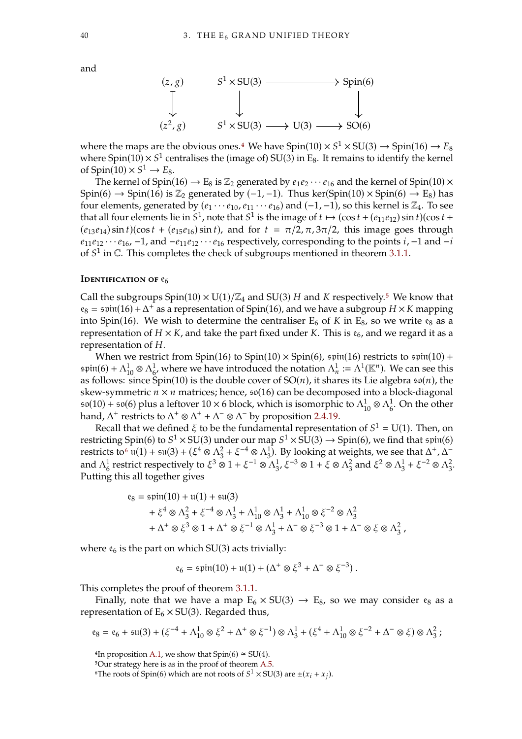and



where the maps are the obvious ones.<sup>[4](#page-51-0)</sup> We have  $Spin(10) \times S^1 \times SU(3) \rightarrow Spin(16) \rightarrow E_8$ <br>where Spin(10)  $\times S^1$  centralises the (image of) SU(3) in Eq. It remains to identify the kernel where  $Spin(10) \times S^1$  centralises the (image of) SU(3) in E<sub>8</sub>. It remains to identify the kernel<br>of Spin(10)  $\times S^1 \rightarrow F_2$ of  $Spin(10) \times S^1 \rightarrow E_8$ .<br>The kernel of Spin(

The kernel of Spin(16)  $\rightarrow$  E<sub>8</sub> is  $\mathbb{Z}_2$  generated by  $e_1e_2 \cdots e_{16}$  and the kernel of Spin(10)  $\times$ Spin(6) → Spin(16) is  $\mathbb{Z}_2$  generated by (-1, -1). Thus ker(Spin(10) × Spin(6) → E<sub>8</sub>) has four elements, generated by  $(e_1 \cdots e_{10}, e_{11} \cdots e_{16})$  and  $(-1, -1)$ , so this kernel is  $\mathbb{Z}_4$ . To see that all four elements lie in  $S^1$ , note that  $S^1$  is the image of  $t \mapsto (\cos t + (e_{11}e_{12}) \sin t)(\cos t + (e_{12}e_{23})) \sin t + (e_{12}e_{23}) \sin t$  and for  $t = \pi/2, \pi, 3\pi/2$ , this image goes through  $(e_{13}e_{14})\sin t)(\cos t + (e_{15}e_{16})\sin t)$ , and for  $t = \pi/2, \pi, 3\pi/2$ , this image goes through  $e_{11}e_{12} \cdots e_{16}$ , -1, and  $-e_{11}e_{12} \cdots e_{16}$  respectively, corresponding to the points  $i$ , -1 and - $i$ of  $S^1$  in  $\mathbb C$ . This completes the check of subgroups mentioned in theorem [3.1.1.](#page-46-2)

#### **IDENTIFICATION OF**  $e_6$

Call the subgroups  $Spin(10) \times U(1)/\mathbb{Z}_4$  and  $SU(3)$  H and K respectively.<sup>[5](#page-51-1)</sup> We know that  $e_8$  =  $\frac{\pi}{16}$  +  $\frac{\pi}{16}$  +  $\frac{\pi}{16}$  as a representation of Spin(16), and we have a subgroup  $H \times K$  mapping<br>into Spin(16). We wish to determine the centraliser  $F \times$  of K in  $F_8$ , so we write  $e_8$  as a into Spin(16). We wish to determine the centraliser  $E_6$  of K in  $E_8$ , so we write  $e_8$  as a representation of  $H \times K$ , and take the part fixed under K. This is  $\mathfrak{e}_6$ , and we regard it as a representation of H.

When we restrict from Spin(16) to Spin(10)  $\times$  Spin(6),  $\sin(16)$  restricts to  $\sin(10)$  +  $\sin(6) + \Lambda_{10}^1 \otimes \Lambda_6^1$ , where we have introduced the notation  $\Lambda_n^1 := \Lambda^1(\mathbb{K}^n)$ . We can see this as follows: since  $\text{Spin}(10)$  is the double cover of  $\text{SO}(n)$ , it shares its Lie algebra  $\mathfrak{so}(n)$ , the skew-symmetric  $n \times n$  matrices: bence  $\mathfrak{so}(16)$  can be decomposed into a block-diagonal skew-symmetric  $n \times n$  matrices; hence,  $\mathfrak{so}(16)$  can be decomposed into a block-diagonal  $\sin(10) + \sin(6)$  plus a leftover  $10 \times 6$  block, which is isomorphic to  $\Lambda_{10}^1 \otimes \Lambda_6^1$ . On the other hand,  $\Delta^+$  restricts to  $\Delta^+ \otimes \Delta^+ + \Delta^- \otimes \Delta^-$  by proposition [2.4.19.](#page-41-1)

Recall that we defined  $\xi$  to be the fundamental representation of  $S^1 = U(1)$ . Then, on<br>ricting Spin(6) to  $S^1 \times SI(3)$  under our map  $S^1 \times SI(3) \rightarrow Spin(6)$  we find that spin(6) restricting Spin(6) to  $S^1 \times SU(3)$  under our map  $S^1 \times SU(3) \rightarrow Spin(6)$ , we find that  $\frac{\text{spin}(6)}{2}$ <br>restricts to  $\frac{9}{2}$  1(1) +  $\frac{\text{cm}(3)}{2} + \frac{54}{2} \otimes \frac{12}{2} + \frac{54}{2} \otimes \frac{11}{2}$ ). By looking at weights, we see that  $\Lambda$ restricts to  $(1) + \frac{1}{2}(3) + (\xi^4 \otimes \Lambda_3^2 + \xi^{-4} \otimes \Lambda_3^1)$ . By looking at weights, we see that  $\Delta^+$ ,  $\Delta^$ and  $\Lambda_6^1$  restrict respectively to  $\xi^3 \otimes 1 + \xi^{-1} \otimes \Lambda_3^1$ ,  $\xi^{-3} \otimes 1 + \xi \otimes \Lambda_3^2$  and  $\xi^2 \otimes \Lambda_3^1 + \xi^{-2} \otimes \Lambda_3^2$ .<br>Putting this all together gives Putting this all together gives

$$
e_8 = \sinh(10) + u(1) + \sin(3)
$$
  
+  $\xi^4 \otimes \Lambda_3^2 + \xi^{-4} \otimes \Lambda_3^1 + \Lambda_{10}^1 \otimes \Lambda_3^1 + \Lambda_{10}^1 \otimes \xi^{-2} \otimes \Lambda_3^2$   
+  $\Lambda^+ \otimes \xi^3 \otimes 1 + \Lambda^+ \otimes \xi^{-1} \otimes \Lambda_3^1 + \Lambda^- \otimes \xi^{-3} \otimes 1 + \Lambda^- \otimes \xi \otimes \Lambda_3^2$ ,

where  $\mathfrak{e}_6$  is the part on which SU(3) acts trivially:

$$
e_6 = \sin(10) + u(1) + (\Delta^+ \otimes \xi^3 + \Delta^- \otimes \xi^{-3}).
$$

This completes the proof of theorem [3.1.1.](#page-46-2)

Finally, note that we have a map  $E_6 \times SU(3) \rightarrow E_8$ , so we may consider  $e_8$  as a representation of  $E_6 \times SU(3)$ . Regarded thus,

$$
e_8 = e_6 + \mathfrak{su}(3) + (\xi^{-4} + \Lambda_{10}^1 \otimes \xi^2 + \Delta^+ \otimes \xi^{-1}) \otimes \Lambda_3^1 + (\xi^4 + \Lambda_{10}^1 \otimes \xi^{-2} + \Delta^- \otimes \xi) \otimes \Lambda_3^2 ;
$$

<span id="page-51-1"></span>5Our strategy here is as in the proof of theorem [A.5.](#page-73-0)

<span id="page-51-2"></span><sup>6</sup>The roots of Spin(6) which are not roots of  $S^1 \times SU(3)$  are  $\pm (x_i + x_j)$ .

<span id="page-51-0"></span><sup>&</sup>lt;sup>4</sup>In proposition [A.1,](#page-72-0) we show that  $Spin(6) \cong SU(4)$ .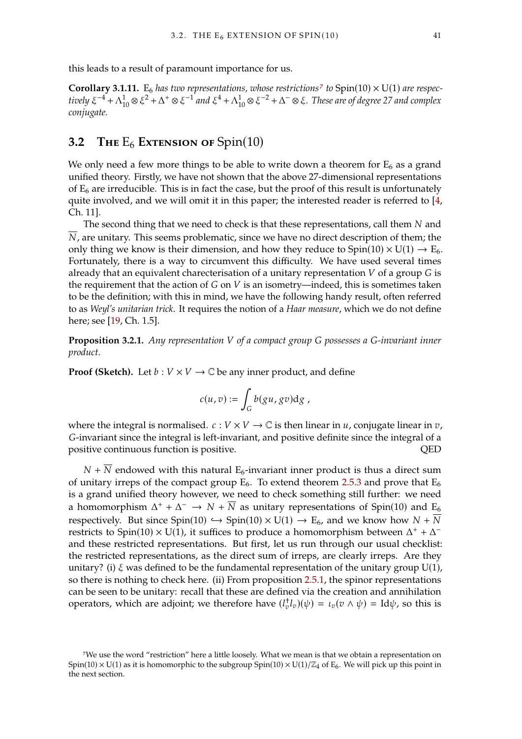this leads to a result of paramount importance for us.

**Corollary 3.1.11.** E<sub>6</sub> has two representations, whose restrictions<sup>[7](#page-52-1)</sup> to  $Spin(10) \times U(1)$  are respectively  $\xi^{-4} + \Lambda^1_{10} \otimes \xi^2 + \Delta^+ \otimes \xi^{-1}$  and  $\xi^4 + \Lambda^1_{10} \otimes \xi^{-2} + \Delta^- \otimes \xi$ . These are of degree 27 and complex *conjugate.*

## <span id="page-52-0"></span>**3.2** THE E<sub>6</sub> EXTENSION OF Spin(10)

We only need a few more things to be able to write down a theorem for  $E_6$  as a grand unified theory. Firstly, we have not shown that the above 27-dimensional representations of  $E_6$  are irreducible. This is in fact the case, but the proof of this result is unfortunately quite involved, and we will omit it in this paper; the interested reader is referred to [\[4,](#page-76-0) Ch. 11].

The second thing that we need to check is that these representations, call them  $N$  and  $N$ , are unitary. This seems problematic, since we have no direct description of them; the only thing we know is their dimension, and how they reduce to  $Spin(10) \times U(1) \rightarrow E_6$ . Fortunately, there is a way to circumvent this difficulty. We have used several times already that an equivalent charecterisation of a unitary representation  $V$  of a group  $G$  is the requirement that the action of  $G$  on  $V$  is an isometry—indeed, this is sometimes taken to be the definition; with this in mind, we have the following handy result, often referred to as *Weyl's unitarian trick*. It requires the notion of a *Haar measure*, which we do not define here; see [\[19,](#page-77-4) Ch. 1.5].

**Proposition 3.2.1.** *Any representation* V of a compact group G possesses a G-invariant inner *product.*

**Proof (Sketch).** Let  $b: V \times V \rightarrow \mathbb{C}$  be any inner product, and define

$$
c(u,v):=\int_G b(gu,gv)\mathrm{d} g\;,
$$

where the integral is normalised.  $c: V \times V \to \mathbb{C}$  is then linear in  $u$ , conjugate linear in  $v$ , G-invariant since the integral is left-invariant, and positive definite since the integral of a positive continuous function is positive. positive continuous function is positive.

 $N + N$  endowed with this natural E<sub>6</sub>-invariant inner product is thus a direct sum of unitary irreps of the compact group  $E_6$ . To extend theorem [2.5.3](#page-45-0) and prove that  $E_6$ is a grand unified theory however, we need to check something still further: we need a homomorphism  $\Delta^+ + \Delta^- \rightarrow N + \overline{N}$  as unitary representations of Spin(10) and  $E_6$ <br>representively. But since  $Spin(10) \leq N \leq min(10) \times U(1) \rightarrow E$  and we know how  $N + \overline{N}$ respectively. But since Spin(10)  $\hookrightarrow$  Spin(10)  $\times$  U(1)  $\rightarrow$  E<sub>6</sub>, and we know how  $N + \overline{N}$ restricts to Spin(10)  $\times$  U(1), it suffices to produce a homomorphism between  $\Delta^+$  +  $\Delta^$ and these restricted representations. But first, let us run through our usual checklist: the restricted representations, as the direct sum of irreps, are clearly irreps. Are they unitary? (i)  $\xi$  was defined to be the fundamental representation of the unitary group U(1), so there is nothing to check here. (ii) From proposition [2.5.1,](#page-42-3) the spinor representations can be seen to be unitary: recall that these are defined via the creation and annihilation operators, which are adjoint; we therefore have  $(l_v^{\dagger}l_v)(\psi) = \iota_v(v \wedge \psi) = \text{Id}\psi$ , so this is

<span id="page-52-1"></span><sup>7</sup>We use the word "restriction" here a little loosely. What we mean is that we obtain a representation on Spin(10)  $\times$  U(1) as it is homomorphic to the subgroup Spin(10)  $\times$  U(1)/ $\mathbb{Z}_4$  of E<sub>6</sub>. We will pick up this point in the next section.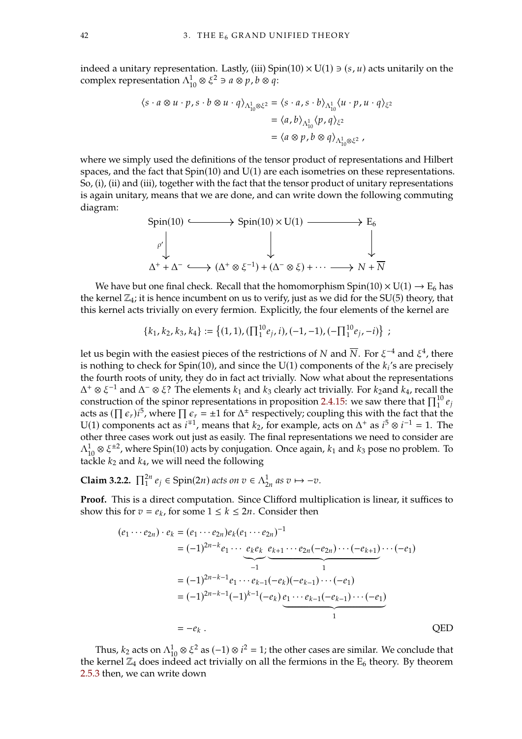indeed a unitary representation. Lastly, (iii)  $Spin(10) \times U(1) \ni (s, u)$  acts unitarily on the complex representation  $\Lambda_{10}^1 \otimes \xi^2 \ni a \otimes p$ ,  $b \otimes q$ :

$$
\begin{aligned} \langle s \cdot a \otimes u \cdot p, s \cdot b \otimes u \cdot q \rangle_{\Lambda^1_{10} \otimes \xi^2} &= \langle s \cdot a, s \cdot b \rangle_{\Lambda^1_{10}} \langle u \cdot p, u \cdot q \rangle_{\xi^2} \\ &= \langle a, b \rangle_{\Lambda^1_{10}} \langle p, q \rangle_{\xi^2} \\ &= \langle a \otimes p, b \otimes q \rangle_{\Lambda^1_{10} \otimes \xi^2} \end{aligned}
$$

where we simply used the definitions of the tensor product of representations and Hilbert spaces, and the fact that  $Spin(10)$  and  $U(1)$  are each isometries on these representations. So, (i), (ii) and (iii), together with the fact that the tensor product of unitary representations is again unitary, means that we are done, and can write down the following commuting diagram:

$$
Spin(10) \longleftrightarrow Spin(10) \times U(1) \longrightarrow E_6
$$
  
\n
$$
\downarrow \qquad \qquad \downarrow \qquad \qquad \downarrow
$$
  
\n
$$
\Delta^+ + \Delta^- \longleftrightarrow (\Delta^+ \otimes \xi^{-1}) + (\Delta^- \otimes \xi) + \cdots \longrightarrow N + \overline{N}
$$

We have but one final check. Recall that the homomorphism  $Spin(10) \times U(1) \rightarrow E_6$  has the kernel  $\mathbb{Z}_4$ ; it is hence incumbent on us to verify, just as we did for the SU(5) theory, that this kernel acts trivially on every fermion. Explicitly, the four elements of the kernel are

 $\{k_1, k_2, k_3, k_4\} := \left\{ (1, 1), (\prod_1^{10} e_j, i), (-1, -1), (-\prod_1^{10} e_j, -i) \right\}$ ;

let us begin with the easiest pieces of the restrictions of N and  $\overline{N}$ . For  $\xi^{-4}$  and  $\xi^4$ , there is nothing to check for Spin(10), and since the U(1) components of the k/s are precisely is nothing to check for Spin(10), and since the U(1) components of the  $k_i$ 's are precisely<br>the fourth roots of unity they do in fact act trivially. Now what about the representations the fourth roots of unity, they do in fact act trivially. Now what about the representations  $\Delta^+ \otimes \xi^{-1}$  and  $\Delta^- \otimes \xi$ ? The elements  $k_1$  and  $k_3$  clearly act trivially. For  $k_2$  and  $k_4$ , recall the construction of the spinor representations in proposition 2.4.15; we say there that  $\Pi^{10}$  ex-construction of the spinor representations in proposition [2.4.15:](#page-39-0) we saw there that  $\prod_{1}^{10}$ acts as  $(\prod \epsilon_r)^{i^5}$ , where  $\prod \epsilon_r = \pm 1$  for  $\Delta^{\pm}$  respectively; coupling this with the fact that the III and III and III and III and III and III and III and III and III and III and III and III and III and III and III U(1) components act as  $i^{\mp 1}$ , means that  $k_2$ , for example, acts on  $\Delta^+$  as  $i^5 \otimes i^{-1} = 1$ . The other three cases work out just as easily. The final representations we need to consider are other three cases work out just as easily. The final representations we need to consider are  $\Lambda_{10}^1 \otimes \xi^{\pm 2}$ , where Spin(10) acts by conjugation. Once again,  $k_1$  and  $k_3$  pose no problem. To tackle  $k_2$  and  $k_4$ , we will need the following

**Claim 3.2.2.**  $\prod_{1}^{2n} e_j \in \text{Spin}(2n)$  *acts on*  $v \in \Lambda_{2n}^1$  *as*  $v \mapsto -v$ *.* 

**Proof.** This is a direct computation. Since Clifford multiplication is linear, it suffices to show this for  $v = e_k$ , for some  $1 \leq k \leq 2n$ . Consider then

$$
(e_1 \cdots e_{2n}) \cdot e_k = (e_1 \cdots e_{2n})e_k(e_1 \cdots e_{2n})^{-1}
$$
  
\n
$$
= (-1)^{2n-k}e_1 \cdots \underbrace{e_ke_k}_{-1} \underbrace{e_{k+1} \cdots e_{2n}(-e_{2n}) \cdots (-e_{k+1})}_{1} \cdots (-e_1)
$$
  
\n
$$
= (-1)^{2n-k-1}e_1 \cdots e_{k-1}(-e_k)(-e_{k-1}) \cdots (-e_1)
$$
  
\n
$$
= (-1)^{2n-k-1}(-1)^{k-1}(-e_k) \underbrace{e_1 \cdots e_{k-1}(-e_{k-1}) \cdots (-e_1)}_{1}
$$
  
\n
$$
= -e_k.
$$
 QED

Thus,  $k_2$  acts on  $\Lambda_{10}^1 \otimes \xi^2$  as  $(-1) \otimes i^2 = 1$ ; the other cases are similar. We conclude that keep  $\chi$ . the kernel  $\mathbb{Z}_4$  does indeed act trivially on all the fermions in the  $E_6$  theory. By theorem [2.5.3](#page-45-0) then, we can write down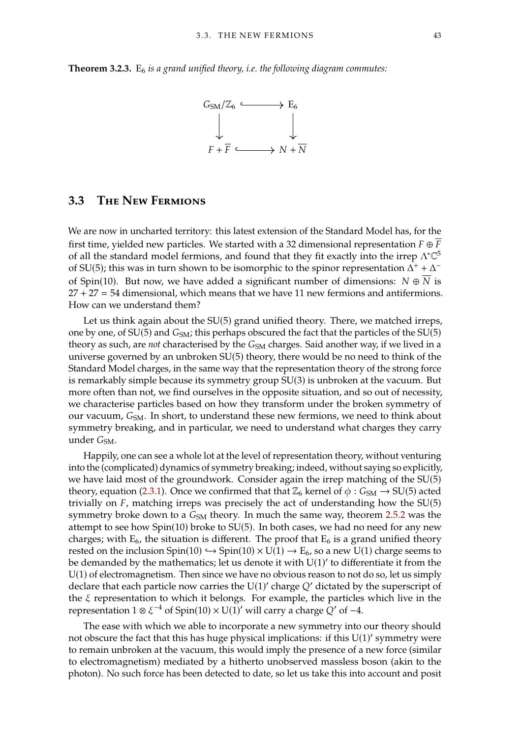**Theorem 3.2.3.** E<sub>6</sub> *is a grand unified theory, i.e. the following diagram commutes:* 



## <span id="page-54-0"></span>**3.3 The New Fermions**

We are now in uncharted territory: this latest extension of the Standard Model has, for the first time, yielded new particles. We started with a 32 dimensional representation  $F \oplus \overline{F}$ of all the standard model fermions, and found that they fit exactly into the irrep  $\Lambda^* \mathbb{C}^5$ of SU(5); this was in turn shown to be isomorphic to the spinor representation  $\Delta^+$  +  $\Delta^$ of Spin(10). But now, we have added a significant number of dimensions:  $N \oplus N$  is 27 + 27 = 54 dimensional, which means that we have 11 new fermions and antifermions. How can we understand them?

Let us think again about the SU(5) grand unified theory. There, we matched irreps, one by one, of  $SU(5)$  and  $G<sub>SM</sub>$ ; this perhaps obscured the fact that the particles of the  $SU(5)$ theory as such, are *not* characterised by the G<sub>SM</sub> charges. Said another way, if we lived in a universe governed by an unbroken SU(5) theory, there would be no need to think of the Standard Model charges, in the same way that the representation theory of the strong force is remarkably simple because its symmetry group SU(3) is unbroken at the vacuum. But more often than not, we find ourselves in the opposite situation, and so out of necessity, we characterise particles based on how they transform under the broken symmetry of our vacuum,  $G<sub>SM</sub>$ . In short, to understand these new fermions, we need to think about symmetry breaking, and in particular, we need to understand what charges they carry under  $G<sub>SM</sub>$ .

Happily, one can see a whole lot at the level of representation theory, without venturing into the (complicated) dynamics of symmetry breaking; indeed, without saying so explicitly, we have laid most of the groundwork. Consider again the irrep matching of the SU(5) theory, equation [\(2.3.1\)](#page-35-1). Once we confirmed that that  $\mathbb{Z}_6$  kernel of  $\phi$  :  $G_{SM} \rightarrow SU(5)$  acted trivially on  $F$ , matching irreps was precisely the act of understanding how the  $SU(5)$ symmetry broke down to a  $G<sub>SM</sub>$  theory. In much the same way, theorem [2.5.2](#page-43-0) was the attempt to see how Spin(10) broke to SU(5). In both cases, we had no need for any new charges; with  $E_6$ , the situation is different. The proof that  $E_6$  is a grand unified theory rested on the inclusion  $Spin(10) \hookrightarrow Spin(10) \times U(1) \rightarrow E_6$ , so a new U(1) charge seems to be demanded by the mathematics: let us denote it with U(1)' to differentiate it from the U(1) of electromagnetism. Then since we have no obvious reason to not do so, let us simply declare that each particle now carries the U(1)' charge Q' dictated by the superscript of<br>the  $\xi$  representation to which it belongs. For example, the particles which live in the the  $\xi$  representation to which it belongs. For example, the particles which live in the representation  $1 \otimes \xi^{-4}$  of Spin(10) × U(1)' will carry a charge Q' of -4.

The ease with which we able to incorporate a new symmetry into our theory should not obscure the fact that this has huge physical implications: if this  $U(1)'$  symmetry were to remain unbroken at the vacuum, this would imply the presence of a new force (similar to electromagnetism) mediated by a hitherto unobserved massless boson (akin to the photon). No such force has been detected to date, so let us take this into account and posit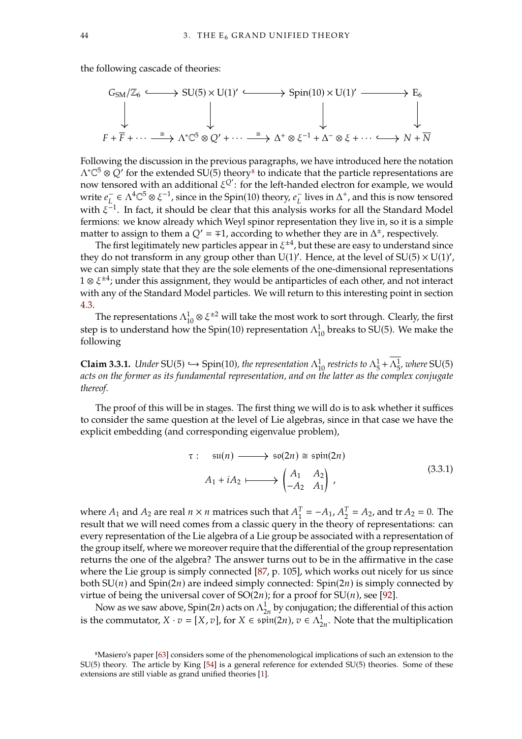the following cascade of theories:

$$
G_{\text{SM}}/\mathbb{Z}_6 \longleftrightarrow \text{SU}(5) \times \text{U}(1)' \longleftrightarrow \text{Spin}(10) \times \text{U}(1)' \longrightarrow E_6
$$
  
\n
$$
\downarrow \qquad \qquad \downarrow \qquad \qquad \downarrow
$$
  
\n
$$
F + \overline{F} + \cdots \xrightarrow{\cong} \Lambda^* \mathbb{C}^5 \otimes Q' + \cdots \xrightarrow{\cong} \Delta^+ \otimes \xi^{-1} + \Delta^- \otimes \xi + \cdots \longrightarrow N + \overline{N}
$$

Following the discussion in the previous paragraphs, we have introduced here the notation  $\Lambda^* \mathbb{C}^5 \otimes \mathbb{Q}'$  for the extended SU(5) theory<sup>[8](#page-55-0)</sup> to indicate that the particle representations are<br>now tensored with an additional  $\mathcal{L}^{Q'}$ : for the left-handed electron for example, we would now tensored with an additional  $\xi^{Q'}$ : for the left-handed electron for example, we would write  $e_L^- \in \Lambda^4 \mathbb{C}^5 \otimes \xi^{-1}$ , since in the Spin(10) theory,  $e_L^-$  lives in  $\Lambda^+$ , and this is now tensored with  $\xi^{-1}$ . In fact, it should be clear that this analysis works for all the Standard Model fermions: we know already which Weyl spinor representation they live in, so it is a simple matter to assign to them a  $Q' = \pm 1$ , according to whether they are in  $\Delta^{\pm}$ , respectively.<br>The first legitimately new particles appear in  $\xi^{\pm 4}$  but these are easy to understand si

The first legitimately new particles appear in  $\xi^{\pm 4}$ , but these are easy to understand since they do not transform in any group other than U(1)'. Hence, at the level of  $SU(5) \times U(1)'$ . we can simply state that they are the sole elements of the one-dimensional representations 1 ⊗  $\xi^{\pm 4}$ ; under this assignment, they would be antiparticles of each other, and not interact with any of the Standard Model particles. We will return to this interesting point in section [4.3.](#page-68-0)

The representations  $\Lambda^1_{10}\otimes \xi^{\pm 2}$  will take the most work to sort through. Clearly, the first step is to understand how the Spin(10) representation  $\Lambda_{10}^1$  breaks to SU(5). We make the following

<span id="page-55-2"></span>**Claim 3.3.1.** *Under* SU(5)  $\hookrightarrow$  Spin(10), the representation  $\Lambda_{10}^1$  restricts to  $\Lambda_5^1 + \overline{\Lambda_5^1}$ , where SU(5) *acts on the former as its fundamental representation, and on the latter as the complex conjugate thereof.*

The proof of this will be in stages. The first thing we will do is to ask whether it suffices to consider the same question at the level of Lie algebras, since in that case we have the explicit embedding (and corresponding eigenvalue problem),

<span id="page-55-1"></span>
$$
\tau: \quad \text{su}(n) \longrightarrow \text{so}(2n) \cong \text{spin}(2n)
$$
\n
$$
A_1 + iA_2 \longmapsto \begin{pmatrix} A_1 & A_2 \\ -A_2 & A_1 \end{pmatrix},
$$
\n(3.3.1)

where  $A_1$  and  $A_2$  are real  $n \times n$  matrices such that  $A_1^T = -A_1$ ,  $A_2^T = A_2$ , and tr  $A_2 = 0$ . The result that we will need comes from a classic query in the theory of representations; can result that we will need comes from a classic query in the theory of representations: can every representation of the Lie algebra of a Lie group be associated with a representation of the group itself, where we moreover require that the differential of the group representation returns the one of the algebra? The answer turns out to be in the affirmative in the case where the Lie group is simply connected [\[87,](#page-80-1) p. 105], which works out nicely for us since both  $SU(n)$  and  $Spin(2n)$  are indeed simply connected:  $Spin(2n)$  is simply connected by virtue of being the universal cover of  $SO(2n)$ ; for a proof for  $SU(n)$ , see [\[92\]](#page-80-2).

Now as we saw above,  $Spin(2n)$  acts on  $\Lambda_{2n}^{1}$  by conjugation; the differential of this action<br>as commutator  $X_1, z_1 = [X, z_1]$  for  $X_1 \in \text{spin}(2n)$ ,  $z_1 \in \Lambda^1$ . Note that the multiplication is the commutator,  $X \cdot v = [X, v]$ , for  $X \in \text{spin}(2n)$ ,  $v \in \Lambda^1_{2n}$ . Note that the multiplication

<span id="page-55-0"></span><sup>8</sup>Masiero's paper [\[63\]](#page-79-0) considers some of the phenomenological implications of such an extension to the SU(5) theory. The article by King [\[54\]](#page-78-4) is a general reference for extended SU(5) theories. Some of these extensions are still viable as grand unified theories [\[1\]](#page-76-4).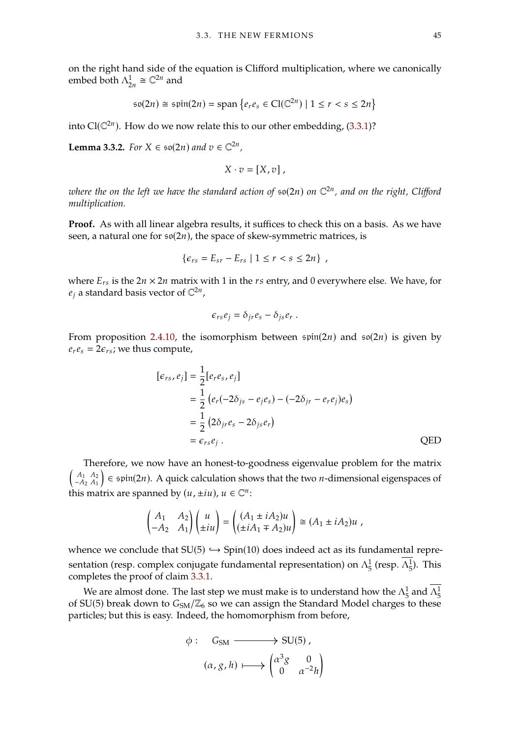on the right hand side of the equation is Clifford multiplication, where we canonically embed both  $\Lambda^1$  $_{2n}^1 \cong \mathbb{C}^{2n}$  and

$$
\mathfrak{so}(2n) \cong \mathfrak{spin}(2n) = \text{span}\left\{e_r e_s \in \text{Cl}(\mathbb{C}^{2n}) \mid 1 \leq r < s \leq 2n\right\}
$$

into  $Cl(\mathbb{C}^{2n})$ . How do we now relate this to our other embedding, [\(3.3.1\)](#page-55-1)?

**Lemma 3.3.2.** *For*  $X \in \mathfrak{so}(2n)$  *and*  $v \in \mathbb{C}^{2n}$ *,* 

$$
X\cdot v=[X,v],
$$

where the on the left we have the standard action of  $\mathfrak{so}(2n)$  on  $\mathbb{C}^{2n}$ , and on the right, Clifford<br>multiplication *multiplication.*

**Proof.** As with all linear algebra results, it suffices to check this on a basis. As we have seen, a natural one for  $\mathfrak{so}(2n)$ , the space of skew-symmetric matrices, is

$$
\{\epsilon_{rs}=E_{sr}-E_{rs}\mid 1\leq r
$$

where  $E_{rs}$  is the  $2n \times 2n$  matrix with 1 in the  $rs$  entry, and 0 everywhere else. We have, for  $e_j$  a standard basis vector of  $\mathbb{C}^{2n}$ ,

$$
\epsilon_{rs}e_j=\delta_{jr}e_s-\delta_{js}e_r.
$$

From proposition [2.4.10,](#page-37-0) the isomorphism between  $\sin(2n)$  and  $\sin(2n)$  is given by  $e_r e_s = 2\epsilon_{rs}$ ; we thus compute,

$$
[\varepsilon_{rs}, e_j] = \frac{1}{2} [e_r e_s, e_j]
$$
  
=  $\frac{1}{2} (e_r(-2\delta_{js} - e_j e_s) - (-2\delta_{jr} - e_r e_j)e_s)$   
=  $\frac{1}{2} (2\delta_{jr} e_s - 2\delta_{js} e_r)$   
=  $\varepsilon_{rs} e_j$ . QED

Therefore, we now have an honest-to-goodness eigenvalue problem for the matrix  $\begin{pmatrix} A_1 & A_2 \\ -A_2 & A_1 \end{pmatrix}$  $\int$   $\in$   $\sin(2n)$ . A quick calculation shows that the two *n*-dimensional eigenspaces of this matrix are spanned by  $(u, \pm iu)$ ,  $u \in \mathbb{C}^n$ :

$$
\begin{pmatrix} A_1 & A_2 \ -A_2 & A_1 \end{pmatrix} \begin{pmatrix} u \\ \pm iu \end{pmatrix} = \begin{pmatrix} (A_1 \pm iA_2)u \\ (\pm iA_1 \mp A_2)u \end{pmatrix} \cong (A_1 \pm iA_2)u ,
$$

whence we conclude that  $SU(5) \hookrightarrow Spin(10)$  does indeed act as its fundamental representation (resp. complex conjugate fundamental representation) on  $\Lambda^1_5$  (resp.  $\overline{\Lambda^1_5}$ ). This completes the proof of claim [3.3.1.](#page-55-2)

We are almost done. The last step we must make is to understand how the  $\Lambda^1_5$  and  $\overline{\Lambda^1_5}$ of SU(5) break down to  $G<sub>SM</sub>/\mathbb{Z}_6$  so we can assign the Standard Model charges to these particles; but this is easy. Indeed, the homomorphism from before,

$$
\phi: \quad G_{SM} \longrightarrow SU(5),
$$

$$
(\alpha, g, h) \longmapsto \begin{pmatrix} \alpha^3 g & 0 \\ 0 & \alpha^{-2} h \end{pmatrix}
$$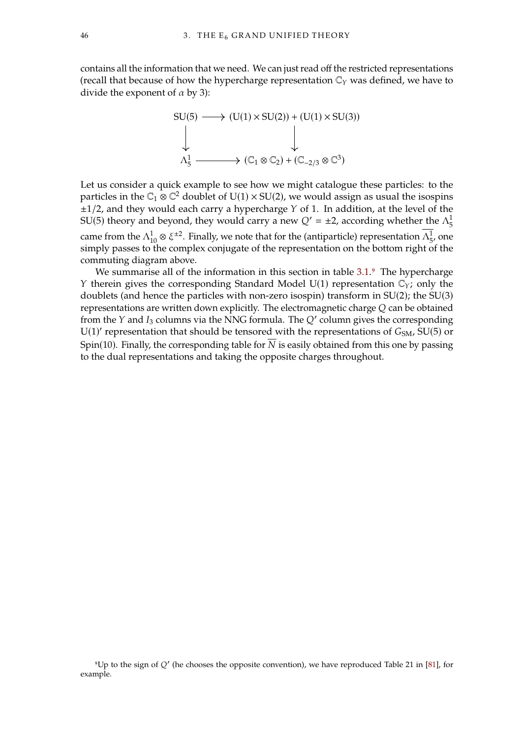contains all the information that we need. We can just read off the restricted representations (recall that because of how the hypercharge representation  $\mathbb{C}_Y$  was defined, we have to divide the expense of  $\alpha$  by 2). divide the exponent of  $\alpha$  by 3):



Let us consider a quick example to see how we might catalogue these particles: to the particles in the  $\mathbb{C}_1 \otimes \mathbb{C}^2$  doublet of U(1) × SU(2), we would assign as usual the isospins  $\pm 1/2$ , and they would each carry a hypercharge Y of 1. In addition, at the level of the SU(5) theory and beyond, they would carry a new  $Q' = \pm 2$ , according whether the  $\Lambda_5^1$ came from the  $\Lambda^1_{10}\otimes \xi^{\pm 2}$ . Finally, we note that for the (antiparticle) representation  $\overline{\Lambda^1_{5'}}$ , one simply passes to the complex conjugate of the representation on the bottom right of the commuting diagram above.

We summarise all of the information in this section in table  $3.1$ .<sup>[9](#page-57-0)</sup> The hypercharge  $Y$  therein gives the corresponding Standard Model U(1) representation  $\mathbb{C}_Y$ ; only the doublets (and hence the particles with non-zero isospin) transform in SU(2); the SU(3) representations are written down explicitly. The electromagnetic charge  $Q$  can be obtained from the Y and  $I_3$  columns via the NNG formula. The Q' column gives the corresponding<br> $U(1)'$  representation that should be tensored with the representations of  $G_0$ . SU(5) or U(1)' representation that should be tensored with the representations of  $G_{SM}$ , SU(5) or  $G_{min}(10)$ . Finally, the corresponding table for  $\overline{N}$  is easily obtained from this and by passing Spin(10). Finally, the corresponding table for  $\overline{N}$  is easily obtained from this one by passing to the dual representations and taking the opposite charges throughout.

<span id="page-57-0"></span><sup>&</sup>lt;sup>9</sup>Up to the sign of  $Q'$  (he chooses the opposite convention), we have reproduced Table 21 in [\[81\]](#page-80-3), for example.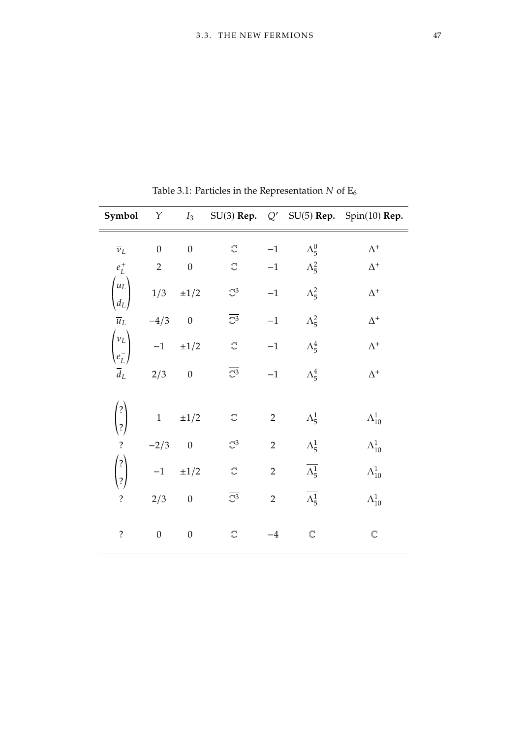<span id="page-58-0"></span>

| Symbol                                     | $\boldsymbol{\Upsilon}$ | $I_3$            |                           |                |                          | SU(3) Rep. Q' SU(5) Rep. Spin(10) Rep. |
|--------------------------------------------|-------------------------|------------------|---------------------------|----------------|--------------------------|----------------------------------------|
| $\overline{\nu}_L$                         | $\mathbf{0}$            | $\mathbf{0}$     | $\mathbb{C}$              | $-1$           | $\Lambda_5^0$            | $\Delta^+$                             |
| $e^+_L$                                    | $\overline{2}$          | $\boldsymbol{0}$ | $\mathbb C$               | $-1$           | $\Lambda^2_5$            | $\Delta^+$                             |
| $u_L$<br>$d_L$                             | 1/3                     | $\pm 1/2$        | $\mathbb{C}^3$            | $-1$           | $\Lambda_5^2$            | $\Delta^+$                             |
| $\overline{u}_L$                           | $-4/3$                  | $\boldsymbol{0}$ | $\overline{\mathbb{C}^3}$ | $-1$           | $\Lambda_5^2$            | $\Delta^+$                             |
| $\overset{\wedge}{\nu_L}$<br>$e^-_L$       |                         | $-1$ $\pm 1/2$   | $\mathbb{C}$              | $-1$           | $\Lambda_5^4$            | $\Delta^+$                             |
| $\overline{d}_L$                           | 2/3                     | $\mathbf{0}$     | $\overline{\mathbb{C}^3}$ | $-1$           | $\Lambda_5^4$            | $\Delta^+$                             |
|                                            |                         |                  |                           |                |                          |                                        |
| $\overline{\mathcal{E}}$<br>$\binom{2}{ }$ | $\mathbf 1$             | $\pm 1/2$        | $\mathbb C$               | $\mathbf 2$    | $\Lambda^1_5$            | $\Lambda^1_{10}$                       |
| $\overline{\cdot}$                         | $-2/3$                  | $\overline{0}$   | $\mathbb{C}^3$            | $\overline{2}$ | $\Lambda^1_5$            | $\Lambda^1_{10}$                       |
| $\overline{?}$<br>$\overline{\cdot}$       | $-1$                    | $\pm 1/2$        | $\mathbb{C}$              | $\overline{2}$ | $\overline{\Lambda^1_5}$ | $\Lambda_{10}^1$                       |
| $\ddot{?}$                                 | 2/3                     | $\overline{0}$   | $\overline{\mathbb{C}^3}$ | $\overline{2}$ | $\overline{\Lambda^1_5}$ | $\Lambda^1_{10}$                       |
| $\ddot{?}$                                 | $\boldsymbol{0}$        | $\boldsymbol{0}$ | $\mathbb{C}$              | $-4$           | $\mathbb{C}$             | $\mathbb{C}$                           |

Table 3.1: Particles in the Representation  $N$  of  $\mathrm{E}_6$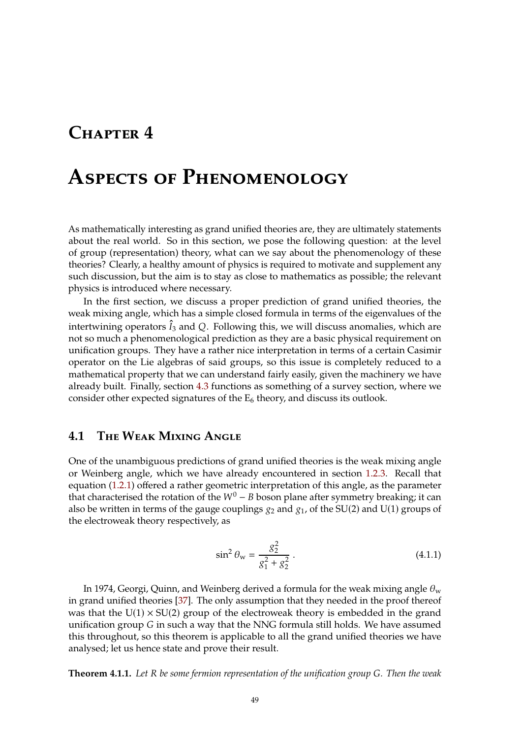## **Chapter 4**

# **Aspects of Phenomenology**

As mathematically interesting as grand unified theories are, they are ultimately statements about the real world. So in this section, we pose the following question: at the level of group (representation) theory, what can we say about the phenomenology of these theories? Clearly, a healthy amount of physics is required to motivate and supplement any such discussion, but the aim is to stay as close to mathematics as possible; the relevant physics is introduced where necessary.

In the first section, we discuss a proper prediction of grand unified theories, the weak mixing angle, which has a simple closed formula in terms of the eigenvalues of the intertwining operators  $\hat{I}_3$  and Q. Following this, we will discuss anomalies, which are not so much a phenomenological prediction as they are a basic physical requirement on unification groups. They have a rather nice interpretation in terms of a certain Casimir operator on the Lie algebras of said groups, so this issue is completely reduced to a mathematical property that we can understand fairly easily, given the machinery we have already built. Finally, section [4.3](#page-68-0) functions as something of a survey section, where we consider other expected signatures of the  $E_6$  theory, and discuss its outlook.

## **4.1 The Weak Mixing Angle**

One of the unambiguous predictions of grand unified theories is the weak mixing angle or Weinberg angle, which we have already encountered in section [1.2.3.](#page-19-0) Recall that equation [\(1.2.1\)](#page-20-0) offered a rather geometric interpretation of this angle, as the parameter that characterised the rotation of the  $W^0 - B$  boson plane after symmetry breaking; it can also be written in terms of the gauge couplings  $g_2$  and  $g_1$ , of the SU(2) and U(1) groups of the electroweak theory respectively, as

<span id="page-60-0"></span>
$$
\sin^2 \theta_{\rm w} = \frac{g_2^2}{g_1^2 + g_2^2} \,. \tag{4.1.1}
$$

In 1974, Georgi, Quinn, and Weinberg derived a formula for the weak mixing angle  $\theta_w$ in grand unified theories [\[37\]](#page-78-5). The only assumption that they needed in the proof thereof was that the  $U(1) \times SU(2)$  group of the electroweak theory is embedded in the grand unification group  $G$  in such a way that the NNG formula still holds. We have assumed this throughout, so this theorem is applicable to all the grand unified theories we have analysed; let us hence state and prove their result.

**Theorem 4.1.1.** Let R be some fermion representation of the unification group G. Then the weak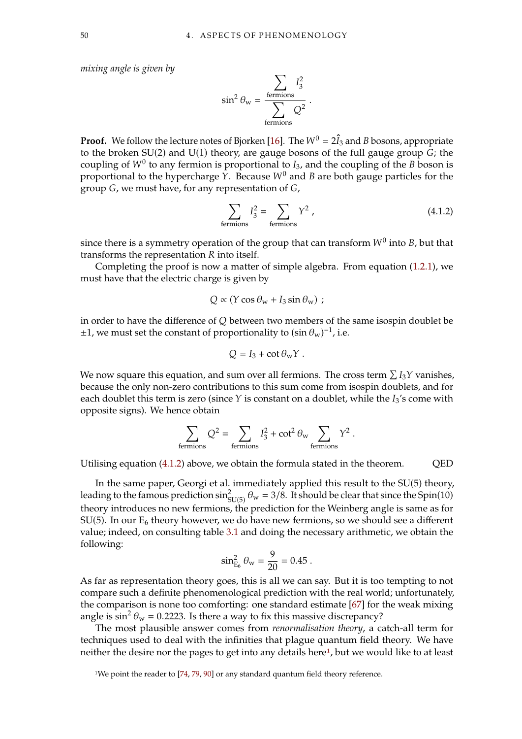*mixing angle is given by*

$$
\sin^2 \theta_{\rm w} = \frac{\sum_{\rm fermions} I_3^2}{\sum_{\rm fermions} Q^2}.
$$

**Proof.** We follow the lecture notes of Bjorken [\[16\]](#page-76-5). The  $W^0 = 2\hat{I}_3$  and *B* bosons, appropriate to the broken  $SU(2)$  and  $U(1)$  theory, are gauge bosons of the full gauge group  $G$ ; the coupling of  $W^0$  to any fermion is proportional to  $I_3$ , and the coupling of the B boson is<br>proportional to the hypercharge Y. Because  $W^0$  and B are both gauge particles for the proportional to the hypercharge Y. Because  $W^0$  and B are both gauge particles for the group  $G$ , we must have, for any representation of  $G$ ,

<span id="page-61-0"></span>
$$
\sum_{\text{fermions}} I_3^2 = \sum_{\text{fermions}} Y^2 \,, \tag{4.1.2}
$$

since there is a symmetry operation of the group that can transform  $W^0$  into *B*, but that transforms the representation *R* into itself transforms the representation  *into itself.* 

Completing the proof is now a matter of simple algebra. From equation [\(1.2.1\)](#page-20-0), we must have that the electric charge is given by

$$
Q \propto (Y \cos \theta_{\rm w} + I_3 \sin \theta_{\rm w}) ;
$$

in order to have the difference of  $Q$  between two members of the same isospin doublet be  $\pm 1$ , we must set the constant of proportionality to  $(\sin \theta_w)^{-1}$ , i.e.

$$
Q = I_3 + \cot \theta_{\rm w} Y.
$$

We now square this equation, and sum over all fermions. The cross term  $\sum I_3 Y$  vanishes, because the only non-zero contributions to this sum come from isosnin doublets, and for because the only non-zero contributions to this sum come from isospin doublets, and for each doublet this term is zero (since  $Y$  is constant on a doublet, while the  $I_3$ 's come with opposite signs). We hence obtain

$$
\sum_{\text{fermions}} Q^2 = \sum_{\text{fermions}} I_3^2 + \cot^2 \theta_{\text{w}} \sum_{\text{fermions}} Y^2.
$$

Utilising equation [\(4.1.2\)](#page-61-0) above, we obtain the formula stated in the theorem. QED

In the same paper, Georgi et al. immediately applied this result to the SU(5) theory, leading to the famous prediction  $\sin^2_{SU(5)} \theta_w = 3/8$ . It should be clear that since the Spin(10) theory introduces no new fermions, the prediction for the Weinberg angle is same as for  $SU(5)$ . In our  $E_6$  theory however, we do have new fermions, so we should see a different value; indeed, on consulting table [3.1](#page-58-0) and doing the necessary arithmetic, we obtain the following:

$$
\sin^2_{E_6} \theta_w = \frac{9}{20} = 0.45.
$$

As far as representation theory goes, this is all we can say. But it is too tempting to not compare such a definite phenomenological prediction with the real world; unfortunately, the comparison is none too comforting: one standard estimate [\[67\]](#page-79-1) for the weak mixing angle is  $\sin^2 \theta_w = 0.2223$ . Is there a way to fix this massive discrepancy?

The most plausible answer comes from *renormalisation theory*, a catch-all term for techniques used to deal with the infinities that plague quantum field theory. We have neither the desire nor the pages to get into any details here<sup>[1](#page-61-1)</sup>, but we would like to at least

<span id="page-61-1"></span><sup>&</sup>lt;sup>1</sup>We point the reader to [\[74,](#page-79-2) [79,](#page-80-4) [90\]](#page-80-5) or any standard quantum field theory reference.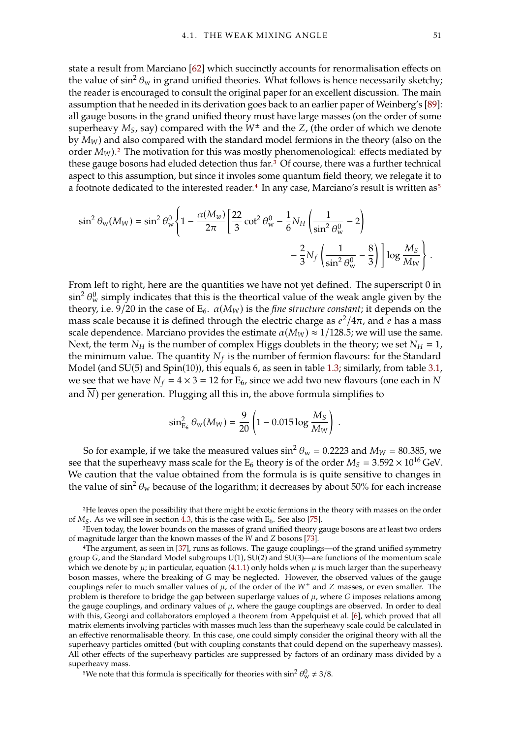state a result from Marciano [\[62\]](#page-79-3) which succinctly accounts for renormalisation effects on the value of  $\sin^2 \theta_w$  in grand unified theories. What follows is hence necessarily sketchy; the reader is encouraged to consult the original paper for an excellent discussion. The main assumption that he needed in its derivation goes back to an earlier paper of Weinberg's [\[89\]](#page-80-6): all gauge bosons in the grand unified theory must have large masses (on the order of some superheavy  $M_S$ , say) compared with the  $W^{\pm}$  and the Z, (the order of which we denote by  $M_W$ ) and also compared with the standard model fermions in the theory (also on the order  $M_W$ ).<sup>[2](#page-62-0)</sup> The motivation for this was mostly phenomenological: effects mediated by these gauge bosons had eluded detection thus far.[3](#page-62-1) Of course, there was a further technical aspect to this assumption, but since it involes some quantum field theory, we relegate it to a footnote dedicated to the interested reader.<sup>[4](#page-62-2)</sup> In any case, Marciano's result is written as<sup>[5](#page-62-3)</sup>

$$
\sin^2 \theta_w(M_W) = \sin^2 \theta_w^0 \left\{ 1 - \frac{\alpha(M_w)}{2\pi} \left[ \frac{22}{3} \cot^2 \theta_w^0 - \frac{1}{6} N_H \left( \frac{1}{\sin^2 \theta_w^0} - 2 \right) - \frac{2}{3} N_f \left( \frac{1}{\sin^2 \theta_w^0} - \frac{8}{3} \right) \right] \log \frac{M_S}{M_W} \right\}.
$$

From left to right, here are the quantities we have not yet defined. The superscript 0 in  $\sin^2 \theta_w^0$  simply indicates that this is the theortical value of the weak angle given by the theory, i.e.  $9/20$  in the case of  $E_6$ .  $\alpha(M_W)$  is the *fine structure constant*; it depends on the mass scale because it is defined through the electric charge as  $e^2/4\pi$ , and e has a mass scale dependence. Marciano provides the estimate  $\alpha(M_W) \approx 1/128.5$ ; we will use the same. Next, the term  $N_H$  is the number of complex Higgs doublets in the theory; we set  $N_H = 1$ , the minimum value. The quantity  $N_f$  is the number of fermion flavours: for the Standard<br>Model (and SU(5) and Spin(10)), this equals 6, as seen in table 1.3; similarly from table 3.1. Model (and SU(5) and Spin(10)), this equals 6, as seen in table [1.3;](#page-22-0) similarly, from table [3.1,](#page-58-0) we see that we have  $N_f = 4 \times 3 = 12$  for  $E_6$ , since we add two new flavours (one each in N and  $N$ ) per generation. Plugging all this in, the above formula simplifies to

$$
\sin_{E_6}^2 \theta_{\rm w}(M_W) = \frac{9}{20} \left( 1 - 0.015 \log \frac{M_S}{M_W} \right) .
$$

So for example, if we take the measured values  $\sin^2 \theta_w = 0.2223$  and  $M_W = 80.385$ , we see that the superheavy mass scale for the  $E_6$  theory is of the order  $M_s = 3.592 \times 10^{16}$  GeV. We caution that the value obtained from the formula is is quite sensitive to changes in the value of sin<sup>2</sup>  $\theta_w$  because of the logarithm; it decreases by about 50% for each increase

<span id="page-62-0"></span>2He leaves open the possibility that there might be exotic fermions in the theory with masses on the order of  $M_S$ . As we will see in section [4.3,](#page-68-0) this is the case with  $E_6$ . See also [\[75\]](#page-79-4).

<span id="page-62-1"></span><sup>3</sup>Even today, the lower bounds on the masses of grand unified theory gauge bosons are at least two orders of magnitude larger than the known masses of the  $W$  and  $Z$  bosons [\[73\]](#page-79-5).

<span id="page-62-2"></span>4The argument, as seen in [\[37\]](#page-78-5), runs as follows. The gauge couplings—of the grand unified symmetry group  $G$ , and the Standard Model subgroups  $U(1)$ ,  $SU(2)$  and  $SU(3)$ —are functions of the momentum scale which we denote by  $\mu$ ; in particular, equation [\(4.1.1\)](#page-60-0) only holds when  $\mu$  is much larger than the superheavy boson masses, where the breaking of G may be neglected. However, the observed values of the gauge couplings refer to much smaller values of  $\mu$ , of the order of the  $W^{\pm}$  and Z masses, or even smaller. The problem is therefore to bridge the gap between superlarge values of  $\mu$ , where G imposes relations among the gauge couplings, and ordinary values of  $\mu$ , where the gauge couplings are observed. In order to deal with this, Georgi and collaborators employed a theorem from Appelquist et al. [\[6\]](#page-76-6), which proved that all matrix elements involving particles with masses much less than the superheavy scale could be calculated in an effective renormalisable theory. In this case, one could simply consider the original theory with all the superheavy particles omitted (but with coupling constants that could depend on the superheavy masses). All other effects of the superheavy particles are suppressed by factors of an ordinary mass divided by a superheavy mass.

<span id="page-62-3"></span><sup>5</sup>We note that this formula is specifically for theories with  $\sin^2 \theta_w^0 \neq 3/8$ .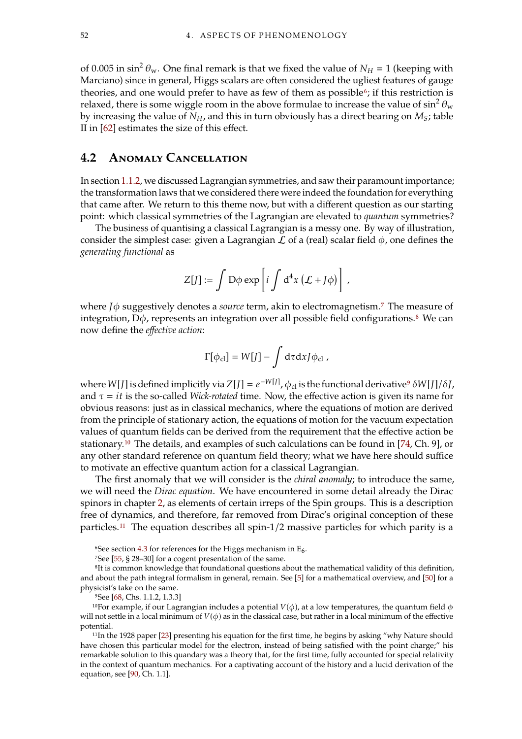of 0.005 in sin<sup>2</sup>  $\theta_w$ . One final remark is that we fixed the value of  $N_H = 1$  (keeping with Marciano) since in general, Higgs scalars are often considered the ugliest features of gauge theories, and one would prefer to have as few of them as possible<sup>[6](#page-63-0)</sup>; if this restriction is relaxed, there is some wiggle room in the above formulae to increase the value of  $\sin^2 \theta_w$ by increasing the value of  $N_H$ , and this in turn obviously has a direct bearing on  $M_S$ ; table II in [\[62\]](#page-79-3) estimates the size of this effect.

### **4.2 Anomaly Cancellation**

In section [1.1.2,](#page-14-0) we discussed Lagrangian symmetries, and saw their paramount importance; the transformation laws that we considered there were indeed the foundation for everything that came after. We return to this theme now, but with a different question as our starting point: which classical symmetries of the Lagrangian are elevated to *quantum* symmetries?

The business of quantising a classical Lagrangian is a messy one. By way of illustration, consider the simplest case: given a Lagrangian  $\mathcal L$  of a (real) scalar field  $\phi$ , one defines the *generating functional* as

$$
Z[J] := \int D\phi \exp \left[ i \int d^4x \left( \mathcal{L} + J\phi \right) \right] ,
$$

where  $J\phi$  suggestively denotes a *source* term, akin to electromagnetism.<sup>[7](#page-63-1)</sup> The measure of integration,  $D\phi$ , represents an integration over all possible field configurations.<sup>[8](#page-63-2)</sup> We can now define the *effective action*:

$$
\Gamma[\phi_{\rm cl}] = W[J] - \int d\tau dx J\phi_{\rm cl} ,
$$

where  $W[J]$  is defined implicitly via  $Z[J] = e^{-W[J]}$ ,  $\phi_{\text{cl}}$  is the functional derivative<sup>[9](#page-63-3)</sup>  $\delta W[J]/\delta J$ ,<br>and  $\pi = it$  is the so-called *Wick-retated* time. Now, the effective action is given its name for and  $\tau = it$  is the so-called *Wick-rotated* time. Now, the effective action is given its name for obvious reasons: just as in classical mechanics, where the equations of motion are derived from the principle of stationary action, the equations of motion for the vacuum expectation values of quantum fields can be derived from the requirement that the effective action be stationary.[10](#page-63-4) The details, and examples of such calculations can be found in [\[74,](#page-79-2) Ch. 9], or any other standard reference on quantum field theory; what we have here should suffice to motivate an effective quantum action for a classical Lagrangian.

The first anomaly that we will consider is the *chiral anomaly*; to introduce the same, we will need the *Dirac equation*. We have encountered in some detail already the Dirac spinors in chapter [2,](#page-24-1) as elements of certain irreps of the Spin groups. This is a description free of dynamics, and therefore, far removed from Dirac's original conception of these particles.<sup>[11](#page-63-5)</sup> The equation describes all spin-1/2 massive particles for which parity is a

<span id="page-63-2"></span><span id="page-63-1"></span>7See [\[55,](#page-78-6) § 28–30] for a cogent presentation of the same.

8It is common knowledge that foundational questions about the mathematical validity of this definition, and about the path integral formalism in general, remain. See [\[5\]](#page-76-7) for a mathematical overview, and [\[50\]](#page-78-7) for a physicist's take on the same.

<span id="page-63-4"></span><span id="page-63-3"></span>9See [\[68,](#page-79-6) Chs. 1.1.2, 1.3.3]

<sup>10</sup>For example, if our Lagrangian includes a potential  $V(\phi)$ , at a low temperatures, the quantum field  $\phi$ will not settle in a local minimum of  $V(\phi)$  as in the classical case, but rather in a local minimum of the effective potential.

<span id="page-63-5"></span>11In the 1928 paper [\[23\]](#page-77-5) presenting his equation for the first time, he begins by asking "why Nature should have chosen this particular model for the electron, instead of being satisfied with the point charge;" his remarkable solution to this quandary was a theory that, for the first time, fully accounted for special relativity in the context of quantum mechanics. For a captivating account of the history and a lucid derivation of the equation, see [\[90,](#page-80-5) Ch. 1.1].

<span id="page-63-0"></span><sup>&</sup>lt;sup>6</sup>See section [4.3](#page-68-0) for references for the Higgs mechanism in  $E_6$ .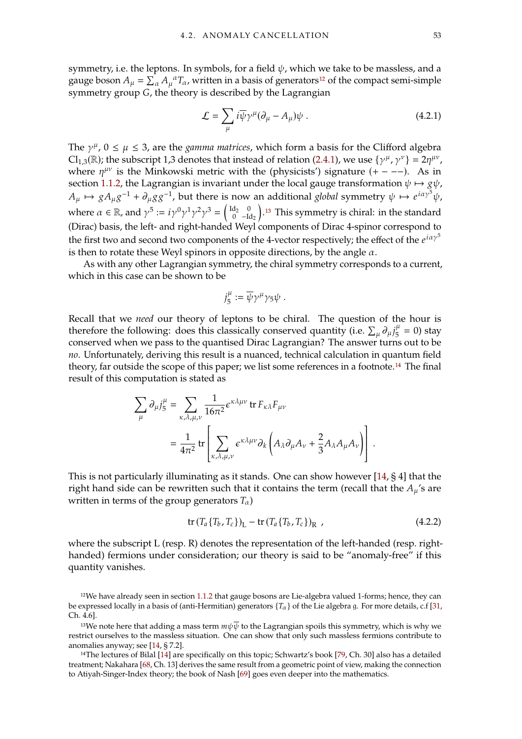symmetry, i.e. the leptons. In symbols, for a field  $\psi$ , which we take to be massless, and a gauge boson  $A_{\mu} = \sum_{\alpha} A_{\mu}^{\alpha} T_{\alpha}$ , written in a basis of generators<sup>[12](#page-64-0)</sup> of the compact semi-simple symmetry group  $C$  the theory is described by the Lagrangian gauge boson  $A_{\mu} = \sum_{\alpha} A_{\mu} I_{\alpha}$ , whiteh in a basis of generators—<br>symmetry group G, the theory is described by the Lagrangian

$$
\mathcal{L} = \sum_{\mu} i \overline{\psi} \gamma^{\mu} (\partial_{\mu} - A_{\mu}) \psi . \qquad (4.2.1)
$$

The  $\gamma^{\mu}$ ,  $0 \leq \mu \leq 3$ , are the *gamma matrices*, which form a basis for the Clifford algebra  $Cl_{1,3}(\mathbb{R})$ ; the subscript 1,3 denotes that instead of relation [\(2.4.1\)](#page-36-2), we use  $\{\gamma^{\mu}, \gamma^{\nu}\} = 2\eta^{\mu\nu}$ ,<br>where  $\eta^{\mu\nu}$  is the Minkowski metric with the (physicists') signature  $(+) = -)$ . As in where  $\eta^{\mu\nu}$  is the Minkowski metric with the (physicists') signature (+ − −−). As in section [1.1.2,](#page-14-0) the Lagrangian is invariant under the local gauge transformation  $\psi \mapsto g\psi$ ,  $A_{\mu} \mapsto g A_{\mu} g^{-1} + \partial_{\mu} g g^{-1}$ , but there is now an additional *global* symmetry  $\psi \mapsto e^{i a \gamma^5} \psi$ , where  $\alpha \in \mathbb{R}$ , and  $\gamma^5 := i\gamma^0\gamma^1\gamma^2\gamma^3 = \begin{pmatrix} \mathrm{Id}_2 & 0 \\ 0 & -\mathrm{Id}_3 \end{pmatrix}$  $\binom{d_2}{0}$   $\binom{0}{-1d_2}$ . <sup>[13](#page-64-1)</sup> This symmetry is chiral: in the standard (Dirac) basis, the left- and right-handed Weyl components of Dirac 4-spinor correspond to the first two and second two components of the 4-vector respectively; the effect of the  $e^{i\alpha y^5}$ is then to rotate these Weyl spinors in opposite directions, by the angle  $\alpha$ .

As with any other Lagrangian symmetry, the chiral symmetry corresponds to a current, which in this case can be shown to be

$$
j_5^\mu := \overline{\psi} \gamma^\mu \gamma_5 \psi .
$$

Recall that we *need* our theory of leptons to be chiral. The question of the hour is therefore the following: does this classically conserved quantity (i.e.  $\sum_{\mu} \partial_{\mu} j_{5}^{\mu}$  $s_5^{\mu} = 0$ ) stay conserved when we pass to the quantised Dirac Lagrangian? The answer turns out to be *no*. Unfortunately, deriving this result is a nuanced, technical calculation in quantum field theory, far outside the scope of this paper; we list some references in a footnote.[14](#page-64-2) The final result of this computation is stated as

$$
\sum_{\mu} \partial_{\mu} j_{5}^{\mu} = \sum_{\kappa, \lambda, \mu, \nu} \frac{1}{16\pi^{2}} \epsilon^{\kappa \lambda \mu \nu} \operatorname{tr} F_{\kappa \lambda} F_{\mu \nu}
$$

$$
= \frac{1}{4\pi^{2}} \operatorname{tr} \left[ \sum_{\kappa, \lambda, \mu, \nu} \epsilon^{\kappa \lambda \mu \nu} \partial_{k} \left( A_{\lambda} \partial_{\mu} A_{\nu} + \frac{2}{3} A_{\lambda} A_{\mu} A_{\nu} \right) \right].
$$

This is not particularly illuminating as it stands. One can show however [\[14,](#page-76-8) § 4] that the right hand side can be rewritten such that it contains the term (recall that the  $A_\mu$ 's are written in terms of the group generators  $T_{\alpha}$ )

<span id="page-64-3"></span>
$$
\text{tr}\left(T_a\{T_b, T_c\}\right)_L - \text{tr}\left(T_a\{T_b, T_c\}\right)_R \tag{4.2.2}
$$

where the subscript L (resp. R) denotes the representation of the left-handed (resp. righthanded) fermions under consideration; our theory is said to be "anomaly-free" if this quantity vanishes.

<span id="page-64-0"></span>12We have already seen in section [1.1.2](#page-14-0) that gauge bosons are Lie-algebra valued 1-forms; hence, they can be expressed locally in a basis of (anti-Hermitian) generators  $\{T_\alpha\}$  of the Lie algebra g. For more details, c.f [\[31,](#page-77-6) Ch. 4.6].

<span id="page-64-1"></span><sup>&</sup>lt;sup>13</sup>We note here that adding a mass term  $m\psi\overline{\psi}$  to the Lagrangian spoils this symmetry, which is why we restrict ourselves to the massless situation. One can show that only such massless fermions contribute to anomalies anyway; see [\[14,](#page-76-8) § 7.2].

<span id="page-64-2"></span><sup>14</sup>The lectures of Bilal [\[14\]](#page-76-8) are specifically on this topic; Schwartz's book [\[79,](#page-80-4) Ch. 30] also has a detailed treatment; Nakahara [\[68,](#page-79-6) Ch. 13] derives the same result from a geometric point of view, making the connection to Atiyah-Singer-Index theory; the book of Nash [\[69\]](#page-79-7) goes even deeper into the mathematics.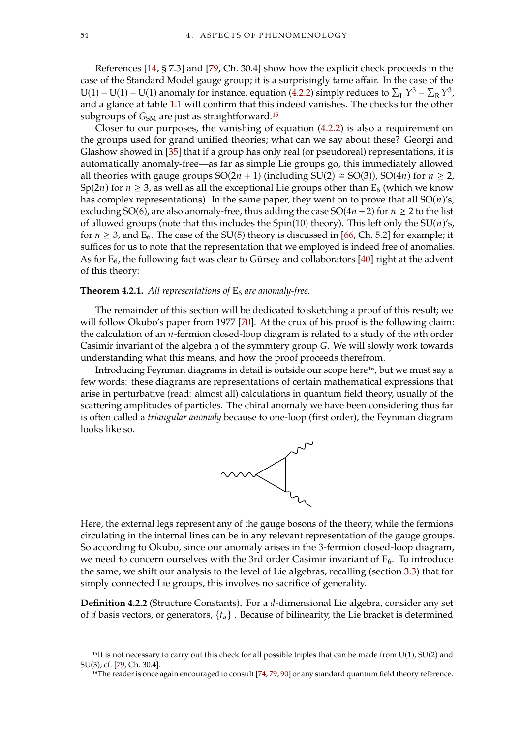References [\[14,](#page-76-8) § 7.3] and [\[79,](#page-80-4) Ch. 30.4] show how the explicit check proceeds in the case of the Standard Model gauge group; it is a surprisingly tame affair. In the case of the U(1) – U(1) – U(1) anomaly for instance, equation [\(4.2.2\)](#page-64-3) simply reduces to  $\sum_L Y^3 - \sum_R Y^3$ ,<br>and a glance at table 1.1 will confirm that this indeed vanishes. The checks for the other and a glance at table [1.1](#page-21-0) will confirm that this indeed vanishes. The checks for the other subgroups of  $G<sub>SM</sub>$  are just as straightforward.<sup>[15](#page-65-0)</sup>

Closer to our purposes, the vanishing of equation [\(4.2.2\)](#page-64-3) is also a requirement on the groups used for grand unified theories; what can we say about these? Georgi and Glashow showed in [\[35\]](#page-77-7) that if a group has only real (or pseudoreal) representations, it is automatically anomaly-free—as far as simple Lie groups go, this immediately allowed all theories with gauge groups  $SO(2n + 1)$  (including  $SU(2) \cong SO(3)$ ),  $SO(4n)$  for  $n \ge 2$ , Sp(2*n*) for  $n \ge 3$ , as well as all the exceptional Lie groups other than E<sub>6</sub> (which we know has complex representations). In the same paper, they went on to prove that all  $SO(n)$ 's, excluding SO(6), are also anomaly-free, thus adding the case SO( $4n + 2$ ) for  $n \ge 2$  to the list of allowed groups (note that this includes the Spin(10) theory). This left only the SU( $n$ )'s, for  $n \ge 3$ , and  $E_6$ . The case of the SU(5) theory is discussed in [\[66,](#page-79-8) Ch. 5.2] for example; it suffices for us to note that the representation that we employed is indeed free of anomalies. As for  $E_6$ , the following fact was clear to Gürsey and collaborators [\[40\]](#page-78-0) right at the advent of this theory:

#### **Theorem 4.2.1.** All representations of  $E_6$  are anomaly-free.

The remainder of this section will be dedicated to sketching a proof of this result; we will follow Okubo's paper from 1977 [\[70\]](#page-79-9). At the crux of his proof is the following claim: the calculation of an  $n$ -fermion closed-loop diagram is related to a study of the  $n$ th order Casimir invariant of the algebra g of the symmtery group  $G$ . We will slowly work towards understanding what this means, and how the proof proceeds therefrom.

Introducing Feynman diagrams in detail is outside our scope here[16](#page-65-1), but we must say a few words: these diagrams are representations of certain mathematical expressions that arise in perturbative (read: almost all) calculations in quantum field theory, usually of the scattering amplitudes of particles. The chiral anomaly we have been considering thus far is often called a *triangular anomaly* because to one-loop (first order), the Feynman diagram looks like so.



Here, the external legs represent any of the gauge bosons of the theory, while the fermions circulating in the internal lines can be in any relevant representation of the gauge groups. So according to Okubo, since our anomaly arises in the 3-fermion closed-loop diagram, we need to concern ourselves with the 3rd order Casimir invariant of  $E_6$ . To introduce the same, we shift our analysis to the level of Lie algebras, recalling (section [3.3\)](#page-54-0) that for simply connected Lie groups, this involves no sacrifice of generality.

**Definition 4.2.2** (Structure Constants). For a d-dimensional Lie algebra, consider any set of *d* basis vectors, or generators,  $\{t_a\}$ . Because of bilinearity, the Lie bracket is determined

<span id="page-65-0"></span> $15$ It is not necessary to carry out this check for all possible triples that can be made from  $U(1)$ ,  $SU(2)$  and SU(3); cf. [\[79,](#page-80-4) Ch. 30.4].

<span id="page-65-1"></span><sup>&</sup>lt;sup>16</sup>The reader is once again encouraged to consult [\[74,](#page-79-2) [79,](#page-80-4) [90\]](#page-80-5) or any standard quantum field theory reference.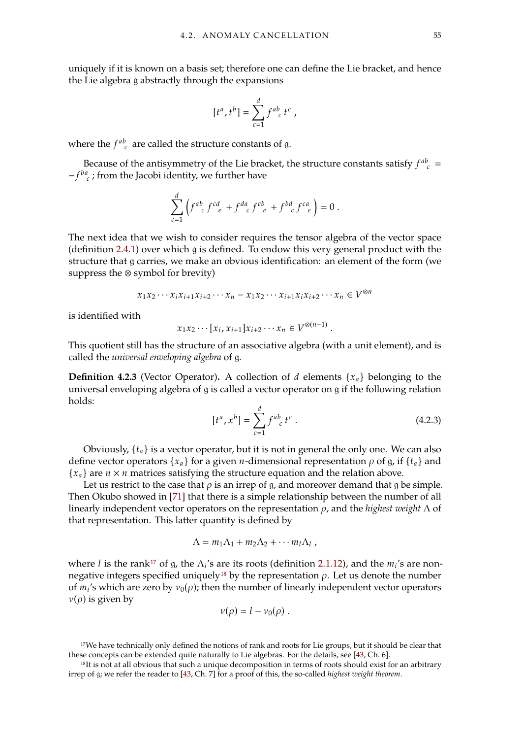uniquely if it is known on a basis set; therefore one can define the Lie bracket, and hence the Lie algebra g abstractly through the expansions

$$
[t^a, t^b] = \sum_{c=1}^d f^{ab}_{\ c} t^c \ ,
$$

where the  $f^{ab}_{c}$  are called the structure constants of g.

Because of the antisymmetry of the Lie bracket, the structure constants satisfy  $f^{ab}_{c}$  =  $f^{ab}_{c}$  + from the Lacobi identity, we further have  $-f<sup>ba</sup><sub>c</sub>$ ; from the Jacobi identity, we further have

$$
\sum_{c=1}^{d} \left( f^{ab}_{c} f^{cd}_{e} + f^{da}_{c} f^{cb}_{e} + f^{bd}_{c} f^{ca}_{e} \right) = 0.
$$

The next idea that we wish to consider requires the tensor algebra of the vector space (definition  $2.4.1$ ) over which  $g$  is defined. To endow this very general product with the structure that g carries, we make an obvious identification: an element of the form (we suppress the ⊗ symbol for brevity)

$$
x_1x_2\cdots x_ix_{i+1}x_{i+2}\cdots x_n - x_1x_2\cdots x_{i+1}x_ix_{i+2}\cdots x_n \in V^{\otimes n}
$$

is identified with

$$
x_1 x_2 \cdots [x_i, x_{i+1}] x_{i+2} \cdots x_n \in V^{\otimes (n-1)}
$$

This quotient still has the structure of an associative algebra (with a unit element), and is called the *universal enveloping algebra* of g.

**Definition 4.2.3** (Vector Operator). A collection of  $d$  elements  $\{x_a\}$  belonging to the universal enveloping algebra of  $\mathfrak g$  is called a vector operator on  $\mathfrak g$  if the following relation holds:

<span id="page-66-2"></span>
$$
[t^a, x^b] = \sum_{c=1}^d f^{ab}_{\ c} t^c \ . \tag{4.2.3}
$$

Obviously,  $\{t_a\}$  is a vector operator, but it is not in general the only one. We can also define vector operators  $\{x_a\}$  for a given *n*-dimensional representation  $\rho$  of g, if  $\{t_a\}$  and  ${x_a}$  are  $n \times n$  matrices satisfying the structure equation and the relation above.

Let us restrict to the case that  $\rho$  is an irrep of g, and moreover demand that g be simple. Then Okubo showed in [\[71\]](#page-79-10) that there is a simple relationship between the number of all linearly independent vector operators on the representation  $ρ$ , and the *highest weight* Λ of that representation. This latter quantity is defined by

$$
\Lambda = m_1 \Lambda_1 + m_2 \Lambda_2 + \cdots m_l \Lambda_l ,
$$

where *l* is the rank<sup>[17](#page-66-0)</sup> of g, the  $\Lambda_i$ 's are its roots (definition [2.1.12\)](#page-26-0), and the  $m_i$ 's are non-<br>negative integers specified uniquely<sup>18</sup> by the representation a. Let us denote the number negative integers specified uniquely<sup>[18](#page-66-1)</sup> by the representation  $\rho$ . Let us denote the number of  $m_i$ 's which are zero by  $v_0(\rho)$ ; then the number of linearly independent vector operators  $v(\rho)$  is given by  $v(\rho)$  is given by

$$
v(\rho)=l-v_0(\rho).
$$

<span id="page-66-0"></span><sup>&</sup>lt;sup>17</sup>We have technically only defined the notions of rank and roots for Lie groups, but it should be clear that these concepts can be extended quite naturally to Lie algebras. For the details, see [\[43,](#page-78-8) Ch. 6].

<span id="page-66-1"></span><sup>18</sup>It is not at all obvious that such a unique decomposition in terms of roots should exist for an arbitrary irrep of g; we refer the reader to [\[43,](#page-78-8) Ch. 7] for a proof of this, the so-called *highest weight theorem*.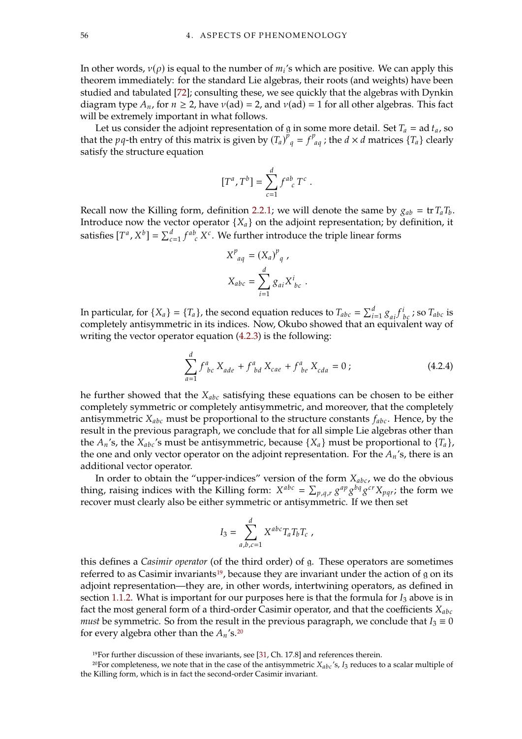In other words,  $v(\rho)$  is equal to the number of  $m_i$ 's which are positive. We can apply this theorem immediately: for the standard I is algebras, their roots (and weights) have been theorem immediately: for the standard Lie algebras, their roots (and weights) have been studied and tabulated [\[72\]](#page-79-11); consulting these, we see quickly that the algebras with Dynkin diagram type  $A_n$ , for  $n \ge 2$ , have  $v(\text{ad}) = 2$ , and  $v(\text{ad}) = 1$  for all other algebras. This fact will be extremely important in what follows.

Let us consider the adjoint representation of g in some more detail. Set  $T_a = ad t_a$ , so that the *pq*-th entry of this matrix is given by  $(T_a)^p{}_q = f^p{}_{aq}$ ; the  $d \times d$  matrices  $\{T_a\}$  clearly satisfy the structure equation

$$
[T^a, T^b] = \sum_{c=1}^d f^{ab}_{\ c} T^c.
$$

Recall now the Killing form, definition [2.2.1;](#page-30-0) we will denote the same by  $g_{ab} = \text{tr} T_a T_b$ . Introduce now the vector operator  $\{X_a\}$  on the adjoint representation; by definition, it satisfies  $[T^a, X^b] = \sum_{c=1}^d f^{ab}_{c} X^c$ . We further introduce the triple linear forms

$$
X^{p}_{aq} = (X_{a})^{p}_{q} ,
$$
  

$$
X_{abc} = \sum_{i=1}^{d} g_{ai} X^{i}_{bc} .
$$

In particular, for  $\{X_a\} = \{T_a\}$ , the second equation reduces to  $T_{abc} = \sum_{i=1}^d g_{ai} f_{bc}^i$ ; so  $T_{abc}$  is completely antisymmetric in its indices. Now Okubo showed that an equivalent way of  $\sum_{i=1}^{\infty} \frac{Z_i}{\log P}$  of  $\sum_{i=1}^{\infty} \frac{Z_i}{\log P}$  of  $\sum_{i=1}^{\infty} \frac{Z_i}{\log P}$  or  $\sum_{i=1}^{\infty} \frac{Z_i}{\log P}$ writing the vector operator equation [\(4.2.3\)](#page-66-2) is the following:

<span id="page-67-2"></span>
$$
\sum_{a=1}^{d} f_{bc}^{a} X_{ade} + f_{bd}^{a} X_{cae} + f_{be}^{a} X_{cda} = 0 ; \qquad (4.2.4)
$$

he further showed that the  $X_{abc}$  satisfying these equations can be chosen to be either completely symmetric or completely antisymmetric, and moreover, that the completely antisymmetric  $X_{abc}$  must be proportional to the structure constants  $f_{abc}$ . Hence, by the result in the previous paragraph, we conclude that for all simple Lie algebras other than the  $A_n$ 's, the  $X_{abc}$ 's must be antisymmetric, because  $\{X_a\}$  must be proportional to  $\{T_a\}$ , the one and only vector operator on the adjoint representation. For the  $A_n$ 's, there is an additional vector operator.

In order to obtain the "upper-indices" version of the form  $X_{abc}$ , we do the obvious thing, raising indices with the Killing form:  $X^{abc} = \sum_{p,q,r} g^{ap} g^{bq} g^{cr} X_{pqr}$ ; the form we<br>recover must clearly also be either symmetric or antisymmetric. If we then set recover must clearly also be either symmetric or antisymmetric. If we then set

$$
I_3 = \sum_{a,b,c=1}^d X^{abc} T_a T_b T_c ,
$$

this defines a *Casimir operator* (of the third order) of g. These operators are sometimes referred to as Casimir invariants<sup>[19](#page-67-0)</sup>, because they are invariant under the action of  $g$  on its adjoint representation—they are, in other words, intertwining operators, as defined in section [1.1.2.](#page-14-0) What is important for our purposes here is that the formula for  $I_3$  above is in fact the most general form of a third-order Casimir operator, and that the coefficients  $X_{abc}$ *must* be symmetric. So from the result in the previous paragraph, we conclude that  $I_3 \equiv 0$ for every algebra other than the  $A_n$ 's.<sup>[20](#page-67-1)</sup>

<span id="page-67-1"></span><span id="page-67-0"></span><sup>19</sup>For further discussion of these invariants, see [\[31,](#page-77-6) Ch. 17.8] and references therein.

<sup>&</sup>lt;sup>20</sup>For completeness, we note that in the case of the antisymmetric  $X_{abc}$ 's,  $I_3$  reduces to a scalar multiple of the Killing form, which is in fact the second-order Casimir invariant.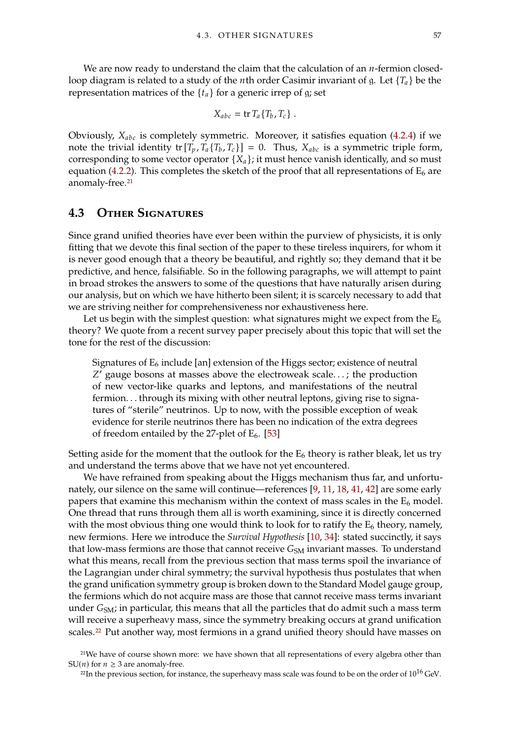We are now ready to understand the claim that the calculation of an  $n$ -fermion closedloop diagram is related to a study of the *n*th order Casimir invariant of g. Let  $\{T_a\}$  be the representation matrices of the  $\{t_a\}$  for a generic irrep of g; set

$$
X_{abc} = \operatorname{tr} T_a \{T_b, T_c\} .
$$

Obviously,  $X_{abc}$  is completely symmetric. Moreover, it satisfies equation [\(4.2.4\)](#page-67-2) if we note the trivial identity tr  $[T_p, T_a \{T_b, T_c\}] = 0$ . Thus,  $X_{abc}$  is a symmetric triple form, corresponding to some vector operator  ${X_a}$ ; it must hence vanish identically, and so must equation [\(4.2.2\)](#page-64-3). This completes the sketch of the proof that all representations of  $E_6$  are anomaly-free.<sup>[21](#page-68-1)</sup>

## <span id="page-68-0"></span>**4.3 Other Signatures**

Since grand unified theories have ever been within the purview of physicists, it is only fitting that we devote this final section of the paper to these tireless inquirers, for whom it is never good enough that a theory be beautiful, and rightly so; they demand that it be predictive, and hence, falsifiable. So in the following paragraphs, we will attempt to paint in broad strokes the answers to some of the questions that have naturally arisen during our analysis, but on which we have hitherto been silent; it is scarcely necessary to add that we are striving neither for comprehensiveness nor exhaustiveness here.

Let us begin with the simplest question: what signatures might we expect from the  $E_6$ theory? We quote from a recent survey paper precisely about this topic that will set the tone for the rest of the discussion:

Signatures of  $E_6$  include [an] extension of the Higgs sector; existence of neutral of new vector-like quarks and leptons, and manifestations of the neutral  $Z'$  gauge bosons at masses above the electroweak scale...; the production fermion. . . through its mixing with other neutral leptons, giving rise to signatures of "sterile" neutrinos. Up to now, with the possible exception of weak evidence for sterile neutrinos there has been no indication of the extra degrees of freedom entailed by the 27-plet of  $E_6$ . [\[53\]](#page-78-9)

Setting aside for the moment that the outlook for the  $E_6$  theory is rather bleak, let us try and understand the terms above that we have not yet encountered.

We have refrained from speaking about the Higgs mechanism thus far, and unfortunately, our silence on the same will continue—references [\[9,](#page-76-9) [11,](#page-76-3) [18,](#page-77-8) [41,](#page-78-10) [42\]](#page-78-1) are some early papers that examine this mechanism within the context of mass scales in the  $E_6$  model. One thread that runs through them all is worth examining, since it is directly concerned with the most obvious thing one would think to look for to ratify the  $E_6$  theory, namely, new fermions. Here we introduce the *Survival Hypothesis* [\[10,](#page-76-10) [34\]](#page-77-9): stated succinctly, it says that low-mass fermions are those that cannot receive  $G<sub>SM</sub>$  invariant masses. To understand what this means, recall from the previous section that mass terms spoil the invariance of the Lagrangian under chiral symmetry; the survival hypothesis thus postulates that when the grand unification symmetry group is broken down to the Standard Model gauge group, the fermions which do not acquire mass are those that cannot receive mass terms invariant under  $G<sub>SM</sub>$ ; in particular, this means that all the particles that do admit such a mass term will receive a superheavy mass, since the symmetry breaking occurs at grand unification scales.<sup>[22](#page-68-2)</sup> Put another way, most fermions in a grand unified theory should have masses on

<span id="page-68-1"></span><sup>21</sup>We have of course shown more: we have shown that all representations of every algebra other than  $SU(n)$  for  $n \geq 3$  are anomaly-free.

<span id="page-68-2"></span><sup>&</sup>lt;sup>22</sup>In the previous section, for instance, the superheavy mass scale was found to be on the order of  $10^{16}$  GeV.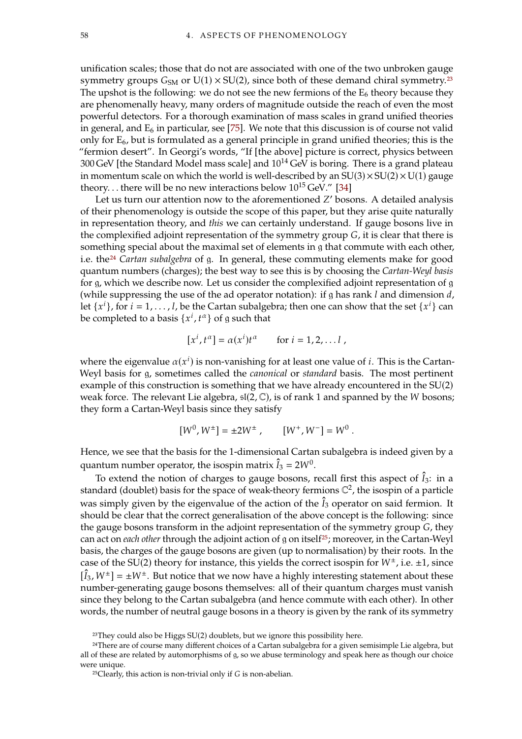unification scales; those that do not are associated with one of the two unbroken gauge symmetry groups  $G<sub>SM</sub>$  or U(1)  $\times$  SU(2), since both of these demand chiral symmetry.<sup>[23](#page-69-0)</sup> The upshot is the following: we do not see the new fermions of the  $E_6$  theory because they are phenomenally heavy, many orders of magnitude outside the reach of even the most powerful detectors. For a thorough examination of mass scales in grand unified theories in general, and  $E_6$  in particular, see [\[75\]](#page-79-4). We note that this discussion is of course not valid only for  $E_6$ , but is formulated as a general principle in grand unified theories; this is the "fermion desert". In Georgi's words, "If [the above] picture is correct, physics between 300 GeV [the Standard Model mass scale] and  $10^{14}$  GeV is boring. There is a grand plateau in momentum scale on which the world is well-described by an  $SU(3) \times SU(2) \times U(1)$  gauge theory... there will be no new interactions below  $10^{15}$  GeV." [\[34\]](#page-77-9)

Let us turn our attention now to the aforementioned  $Z'$  bosons. A detailed analysis<br>beir phenomenology is outside the scope of this paper, but they arise quite paturally of their phenomenology is outside the scope of this paper, but they arise quite naturally in representation theory, and *this* we can certainly understand. If gauge bosons live in the complexified adjoint representation of the symmetry group  $G$ , it is clear that there is something special about the maximal set of elements in g that commute with each other, i.e. the<sup>[24](#page-69-1)</sup> *Cartan subalgebra* of g. In general, these commuting elements make for good quantum numbers (charges); the best way to see this is by choosing the *Cartan-Weyl basis* for  $g$ , which we describe now. Let us consider the complexified adjoint representation of  $g$ (while suppressing the use of the ad operator notation): if g has rank  $l$  and dimension  $d$ , let  $\{x^i\}$ , for  $i = 1, \ldots, l$ , be the Cartan subalgebra; then one can show that the set  $\{x^i\}$  can be completed to a basis  $\{x^i, t^a\}$  of a such that be completed to a basis  $\{x^i, t^{\alpha}\}$  of g such that

$$
[x^i, t^{\alpha}] = \alpha(x^i)t^{\alpha} \quad \text{for } i = 1, 2, \dots l,
$$

where the eigenvalue  $a(x^i)$  is non-vanishing for at least one value of *i*. This is the Cartan-<br>Weyl hasis for a sometimes called the *canonical* or *standard* hasis. The most pertinent Weyl basis for 𝔤, sometimes called the *canonical* or *standard* basis. The most pertinent example of this construction is something that we have already encountered in the SU(2) weak force. The relevant Lie algebra,  $\mathfrak{sl}(2,\mathbb{C})$ , is of rank 1 and spanned by the W bosons; they form a Cartan-Weyl basis since they satisfy

$$
[W^0, W^{\pm}] = \pm 2W^{\pm} , \qquad [W^+, W^-] = W^0 .
$$

Hence, we see that the basis for the 1-dimensional Cartan subalgebra is indeed given by a quantum number operator, the isospin matrix  $\hat{I}_3 = 2W^0$ .<br>To extend the notion of sharpes to gauge because

To extend the notion of charges to gauge bosons, recall first this aspect of  $\hat{I}_3$ : in a standard (doublet) basis for the space of weak-theory fermions  $\mathbb{C}^2$ , the isospin of a particle was simply given by the eigenvalue of the action of the  $\hat{I}_3$  operator on said fermion. It should be clear that the correct generalisation of the above concept is the following: since the gauge bosons transform in the adjoint representation of the symmetry group  $G$ , they can act on *each other* through the adjoint action of g on itself<sup>[25](#page-69-2)</sup>; moreover, in the Cartan-Weyl basis, the charges of the gauge bosons are given (up to normalisation) by their roots. In the case of the SU(2) theory for instance, this yields the correct isospin for  $W^{\pm}$ , i.e.  $\pm 1$ , since  $[\hat{I}_3, W^{\pm}] = \pm W^{\pm}$ . But notice that we now have a highly interesting statement about these number-generating gauge bosons themselves: all of their quantum charges must vanish number-generating gauge bosons themselves: all of their quantum charges must vanish since they belong to the Cartan subalgebra (and hence commute with each other). In other words, the number of neutral gauge bosons in a theory is given by the rank of its symmetry

<span id="page-69-1"></span><span id="page-69-0"></span><sup>&</sup>lt;sup>23</sup>They could also be Higgs SU(2) doublets, but we ignore this possibility here.

<sup>24</sup>There are of course many different choices of a Cartan subalgebra for a given semisimple Lie algebra, but all of these are related by automorphisms of  $g$ , so we abuse terminology and speak here as though our choice were unique.

<span id="page-69-2"></span><sup>&</sup>lt;sup>25</sup>Clearly, this action is non-trivial only if  $G$  is non-abelian.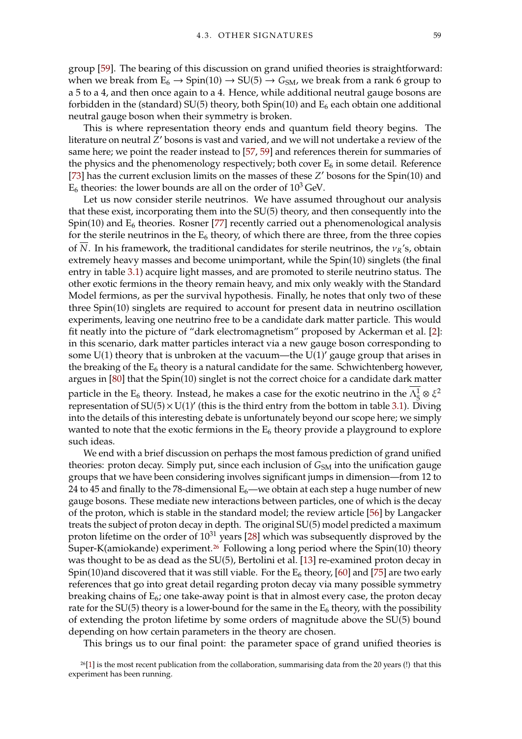group [\[59\]](#page-79-12). The bearing of this discussion on grand unified theories is straightforward: when we break from  $E_6 \rightarrow Spin(10) \rightarrow SU(5) \rightarrow G_{SM}$ , we break from a rank 6 group to a 5 to a 4, and then once again to a 4. Hence, while additional neutral gauge bosons are forbidden in the (standard) SU(5) theory, both Spin(10) and  $E_6$  each obtain one additional neutral gauge boson when their symmetry is broken.

This is where representation theory ends and quantum field theory begins. The literature on neutral  $\overline{Z}$  bosons is vast and varied, and we will not undertake a review of the same here; we point the reader instead to [\[57,](#page-79-13) [59\]](#page-79-12) and references therein for summaries of the physics and the phenomenology respectively; both cover  $E_6$  in some detail. Reference [\[73\]](#page-79-5) has the current exclusion limits on the masses of these  $Z'$  bosons for the Spin(10) and<br>Est boories: the lower bounds are all on the order of  $10^3$  CeV  $E_6$  theories: the lower bounds are all on the order of  $10^3$  GeV.

Let us now consider sterile neutrinos. We have assumed throughout our analysis that these exist, incorporating them into the SU(5) theory, and then consequently into the Spin(10) and  $E_6$  theories. Rosner [\[77\]](#page-80-7) recently carried out a phenomenological analysis for the sterile neutrinos in the  $E_6$  theory, of which there are three, from the three copies of N. In his framework, the traditional candidates for sterile neutrinos, the  $v<sub>R</sub>$ 's, obtain extremely heavy masses and become unimportant, while the Spin(10) singlets (the final entry in table [3.1\)](#page-58-0) acquire light masses, and are promoted to sterile neutrino status. The other exotic fermions in the theory remain heavy, and mix only weakly with the Standard Model fermions, as per the survival hypothesis. Finally, he notes that only two of these three Spin(10) singlets are required to account for present data in neutrino oscillation experiments, leaving one neutrino free to be a candidate dark matter particle. This would fit neatly into the picture of "dark electromagnetism" proposed by Ackerman et al. [\[2\]](#page-76-11): in this scenario, dark matter particles interact via a new gauge boson corresponding to some  $U(1)$  theory that is unbroken at the vacuum—the  $U(1)'$  gauge group that arises in the breaking of the  $E_6$  theory is a natural candidate for the same. Schwichtenberg however, argues in [\[80\]](#page-80-8) that the Spin(10) singlet is not the correct choice for a candidate dark matter particle in the  $\rm E_6$  theory. Instead, he makes a case for the exotic neutrino in the  $\overline{\Lambda_5^1}\otimes \xi^2$ representation of SU(5)  $\times$  U(1)' (this is the third entry from the bottom in table [3.1\)](#page-58-0). Diving into the details of this interesting debate is unfortunately beyond our scope here; we simply wanted to note that the exotic fermions in the  $E_6$  theory provide a playground to explore such ideas.

We end with a brief discussion on perhaps the most famous prediction of grand unified theories: proton decay. Simply put, since each inclusion of  $G<sub>SM</sub>$  into the unification gauge groups that we have been considering involves significant jumps in dimension—from 12 to 24 to 45 and finally to the 78-dimensional  $E_6$ —we obtain at each step a huge number of new gauge bosons. These mediate new interactions between particles, one of which is the decay of the proton, which is stable in the standard model; the review article [\[56\]](#page-79-14) by Langacker treats the subject of proton decay in depth. The original SU(5) model predicted a maximum proton lifetime on the order of  $10^{31}$  years [\[28\]](#page-77-10) which was subsequently disproved by the Super-K(amiokande) experiment.[26](#page-70-0) Following a long period where the Spin(10) theory was thought to be as dead as the SU(5), Bertolini et al. [\[13\]](#page-76-12) re-examined proton decay in Spin(10)and discovered that it was still viable. For the  $E_6$  theory, [\[60\]](#page-79-15) and [\[75\]](#page-79-4) are two early references that go into great detail regarding proton decay via many possible symmetry breaking chains of  $E_6$ ; one take-away point is that in almost every case, the proton decay rate for the SU(5) theory is a lower-bound for the same in the  $E_6$  theory, with the possibility of extending the proton lifetime by some orders of magnitude above the SU(5) bound depending on how certain parameters in the theory are chosen.

<span id="page-70-0"></span>This brings us to our final point: the parameter space of grand unified theories is

 $26[1]$  $26[1]$  is the most recent publication from the collaboration, summarising data from the 20 years (!) that this experiment has been running.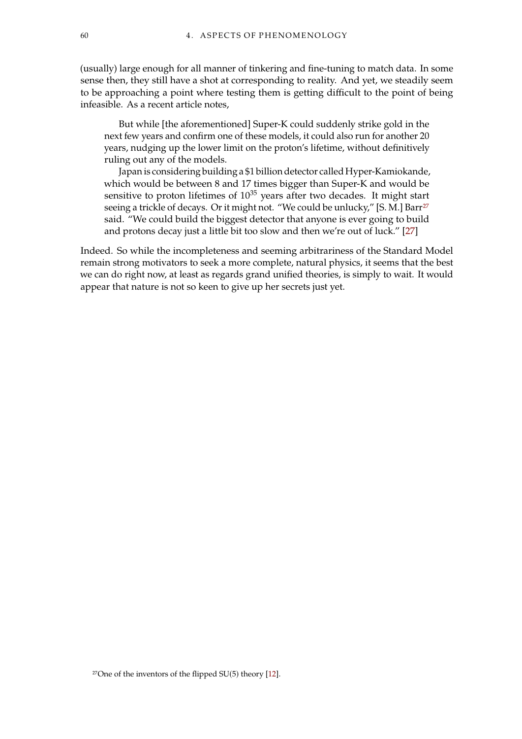(usually) large enough for all manner of tinkering and fine-tuning to match data. In some sense then, they still have a shot at corresponding to reality. And yet, we steadily seem to be approaching a point where testing them is getting difficult to the point of being infeasible. As a recent article notes,

But while [the aforementioned] Super-K could suddenly strike gold in the next few years and confirm one of these models, it could also run for another 20 years, nudging up the lower limit on the proton's lifetime, without definitively ruling out any of the models.

Japan is considering building a \$1 billion detector called Hyper-Kamiokande, which would be between 8 and 17 times bigger than Super-K and would be sensitive to proton lifetimes of  $10^{35}$  years after two decades. It might start seeing a trickle of decays. Or it might not. "We could be unlucky," [S. M.] Barr<sup>[27](#page-71-0)</sup> said. "We could build the biggest detector that anyone is ever going to build and protons decay just a little bit too slow and then we're out of luck." [\[27\]](#page-77-11)

<span id="page-71-0"></span>Indeed. So while the incompleteness and seeming arbitrariness of the Standard Model remain strong motivators to seek a more complete, natural physics, it seems that the best we can do right now, at least as regards grand unified theories, is simply to wait. It would appear that nature is not so keen to give up her secrets just yet.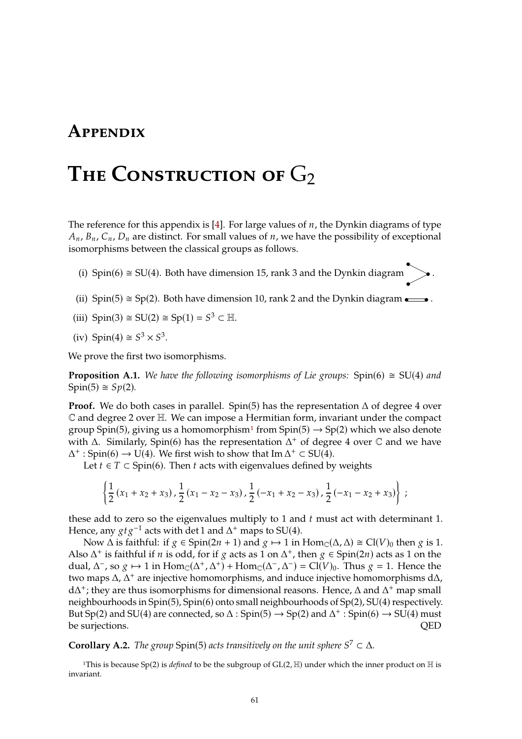## **Appendix**

## THE CONSTRUCTION OF  $G_2$

The reference for this appendix is [\[4\]](#page-76-0). For large values of  $n$ , the Dynkin diagrams of type  $A_n$ ,  $B_n$ ,  $C_n$ ,  $D_n$  are distinct. For small values of *n*, we have the possibility of exceptional isomorphisms between the classical groups as follows.

- (i)  $Spin(6) \cong SU(4)$ . Both have dimension 15, rank 3 and the Dynkin diagram
- (ii)  $Spin(5) \cong Sp(2)$ . Both have dimension 10, rank 2 and the Dynkin diagram  $\bullet \bullet$ .
- (iii)  $Spin(3) \cong SU(2) \cong Sp(1) = S^3 \subset \mathbb{H}.$
- (iv) Spin(4)  $\approx S^3 \times S^3$ .

We prove the first two isomorphisms.

**Proposition A.1.** We have the following isomorphisms of Lie groups: Spin(6)  $\cong$  SU(4) and  $Spin(5) \cong Sp(2)$ .

**Proof.** We do both cases in parallel. Spin(5) has the representation  $\Delta$  of degree 4 over C and degree 2 over H. We can impose a Hermitian form, invariant under the compact group Spin(5), giving us a homomorphism<sup>[1](#page-72-0)</sup> from Spin(5)  $\rightarrow$  Sp(2) which we also denote with  $\Delta$ . Similarly, Spin(6) has the representation  $\Delta^+$  of degree 4 over  $\mathbb C$  and we have  $\Delta^+$ : Spin(6)  $\rightarrow$  U(4). We first wish to show that Im  $\Delta^+$   $\subset$  SU(4).

Let  $t \in T \subset$  Spin(6). Then t acts with eigenvalues defined by weights

$$
\left\{\frac{1}{2}\left(x_1+x_2+x_3\right),\frac{1}{2}\left(x_1-x_2-x_3\right),\frac{1}{2}\left(-x_1+x_2-x_3\right),\frac{1}{2}\left(-x_1-x_2+x_3\right)\right\};
$$

these add to zero so the eigenvalues multiply to 1 and  $t$  must act with determinant 1. Hence, any  $gtg^{-1}$  acts with det 1 and  $\Delta^+$  maps to SU(4).<br>Now  $\Delta$  is faithful: if  $g \in$  Spin(2n + 1) and  $g \mapsto 1$  in

Now  $\Delta$  is faithful: if  $g \in Spin(2n + 1)$  and  $g \mapsto 1$  in  $Hom_{\mathbb{C}}(\Delta, \Delta) \cong Cl(V)_0$  then g is 1. Also  $\Delta^+$  is faithful if *n* is odd, for if *g* acts as 1 on  $\Delta^+$ , then  $g \in Spin(2n)$  acts as 1 on the dual  $\Delta^-$  so  $g \mapsto 1$  in Home( $\Delta^+$ ,  $\Delta^+$ ) + Home( $\Delta^-$ ,  $\Delta^-$ ) – Cl( $V$ ). Thus  $g = 1$ . Hones the dual,  $\Delta^-$ , so  $g \mapsto 1$  in  $\text{Hom}_{\mathbb{C}}(\Delta^+, \Delta^+)$  +  $\text{Hom}_{\mathbb{C}}(\Delta^-, \Delta^-) = \text{Cl}(V)_0$ . Thus  $g = 1$ . Hence the two maps  $\Delta$ ,  $\Delta^+$  are injective homomorphisms, and induce injective homomorphisms d $\Delta$ ,  $d\Delta^+$ ; they are thus isomorphisms for dimensional reasons. Hence,  $\Delta$  and  $\Delta^+$  map small neighbourhoods in  $Spin(5)$ ,  $Spin(6)$  onto small neighbourhoods of  $Sp(2)$ ,  $SU(4)$  respectively. But Sp(2) and SU(4) are connected, so  $\Delta$  : Spin(5)  $\rightarrow$  Sp(2) and  $\Delta^+$  : Spin(6)  $\rightarrow$  SU(4) must be surjections. QED

**Corollary A.2.** *The group*  $Spin(5)$  *acts transitively on the unit sphere*  $S^7 \subset \Delta$ *.* 

<span id="page-72-0"></span><sup>1</sup>This is because Sp(2) is *defined* to be the subgroup of  $GL(2, \mathbb{H})$  under which the inner product on  $\mathbb{H}$  is invariant.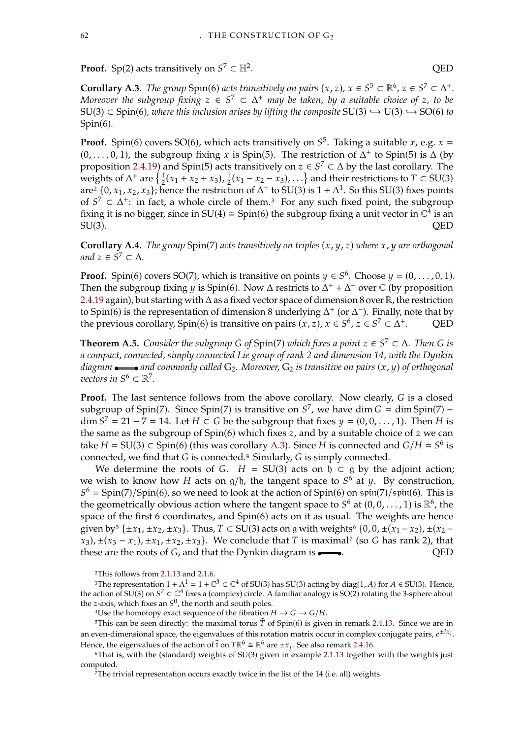**Proof.** Sp(2) acts transitively on  $S^7 \subset \mathbb{H}^2$ 

<span id="page-73-2"></span>**Corollary A.3.** *The group* Spin(6) *acts transitively on pairs*  $(x, z)$ ,  $x \in S^5 \subset \mathbb{R}^6$ ,  $z \in S^7 \subset \Delta^+$ .<br>Moreover the subgroup fixing  $z \in S^7 \subset \Delta^+$  may be taken, by a suitable choice of z, to be *Moreover the subgroup fixing*  $z \in S^7 \subset \Delta^+$  *may be taken, by a suitable choice of*  $z$ *, to be*  $\overline{SI(3)} \subset \overline{Sp(6)}$  *to*  $\overline{SO(6)}$  *to*  $SU(3) \subset Spin(6)$ , where this inclusion arises by lifting the composite  $SU(3) \hookrightarrow U(3) \hookrightarrow SO(6)$  to Spin(6)*.*

**Proof.** Spin(6) covers SO(6), which acts transitively on  $S^5$ . Taking a suitable  $x$ , e.g.  $x = (0, 0, 1)$ , the subgroup fixing  $x$  is Spin(5). The restriction of  $A^+$  to Spin(5) is  $A$  (by  $(0, \ldots, 0, 1)$ , the subgroup fixing x is Spin(5). The restriction of  $\Delta^+$  to Spin(5) is  $\Delta$  (by proposition 2.4.19) and Spin(5) acts transitively on  $z \in S^7 \subset \Delta$  by the last corollary. The proposition [2.4.19\)](#page-41-0) and Spin(5) acts transitively on  $z \in S^7 \subset \Delta$  by the last corollary. The weights of  $\Delta^+$  are  $\left\{\frac{1}{2}\right\}$  $\frac{1}{2}(x_1 + x_2 + x_3), \frac{1}{2}$  $\frac{1}{2}(x_1 - x_2 - x_3), \ldots$  and their restrictions to  $T \subset SU(3)$ <br>tion of  $\Lambda^+$  to SU(3) is  $1 + \Lambda^1$ . So this SU(3) fixes points are<sup>[2](#page-73-0)</sup> {0,  $x_1$ ,  $x_2$ ,  $x_3$ }; hence the restriction of  $\Delta^+$  to SU(3) is  $1 + \Lambda^1$ . So this SU(3) fixes points of  $S^7 \subset \Delta^+$ ; in fact, a whole circle of them <sup>3</sup>. For any such fixed point, the subgroup of  $S^7 \subset \Delta^+$ : in fact, a whole circle of them.<sup>[3](#page-73-1)</sup> For any such fixed point, the subgroup<br>fixing it is no bigger since in SU(4)  $\approx$  Spin(6) the subgroup fixing a unit vector in  $\mathbb{C}^4$  is an fixing it is no bigger, since in SU(4)  $\cong$  Spin(6) the subgroup fixing a unit vector in  $\mathbb{C}^4$  is an  $SU(3)$ .  $OED$ 

**Corollary A.4.** *The group*  $Spin(7)$  *acts transitively on triples*  $(x, y, z)$  *where*  $x, y$  *are orthogonal*  $and z \in \check{S}^7 \subset \Delta.$ 

**Proof.** Spin(6) covers SO(7), which is transitive on points  $y \in S^6$ . Choose  $y = (0, \ldots, 0, 1)$ .<br>Then the subgroup fixing u is Spin(6). Now A restricts to  $A^+ + A^-$  over  $\mathbb{C}$  (by proposition Then the subgroup fixing y is Spin(6). Now  $\Delta$  restricts to  $\Delta^+$  +  $\Delta^-$  over  $\mathbb C$  (by proposition 2.4.19 again), but starting with  $\Delta$  as a fixed vector space of dimension 8 over  $\mathbb R$ , the restriction [2.4.19](#page-41-0) again), but starting with  $\Delta$  as a fixed vector space of dimension 8 over  $\mathbb R$ , the restriction to Spin(6) is the representation of dimension 8 underlying  $\Delta^+$  (or  $\Delta^-$ ). Finally, note that by the previous corollary, Spin(6) is transitive on pairs  $(x, z)$ ,  $x \in S^6$ ,  $z \in S^7 \subset \Delta$ <sup>+</sup>. QED

**Theorem A.5.** *Consider the subgroup G of* Spin(7) *which fixes a point*  $z \in S^7 \subset \Delta$ *. Then G is a connect connected simply connected Lig organ of rank 2 and dimension 14 <i>zuith the Dankin a compact, connected, simply connected Lie group of rank 2 and dimension 14, with the Dynkin diagram* **and commonly called** G<sub>2</sub>. Moreover, G<sub>2</sub> is transitive on pairs  $(x, y)$  of orthogonal  $vectors in S^6 \subset \mathbb{R}^7.$ 

Proof. The last sentence follows from the above corollary. Now clearly, G is a closed subgroup of Spin(7). Since Spin(7) is transitive on  $S^7$ , we have dim  $G = \dim \text{Spin}(7) - \dim S^7 - 21 - 7 - 14$ . Let  $H \subset G$  be the subgroup that fixes  $u = (0, 0, 1)$ . Then H is  $\dim S^7 = 21 - 7 = 14$ . Let  $H \subset G$  be the subgroup that fixes  $y = (0, 0, \dots, 1)$ . Then  $H$  is the sume as the subgroup of Spin(6) which fixes z, and by a suitable choice of z we can the same as the subgroup of  $Spin(6)$  which fixes  $z$ , and by a suitable choice of  $z$  we can take  $H = SU(3) \subset Spin(6)$  (this was corollary [A.3\)](#page-73-2). Since  $H$  is connected and  $G/H = S^6$  is connected we find that  $C$  is connected 4 Similarly  $C$  is simply connected. connected, we find that  $G$  is connected.<sup>[4](#page-73-3)</sup> Similarly,  $G$  is simply connected.

We determine the roots of G.  $H = SU(3)$  acts on  $\mathfrak{h} \subset \mathfrak{g}$  by the adjoint action; we wish to know how *H* acts on  $g/\hbar$ , the tangent space to  $S^6$  at *y*. By construction,<br> $S^6$  – Spin(7)/Spin(6) so we need to look at the action of Spin(6) on spin(7)/spin(6). This is the geometrically obvious action where the tangent space to  $S^6$  at  $(0, 0, \ldots, 1)$  is  $\mathbb{R}^6$ , the  $S^6 = \text{Spin}(7)/\text{Spin}(6)$ , so we need to look at the action of  $\text{Spin}(6)$  on  $\text{spin}(7)/\text{spin}(6)$ . This is space of the first 6 coordinates, and Spin(6) acts on it as usual. The weights are hence given by<sup>[5](#page-73-4)</sup> { $\pm x_1, \pm x_2, \pm x_3$ }. Thus,  $T \subset SU(3)$  acts on g with weights<sup>[6](#page-73-5)</sup> {0, 0,  $\pm (x_1 - x_2)$ ,  $\pm (x_2 - x_1)$  $(x_3)$ ,  $\pm(x_3 - x_1)$ ,  $\pm x_1$ ,  $\pm x_2$ ,  $\pm x_3$ . We conclude that *T* is maximal<sup>[7](#page-73-6)</sup> (so *G* has rank 2), that these are the roots of *G*, and that the Dynkin diagram is  $\bullet$  **OED** these are the roots of  $G$ , and that the Dynkin diagram is  $\bullet$ 

<span id="page-73-1"></span><span id="page-73-0"></span>2This follows from [2.1.13](#page-27-0) and [2.1.6.](#page-25-0)

<sup>3</sup>The representation  $1 + \Lambda^1 = 1 + \mathbb{C}^3 \subset \mathbb{C}^4$  of SU(3) has SU(3) acting by diag(1, A) for  $A \in SU(3)$ . Hence, the action of SU(3) on  $S^7 \subset \mathbb{C}^4$  fixes a (complex) circle. A familiar analogy is SO(2) rotating the 3-sphere about<br>the z-axis, which fixes an  $S^0$ , the porth and south poles the *z*-axis, which fixes an  $S^0$ , the north and south poles.<br><sup>4</sup>Use the homotopy exact sequence of the fibration

<span id="page-73-4"></span><span id="page-73-3"></span><sup>4</sup>Use the homotopy exact sequence of the fibration  $H \to G \to G/H$ .

<sup>5</sup>This can be seen directly: the maximal torus  $\tilde{T}$  of Spin(6) is given in remark [2.4.13.](#page-39-0) Since we are in an even-dimensional space, the eigenvalues of this rotation matrix occur in complex conjugate pairs,  $e^{\pm ixj}$ .<br>Hence the eigenvalues of the estion of  $\tilde{t}$  or  $T^{p6} \propto \mathbb{R}^6$  are  $\pm x$ . See also remark 2.4.16 Hence, the eigenvalues of the action of  $\tilde{t}$  on  $T\mathbb{R}^6 \cong \mathbb{R}^6$  are  $\pm x_j$ . See also remark [2.4.16.](#page-40-0)<br>
<sup>6</sup>That is, with the (standard) weights of SU(3) given in example 2.1.13 together

<span id="page-73-5"></span> $6$ That is, with the (standard) weights of SU(3) given in example [2.1.13](#page-27-0) together with the weights just computed.

<span id="page-73-6"></span>7The trivial representation occurs exactly twice in the list of the 14 (i.e. all) weights.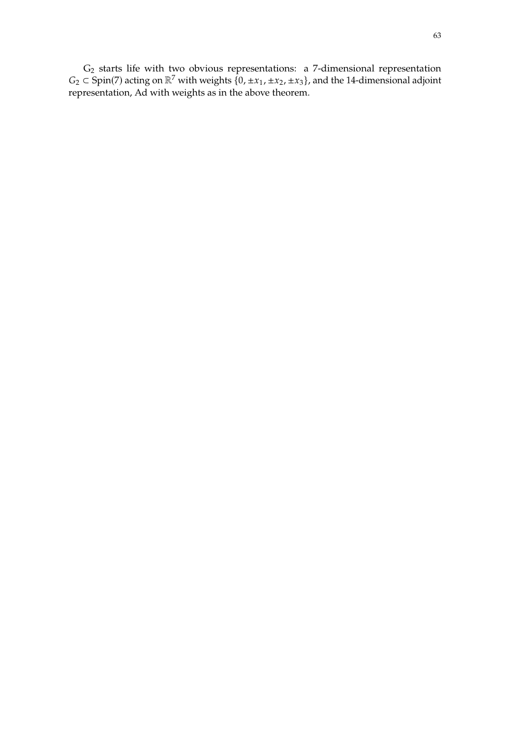$G_2$  starts life with two obvious representations: a 7-dimensional representation  $G_2$  ⊂ Spin(7) acting on  $\mathbb{R}^7$  with weights {0, ± $x_1$ , ± $x_2$ , ± $x_3$ }, and the 14-dimensional adjoint representation. Ad with weights as in the above theorem.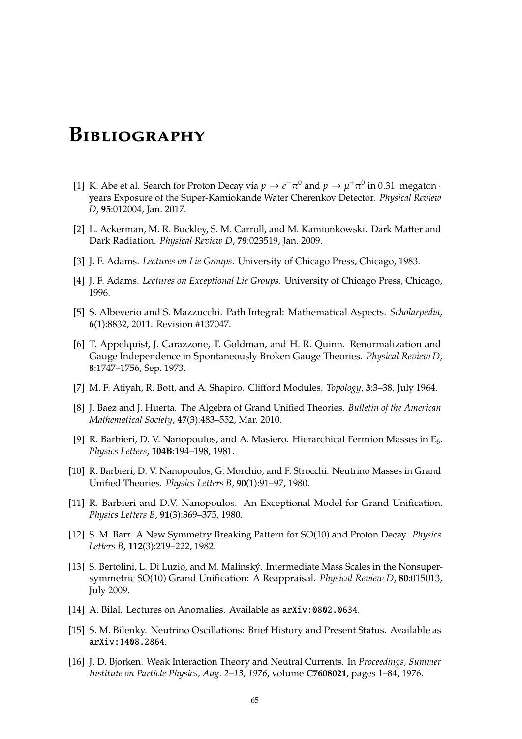## **Bibliography**

- [1] K. Abe et al. Search for Proton Decay via  $p \to e^+\pi^0$  and  $p \to \mu^+\pi^0$  in 0.31 megaton · vorse Exposure of the Super-Kamiokando Water Character Detector. Physical Review years Exposure of the Super-Kamiokande Water Cherenkov Detector. *Physical Review D*, **95**:012004, Jan. 2017.
- [2] L. Ackerman, M. R. Buckley, S. M. Carroll, and M. Kamionkowski. Dark Matter and Dark Radiation. *Physical Review D*, **79**:023519, Jan. 2009.
- [3] J. F. Adams. *Lectures on Lie Groups*. University of Chicago Press, Chicago, 1983.
- <span id="page-76-0"></span>[4] J. F. Adams. *Lectures on Exceptional Lie Groups*. University of Chicago Press, Chicago, 1996.
- [5] S. Albeverio and S. Mazzucchi. Path Integral: Mathematical Aspects. *Scholarpedia*, **6**(1):8832, 2011. Revision #137047.
- [6] T. Appelquist, J. Carazzone, T. Goldman, and H. R. Quinn. Renormalization and Gauge Independence in Spontaneously Broken Gauge Theories. *Physical Review D*, **8**:1747–1756, Sep. 1973.
- [7] M. F. Atiyah, R. Bott, and A. Shapiro. Clifford Modules. *Topology*, **3**:3–38, July 1964.
- [8] J. Baez and J. Huerta. The Algebra of Grand Unified Theories. *Bulletin of the American Mathematical Society*, **47**(3):483–552, Mar. 2010.
- [9] R. Barbieri, D. V. Nanopoulos, and A. Masiero. Hierarchical Fermion Masses in  $E_6$ . *Physics Letters*, **104B**:194–198, 1981.
- [10] R. Barbieri, D. V. Nanopoulos, G. Morchio, and F. Strocchi. Neutrino Masses in Grand Unified Theories. *Physics Letters B*, **90**(1):91–97, 1980.
- [11] R. Barbieri and D.V. Nanopoulos. An Exceptional Model for Grand Unification. *Physics Letters B*, **91**(3):369–375, 1980.
- [12] S. M. Barr. A New Symmetry Breaking Pattern for SO(10) and Proton Decay. *Physics Letters B*, **112**(3):219–222, 1982.
- [13] S. Bertolini, L. Di Luzio, and M. Malinský. Intermediate Mass Scales in the Nonsupersymmetric SO(10) Grand Unification: A Reappraisal. *Physical Review D*, **80**:015013, July 2009.
- [14] A. Bilal. Lectures on Anomalies. Available as arXiv:0802.0634.
- [15] S. M. Bilenky. Neutrino Oscillations: Brief History and Present Status. Available as arXiv:1408.2864.
- [16] J. D. Bjorken. Weak Interaction Theory and Neutral Currents. In *Proceedings, Summer Institute on Particle Physics, Aug. 2–13, 1976*, volume **C7608021**, pages 1–84, 1976.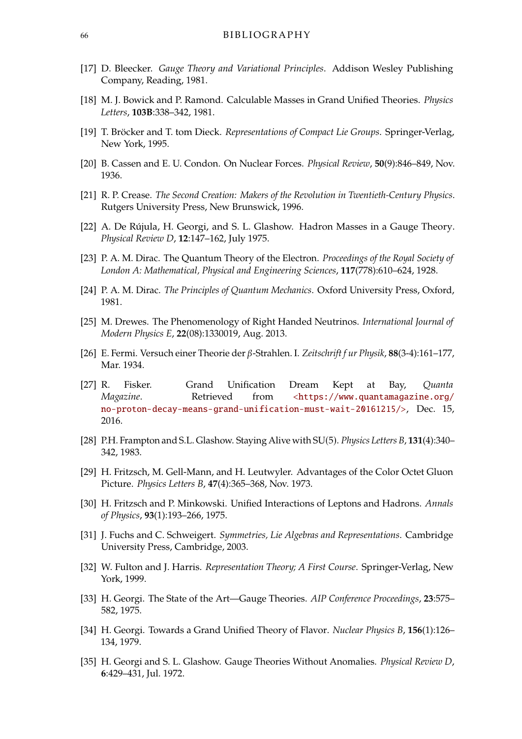## 66 BIBLIOGRAPHY

- [17] D. Bleecker. *Gauge Theory and Variational Principles*. Addison Wesley Publishing Company, Reading, 1981.
- [18] M. J. Bowick and P. Ramond. Calculable Masses in Grand Unified Theories. *Physics Letters*, **103B**:338–342, 1981.
- [19] T. Bröcker and T. tom Dieck. *Representations of Compact Lie Groups*. Springer-Verlag, New York, 1995.
- [20] B. Cassen and E. U. Condon. On Nuclear Forces. *Physical Review*, **50**(9):846–849, Nov. 1936.
- [21] R. P. Crease. *The Second Creation: Makers of the Revolution in Twentieth-Century Physics*. Rutgers University Press, New Brunswick, 1996.
- [22] A. De Rújula, H. Georgi, and S. L. Glashow. Hadron Masses in a Gauge Theory. *Physical Review D*, **12**:147–162, July 1975.
- [23] P. A. M. Dirac. The Quantum Theory of the Electron. *Proceedings of the Royal Society of London A: Mathematical, Physical and Engineering Sciences*, **117**(778):610–624, 1928.
- [24] P. A. M. Dirac. *The Principles of Quantum Mechanics*. Oxford University Press, Oxford, 1981.
- [25] M. Drewes. The Phenomenology of Right Handed Neutrinos. *International Journal of Modern Physics E*, **22**(08):1330019, Aug. 2013.
- [26] E. Fermi. Versuch einer Theorie der 𝛽-Strahlen. I. *Zeitschrift f ur Physik*, **88**(3-4):161–177, Mar. 1934.
- [27] R. Fisker. Grand Unification Dream Kept at Bay, *Quanta Magazine*. Retrieved from [<https://www.quantamagazine.org/](<https://www.quantamagazine.org/no-proton-decay-means-grand-unification-must-wait-20161215/>) [no-proton-decay-means-grand-unification-must-wait-20161215/>](<https://www.quantamagazine.org/no-proton-decay-means-grand-unification-must-wait-20161215/>), Dec. 15, 2016.
- [28] P.H. Frampton and S.L. Glashow. Staying Alive with SU(5). *Physics Letters B*, **131**(4):340– 342, 1983.
- [29] H. Fritzsch, M. Gell-Mann, and H. Leutwyler. Advantages of the Color Octet Gluon Picture. *Physics Letters B*, **47**(4):365–368, Nov. 1973.
- [30] H. Fritzsch and P. Minkowski. Unified Interactions of Leptons and Hadrons. *Annals of Physics*, **93**(1):193–266, 1975.
- [31] J. Fuchs and C. Schweigert. *Symmetries, Lie Algebras and Representations*. Cambridge University Press, Cambridge, 2003.
- [32] W. Fulton and J. Harris. *Representation Theory; A First Course*. Springer-Verlag, New York, 1999.
- [33] H. Georgi. The State of the Art—Gauge Theories. *AIP Conference Proceedings*, **23**:575– 582, 1975.
- [34] H. Georgi. Towards a Grand Unified Theory of Flavor. *Nuclear Physics B*, **156**(1):126– 134, 1979.
- [35] H. Georgi and S. L. Glashow. Gauge Theories Without Anomalies. *Physical Review D*, **6**:429–431, Jul. 1972.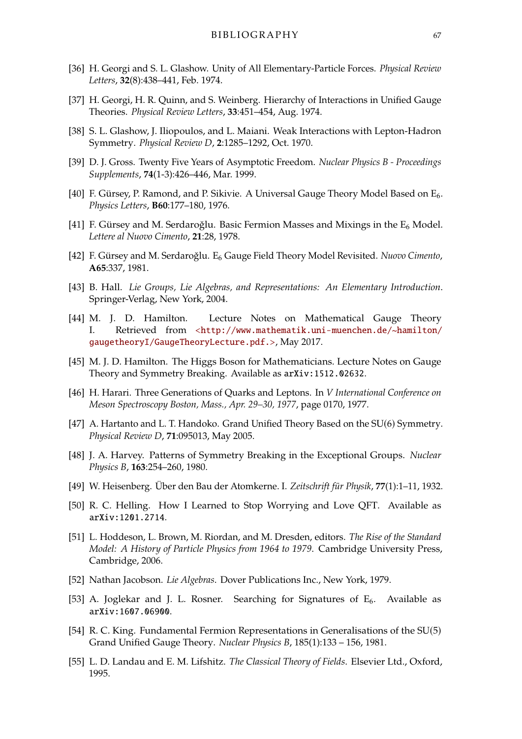- [36] H. Georgi and S. L. Glashow. Unity of All Elementary-Particle Forces. *Physical Review Letters*, **32**(8):438–441, Feb. 1974.
- [37] H. Georgi, H. R. Quinn, and S. Weinberg. Hierarchy of Interactions in Unified Gauge Theories. *Physical Review Letters*, **33**:451–454, Aug. 1974.
- [38] S. L. Glashow, J. Iliopoulos, and L. Maiani. Weak Interactions with Lepton-Hadron Symmetry. *Physical Review D*, **2**:1285–1292, Oct. 1970.
- [39] D. J. Gross. Twenty Five Years of Asymptotic Freedom. *Nuclear Physics B Proceedings Supplements*, **74**(1-3):426–446, Mar. 1999.
- [40] F. Gürsey, P. Ramond, and P. Sikivie. A Universal Gauge Theory Model Based on E6. *Physics Letters*, **B60**:177–180, 1976.
- [41] F. Gürsey and M. Serdaroğlu. Basic Fermion Masses and Mixings in the  $E_6$  Model. *Lettere al Nuovo Cimento*, **21**:28, 1978.
- [42] F. Gürsey and M. Serdaroğlu. E<sub>6</sub> Gauge Field Theory Model Revisited. *Nuovo Cimento*, **A65**:337, 1981.
- [43] B. Hall. *Lie Groups, Lie Algebras, and Representations: An Elementary Introduction*. Springer-Verlag, New York, 2004.
- [44] M. J. D. Hamilton. Lecture Notes on Mathematical Gauge Theory I. Retrieved from [<http://www.mathematik.uni-muenchen.de/~hamilton/](<http://www.mathematik.uni-muenchen.de/~hamilton/gaugetheoryI/GaugeTheoryLecture.pdf.>) [gaugetheoryI/GaugeTheoryLecture.pdf.>](<http://www.mathematik.uni-muenchen.de/~hamilton/gaugetheoryI/GaugeTheoryLecture.pdf.>), May 2017.
- [45] M. J. D. Hamilton. The Higgs Boson for Mathematicians. Lecture Notes on Gauge Theory and Symmetry Breaking. Available as arXiv:1512.02632.
- [46] H. Harari. Three Generations of Quarks and Leptons. In *V International Conference on Meson Spectroscopy Boston, Mass., Apr. 29–30, 1977*, page 0170, 1977.
- [47] A. Hartanto and L. T. Handoko. Grand Unified Theory Based on the SU(6) Symmetry. *Physical Review D*, **71**:095013, May 2005.
- [48] J. A. Harvey. Patterns of Symmetry Breaking in the Exceptional Groups. *Nuclear Physics B*, **163**:254–260, 1980.
- [49] W. Heisenberg. Über den Bau der Atomkerne. I. *Zeitschrift für Physik*, **77**(1):1–11, 1932.
- [50] R. C. Helling. How I Learned to Stop Worrying and Love QFT. Available as arXiv:1201.2714.
- [51] L. Hoddeson, L. Brown, M. Riordan, and M. Dresden, editors. *The Rise of the Standard Model: A History of Particle Physics from 1964 to 1979*. Cambridge University Press, Cambridge, 2006.
- [52] Nathan Jacobson. *Lie Algebras*. Dover Publications Inc., New York, 1979.
- [53] A. Joglekar and J. L. Rosner. Searching for Signatures of E<sub>6</sub>. Available as arXiv:1607.06900.
- [54] R. C. King. Fundamental Fermion Representations in Generalisations of the SU(5) Grand Unified Gauge Theory. *Nuclear Physics B*, 185(1):133 – 156, 1981.
- [55] L. D. Landau and E. M. Lifshitz. *The Classical Theory of Fields*. Elsevier Ltd., Oxford, 1995.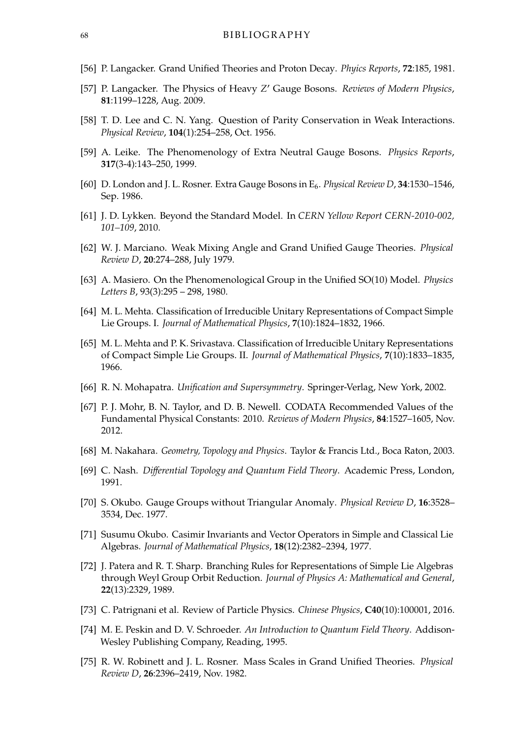- [56] P. Langacker. Grand Unified Theories and Proton Decay. *Phyics Reports*, **72**:185, 1981.
- [57] P. Langacker. The Physics of Heavy Z' Gauge Bosons. *Reviews of Modern Physics*,<br>81:1199-1228, Aug. 2009 **81**:1199–1228, Aug. 2009.
- [58] T. D. Lee and C. N. Yang. Question of Parity Conservation in Weak Interactions. *Physical Review*, **104**(1):254–258, Oct. 1956.
- [59] A. Leike. The Phenomenology of Extra Neutral Gauge Bosons. *Physics Reports*, **317**(3-4):143–250, 1999.
- [60] D. London and J. L. Rosner. Extra Gauge Bosons in E<sub>6</sub>. *Physical Review D*, **34**:1530–1546, Sep. 1986.
- [61] J. D. Lykken. Beyond the Standard Model. In *CERN Yellow Report CERN-2010-002, 101–109*, 2010.
- [62] W. J. Marciano. Weak Mixing Angle and Grand Unified Gauge Theories. *Physical Review D*, **20**:274–288, July 1979.
- [63] A. Masiero. On the Phenomenological Group in the Unified SO(10) Model. *Physics Letters B*, 93(3):295 – 298, 1980.
- [64] M. L. Mehta. Classification of Irreducible Unitary Representations of Compact Simple Lie Groups. I. *Journal of Mathematical Physics*, **7**(10):1824–1832, 1966.
- [65] M. L. Mehta and P. K. Srivastava. Classification of Irreducible Unitary Representations of Compact Simple Lie Groups. II. *Journal of Mathematical Physics*, **7**(10):1833–1835, 1966.
- [66] R. N. Mohapatra. *Unification and Supersymmetry*. Springer-Verlag, New York, 2002.
- [67] P. J. Mohr, B. N. Taylor, and D. B. Newell. CODATA Recommended Values of the Fundamental Physical Constants: 2010. *Reviews of Modern Physics*, **84**:1527–1605, Nov. 2012.
- [68] M. Nakahara. *Geometry, Topology and Physics*. Taylor & Francis Ltd., Boca Raton, 2003.
- [69] C. Nash. *Differential Topology and Quantum Field Theory*. Academic Press, London, 1991.
- [70] S. Okubo. Gauge Groups without Triangular Anomaly. *Physical Review D*, **16**:3528– 3534, Dec. 1977.
- [71] Susumu Okubo. Casimir Invariants and Vector Operators in Simple and Classical Lie Algebras. *Journal of Mathematical Physics*, **18**(12):2382–2394, 1977.
- [72] J. Patera and R. T. Sharp. Branching Rules for Representations of Simple Lie Algebras through Weyl Group Orbit Reduction. *Journal of Physics A: Mathematical and General*, **22**(13):2329, 1989.
- [73] C. Patrignani et al. Review of Particle Physics. *Chinese Physics*, **C40**(10):100001, 2016.
- [74] M. E. Peskin and D. V. Schroeder. *An Introduction to Quantum Field Theory*. Addison-Wesley Publishing Company, Reading, 1995.
- [75] R. W. Robinett and J. L. Rosner. Mass Scales in Grand Unified Theories. *Physical Review D*, **26**:2396–2419, Nov. 1982.